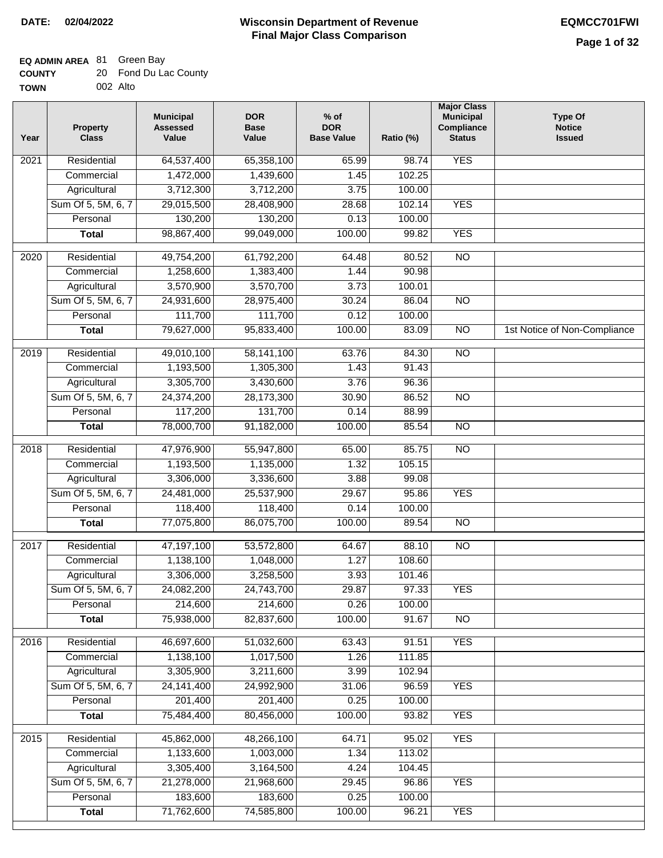#### **Wisconsin Department of Revenue Final Major Class Comparison DATE: 02/04/2022 EQMCC701FWI**

┑

## **EQ ADMIN AREA** 81 Green Bay

| <b>COUNTY</b> | 20 Fond Du Lac County |
|---------------|-----------------------|
| <b>TOWN</b>   | 002 Alto              |

| Year | <b>Property</b><br><b>Class</b> | <b>Municipal</b><br><b>Assessed</b><br>Value | <b>DOR</b><br><b>Base</b><br>Value | $%$ of<br><b>DOR</b><br><b>Base Value</b> | Ratio (%) | <b>Major Class</b><br><b>Municipal</b><br>Compliance<br><b>Status</b> | <b>Type Of</b><br><b>Notice</b><br><b>Issued</b> |
|------|---------------------------------|----------------------------------------------|------------------------------------|-------------------------------------------|-----------|-----------------------------------------------------------------------|--------------------------------------------------|
| 2021 | Residential                     | 64,537,400                                   | 65,358,100                         | 65.99                                     | 98.74     | <b>YES</b>                                                            |                                                  |
|      | Commercial                      | 1,472,000                                    | 1,439,600                          | 1.45                                      | 102.25    |                                                                       |                                                  |
|      | Agricultural                    | 3,712,300                                    | 3,712,200                          | 3.75                                      | 100.00    |                                                                       |                                                  |
|      | Sum Of 5, 5M, 6, 7              | 29,015,500                                   | 28,408,900                         | 28.68                                     | 102.14    | <b>YES</b>                                                            |                                                  |
|      | Personal                        | 130,200                                      | 130,200                            | 0.13                                      | 100.00    |                                                                       |                                                  |
|      | <b>Total</b>                    | 98,867,400                                   | 99,049,000                         | 100.00                                    | 99.82     | <b>YES</b>                                                            |                                                  |
| 2020 | Residential                     | 49,754,200                                   | 61,792,200                         | 64.48                                     | 80.52     | $\overline{NO}$                                                       |                                                  |
|      | Commercial                      | 1,258,600                                    | 1,383,400                          | 1.44                                      | 90.98     |                                                                       |                                                  |
|      | Agricultural                    | 3,570,900                                    | 3,570,700                          | 3.73                                      | 100.01    |                                                                       |                                                  |
|      | Sum Of 5, 5M, 6, 7              | 24,931,600                                   | 28,975,400                         | 30.24                                     | 86.04     | $\overline{NO}$                                                       |                                                  |
|      | Personal                        | 111,700                                      | 111,700                            | 0.12                                      | 100.00    |                                                                       |                                                  |
|      | <b>Total</b>                    | 79,627,000                                   | 95,833,400                         | 100.00                                    | 83.09     | $\overline{NO}$                                                       | 1st Notice of Non-Compliance                     |
|      | Residential                     |                                              |                                    | 63.76                                     | 84.30     | $\overline{10}$                                                       |                                                  |
| 2019 | Commercial                      | 49,010,100<br>1,193,500                      | 58,141,100<br>1,305,300            | 1.43                                      | 91.43     |                                                                       |                                                  |
|      |                                 | 3,305,700                                    | 3,430,600                          | 3.76                                      | 96.36     |                                                                       |                                                  |
|      | Agricultural                    |                                              |                                    |                                           |           |                                                                       |                                                  |
|      | Sum Of 5, 5M, 6, 7<br>Personal  | 24,374,200                                   | 28,173,300                         | 30.90                                     | 86.52     | $\overline{N}$                                                        |                                                  |
|      |                                 | 117,200                                      | 131,700                            | 0.14                                      | 88.99     |                                                                       |                                                  |
|      | <b>Total</b>                    | 78,000,700                                   | 91,182,000                         | 100.00                                    | 85.54     | <b>NO</b>                                                             |                                                  |
| 2018 | Residential                     | 47,976,900                                   | 55,947,800                         | 65.00                                     | 85.75     | $\overline{NO}$                                                       |                                                  |
|      | Commercial                      | 1,193,500                                    | 1,135,000                          | 1.32                                      | 105.15    |                                                                       |                                                  |
|      | Agricultural                    | 3,306,000                                    | 3,336,600                          | 3.88                                      | 99.08     |                                                                       |                                                  |
|      | Sum Of 5, 5M, 6, 7              | 24,481,000                                   | 25,537,900                         | 29.67                                     | 95.86     | <b>YES</b>                                                            |                                                  |
|      | Personal                        | 118,400                                      | 118,400                            | 0.14                                      | 100.00    |                                                                       |                                                  |
|      | <b>Total</b>                    | 77,075,800                                   | 86,075,700                         | 100.00                                    | 89.54     | <b>NO</b>                                                             |                                                  |
| 2017 | Residential                     | 47,197,100                                   | 53,572,800                         | 64.67                                     | 88.10     | N <sub>O</sub>                                                        |                                                  |
|      | Commercial                      | 1,138,100                                    | 1,048,000                          | 1.27                                      | 108.60    |                                                                       |                                                  |
|      | Agricultural                    | 3,306,000                                    | 3,258,500                          | 3.93                                      | 101.46    |                                                                       |                                                  |
|      | Sum Of 5, 5M, 6, 7              | 24,082,200                                   | 24,743,700                         | 29.87                                     | 97.33     | <b>YES</b>                                                            |                                                  |
|      | Personal                        | 214,600                                      | 214,600                            | 0.26                                      | 100.00    |                                                                       |                                                  |
|      | <b>Total</b>                    | 75,938,000                                   | 82,837,600                         | 100.00                                    | 91.67     | $\overline{3}$                                                        |                                                  |
| 2016 | Residential                     | 46,697,600                                   | 51,032,600                         | 63.43                                     | 91.51     | <b>YES</b>                                                            |                                                  |
|      | Commercial                      | 1,138,100                                    | 1,017,500                          | 1.26                                      | 111.85    |                                                                       |                                                  |
|      | Agricultural                    | 3,305,900                                    | 3,211,600                          | 3.99                                      | 102.94    |                                                                       |                                                  |
|      | Sum Of 5, 5M, 6, 7              | 24, 141, 400                                 | 24,992,900                         | 31.06                                     | 96.59     | <b>YES</b>                                                            |                                                  |
|      | Personal                        | 201,400                                      | 201,400                            | 0.25                                      | 100.00    |                                                                       |                                                  |
|      | <b>Total</b>                    | 75,484,400                                   | 80,456,000                         | 100.00                                    | 93.82     | <b>YES</b>                                                            |                                                  |
| 2015 | Residential                     | 45,862,000                                   | 48,266,100                         | 64.71                                     | 95.02     | <b>YES</b>                                                            |                                                  |
|      | Commercial                      | 1,133,600                                    | 1,003,000                          | 1.34                                      | 113.02    |                                                                       |                                                  |
|      | Agricultural                    | 3,305,400                                    | 3,164,500                          | 4.24                                      | 104.45    |                                                                       |                                                  |
|      | Sum Of 5, 5M, 6, 7              | 21,278,000                                   | 21,968,600                         | 29.45                                     | 96.86     | <b>YES</b>                                                            |                                                  |
|      | Personal                        | 183,600                                      | 183,600                            | 0.25                                      | 100.00    |                                                                       |                                                  |
|      | <b>Total</b>                    | 71,762,600                                   | 74,585,800                         | 100.00                                    | 96.21     | <b>YES</b>                                                            |                                                  |
|      |                                 |                                              |                                    |                                           |           |                                                                       |                                                  |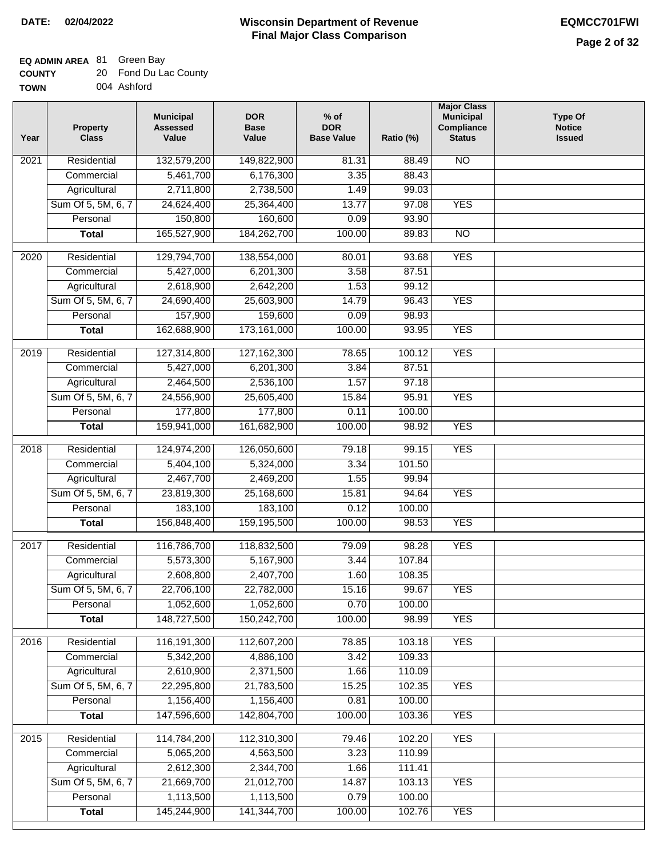## **EQ ADMIN AREA** 81 Green Bay

| <b>COUNTY</b> | 20 Fond Du Lac County |
|---------------|-----------------------|
| <b>TOWN</b>   | 004 Ashford           |

004 Ashford

| Year | <b>Property</b><br><b>Class</b>    | <b>Municipal</b><br><b>Assessed</b><br>Value | <b>DOR</b><br><b>Base</b><br>Value | $%$ of<br><b>DOR</b><br><b>Base Value</b> | Ratio (%)        | <b>Major Class</b><br><b>Municipal</b><br>Compliance<br><b>Status</b> | <b>Type Of</b><br><b>Notice</b><br><b>Issued</b> |
|------|------------------------------------|----------------------------------------------|------------------------------------|-------------------------------------------|------------------|-----------------------------------------------------------------------|--------------------------------------------------|
| 2021 | Residential                        | 132,579,200                                  | 149,822,900                        | 81.31                                     | 88.49            | <b>NO</b>                                                             |                                                  |
|      | Commercial                         | 5,461,700                                    | 6,176,300                          | 3.35                                      | 88.43            |                                                                       |                                                  |
|      | Agricultural                       | 2,711,800                                    | 2,738,500                          | 1.49                                      | 99.03            |                                                                       |                                                  |
|      | Sum Of 5, 5M, 6, 7                 | 24,624,400                                   | 25,364,400                         | 13.77                                     | 97.08            | <b>YES</b>                                                            |                                                  |
|      | Personal                           | 150,800                                      | 160,600                            | 0.09                                      | 93.90            |                                                                       |                                                  |
|      | <b>Total</b>                       | 165,527,900                                  | 184,262,700                        | 100.00                                    | 89.83            | $\overline{NO}$                                                       |                                                  |
| 2020 | Residential                        | 129,794,700                                  | 138,554,000                        | 80.01                                     | 93.68            | <b>YES</b>                                                            |                                                  |
|      | Commercial                         | 5,427,000                                    | 6,201,300                          | 3.58                                      | 87.51            |                                                                       |                                                  |
|      | Agricultural                       | 2,618,900                                    | 2,642,200                          | 1.53                                      | 99.12            |                                                                       |                                                  |
|      | Sum Of 5, 5M, 6, 7                 | 24,690,400                                   | 25,603,900                         | 14.79                                     | 96.43            | <b>YES</b>                                                            |                                                  |
|      | Personal                           | 157,900                                      | 159,600                            | 0.09                                      | 98.93            |                                                                       |                                                  |
|      | <b>Total</b>                       | 162,688,900                                  | 173,161,000                        | 100.00                                    | 93.95            | <b>YES</b>                                                            |                                                  |
| 2019 | Residential                        | 127,314,800                                  | 127, 162, 300                      | 78.65                                     | 100.12           | <b>YES</b>                                                            |                                                  |
|      | Commercial                         | 5,427,000                                    | 6,201,300                          | 3.84                                      | 87.51            |                                                                       |                                                  |
|      | Agricultural                       | 2,464,500                                    | 2,536,100                          | 1.57                                      | 97.18            |                                                                       |                                                  |
|      | Sum Of 5, 5M, 6, 7                 | 24,556,900                                   | 25,605,400                         | 15.84                                     | 95.91            | <b>YES</b>                                                            |                                                  |
|      | Personal                           | 177,800                                      | 177,800                            | 0.11                                      | 100.00           |                                                                       |                                                  |
|      | <b>Total</b>                       | 159,941,000                                  | 161,682,900                        | 100.00                                    | 98.92            | <b>YES</b>                                                            |                                                  |
| 2018 | Residential                        | 124,974,200                                  | 126,050,600                        | 79.18                                     | 99.15            | <b>YES</b>                                                            |                                                  |
|      | Commercial                         | 5,404,100                                    | 5,324,000                          | 3.34                                      | 101.50           |                                                                       |                                                  |
|      | Agricultural                       | 2,467,700                                    | 2,469,200                          | 1.55                                      | 99.94            |                                                                       |                                                  |
|      | Sum Of 5, 5M, 6, 7                 | 23,819,300                                   | 25,168,600                         | 15.81                                     | 94.64            | <b>YES</b>                                                            |                                                  |
|      | Personal                           | 183,100                                      | 183,100                            | 0.12                                      | 100.00           |                                                                       |                                                  |
|      | <b>Total</b>                       | 156,848,400                                  | 159,195,500                        | 100.00                                    | 98.53            | <b>YES</b>                                                            |                                                  |
| 2017 | Residential                        | 116,786,700                                  | 118,832,500                        | 79.09                                     | 98.28            | <b>YES</b>                                                            |                                                  |
|      | Commercial                         | 5,573,300                                    | 5,167,900                          | 3.44                                      | 107.84           |                                                                       |                                                  |
|      | Agricultural                       | 2,608,800                                    | 2,407,700                          | 1.60                                      | 108.35           |                                                                       |                                                  |
|      | Sum Of 5, 5M, 6, 7                 | 22,706,100                                   | 22,782,000                         | 15.16                                     | 99.67            | <b>YES</b>                                                            |                                                  |
|      | Personal                           | 1,052,600                                    | 1,052,600                          | 0.70                                      | 100.00           |                                                                       |                                                  |
|      | <b>Total</b>                       | 148,727,500                                  | 150,242,700                        | 100.00                                    | 98.99            | <b>YES</b>                                                            |                                                  |
| 2016 | Residential                        | 116,191,300                                  | 112,607,200                        | 78.85                                     | 103.18           | <b>YES</b>                                                            |                                                  |
|      | Commercial                         | 5,342,200                                    | 4,886,100                          | 3.42                                      | 109.33           |                                                                       |                                                  |
|      | Agricultural                       | 2,610,900                                    | 2,371,500                          | 1.66                                      | 110.09           |                                                                       |                                                  |
|      | Sum Of 5, 5M, 6, 7                 | 22,295,800                                   | 21,783,500                         | 15.25                                     | 102.35           | <b>YES</b>                                                            |                                                  |
|      | Personal                           | 1,156,400                                    | 1,156,400                          | 0.81                                      | 100.00           |                                                                       |                                                  |
|      | <b>Total</b>                       | 147,596,600                                  | 142,804,700                        | 100.00                                    | 103.36           | <b>YES</b>                                                            |                                                  |
|      |                                    |                                              |                                    |                                           |                  | <b>YES</b>                                                            |                                                  |
| 2015 | Residential                        | 114,784,200                                  | 112,310,300                        | 79.46                                     | 102.20           |                                                                       |                                                  |
|      | Commercial                         | 5,065,200                                    | 4,563,500                          | 3.23                                      | 110.99           |                                                                       |                                                  |
|      | Agricultural<br>Sum Of 5, 5M, 6, 7 | 2,612,300<br>21,669,700                      | 2,344,700<br>21,012,700            | 1.66<br>14.87                             | 111.41<br>103.13 | <b>YES</b>                                                            |                                                  |
|      | Personal                           | 1,113,500                                    | 1,113,500                          | 0.79                                      | 100.00           |                                                                       |                                                  |
|      | <b>Total</b>                       | 145,244,900                                  | 141,344,700                        | 100.00                                    | 102.76           | <b>YES</b>                                                            |                                                  |
|      |                                    |                                              |                                    |                                           |                  |                                                                       |                                                  |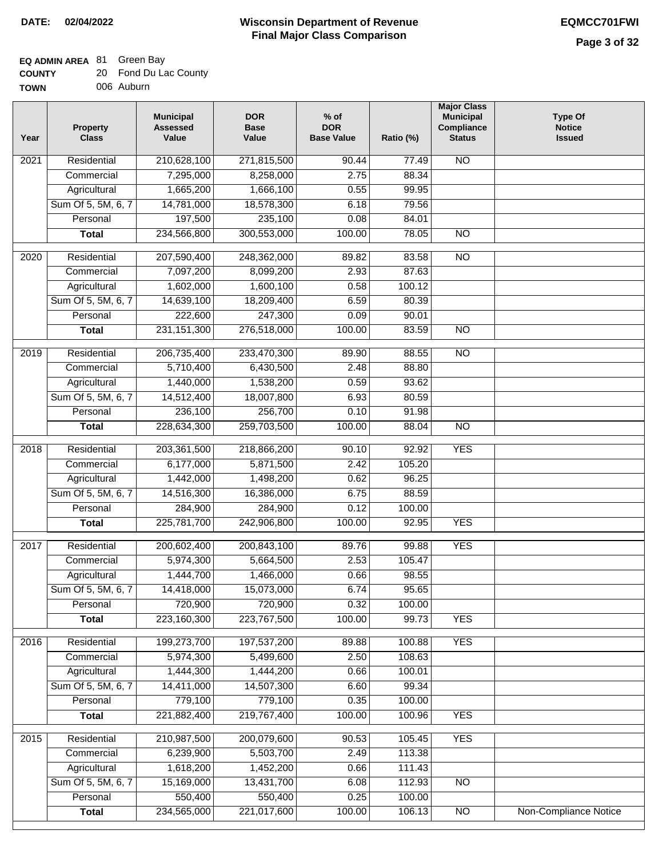## **EQ ADMIN AREA** 81 Green Bay

| <b>COUNTY</b> | 20 Fond Du Lac County |
|---------------|-----------------------|
| <b>TOWN</b>   | 006 Auburn            |

006 Auburn

| Residential<br>N <sub>O</sub><br>210,628,100<br>271,815,500<br>2021<br>90.44<br>77.49<br>7,295,000<br>8,258,000<br>2.75<br>88.34<br>Commercial<br>Agricultural<br>1,665,200<br>1,666,100<br>0.55<br>99.95<br>Sum Of 5, 5M, 6, 7<br>14,781,000<br>18,578,300<br>79.56<br>6.18<br>197,500<br>235,100<br>Personal<br>0.08<br>84.01<br>234,566,800<br>300,553,000<br>100.00<br>$\overline{NO}$<br><b>Total</b><br>78.05<br>$\frac{1}{2020}$<br>Residential<br>207,590,400<br>248,362,000<br>89.82<br>83.58<br>$\overline{10}$<br>7,097,200<br>8,099,200<br>2.93<br>87.63<br>Commercial<br>1,602,000<br>1,600,100<br>0.58<br>100.12<br>Agricultural<br>Sum Of 5, 5M, 6, 7<br>14,639,100<br>18,209,400<br>6.59<br>80.39<br>247,300<br>Personal<br>222,600<br>0.09<br>90.01<br>231, 151, 300<br>276,518,000<br>100.00<br>$\overline{NO}$<br><b>Total</b><br>83.59<br>Residential<br>206,735,400<br>233,470,300<br>89.90<br>88.55<br>$\overline{NO}$<br>2019<br>5,710,400<br>88.80<br>Commercial<br>6,430,500<br>2.48<br>1,440,000<br>1,538,200<br>0.59<br>93.62<br>Agricultural<br>Sum Of 5, 5M, 6, 7<br>14,512,400<br>18,007,800<br>6.93<br>80.59<br>256,700<br>Personal<br>236,100<br>0.10<br>91.98<br>228,634,300<br>259,703,500<br>100.00<br>$\overline{NO}$<br><b>Total</b><br>88.04<br>Residential<br>203,361,500<br>218,866,200<br><b>YES</b><br>2018<br>90.10<br>92.92<br>Commercial<br>6,177,000<br>5,871,500<br>2.42<br>105.20<br>96.25<br>Agricultural<br>1,442,000<br>1,498,200<br>0.62<br>Sum Of 5, 5M, 6, 7<br>14,516,300<br>16,386,000<br>6.75<br>88.59<br>Personal<br>284,900<br>284,900<br>0.12<br>100.00<br>225,781,700<br>242,906,800<br>100.00<br><b>YES</b><br><b>Total</b><br>92.95<br>$\overline{2017}$<br>Residential<br>200,602,400<br>200,843,100<br><b>YES</b><br>89.76<br>99.88<br>Commercial<br>5,974,300<br>5,664,500<br>2.53<br>105.47<br>1,444,700<br>1,466,000<br>0.66<br>98.55<br>Agricultural<br>Sum Of 5, 5M, 6, 7<br>14,418,000<br>15,073,000<br>6.74<br>95.65<br>720,900<br>720,900<br>Personal<br>0.32<br>100.00<br>223,160,300<br>223,767,500<br>100.00<br>99.73<br><b>YES</b><br><b>Total</b><br><b>YES</b><br>Residential<br>199,273,700<br>197,537,200<br>2016<br>89.88<br>100.88<br>5,974,300<br>5,499,600<br>2.50<br>108.63<br>Commercial<br>Agricultural<br>1,444,300<br>1,444,200<br>100.01<br>0.66<br>Sum Of 5, 5M, 6, 7<br>14,507,300<br>14,411,000<br>6.60<br>99.34<br>Personal<br>779,100<br>779,100<br>0.35<br>100.00<br>221,882,400<br>219,767,400<br>100.00<br><b>YES</b><br><b>Total</b><br>100.96<br><b>YES</b><br>Residential<br>210,987,500<br>200,079,600<br>90.53<br>105.45<br>2015<br>6,239,900<br>5,503,700<br>2.49<br>113.38<br>Commercial<br>1,618,200<br>1,452,200<br>0.66<br>111.43<br>Agricultural<br>Sum Of 5, 5M, 6, 7<br>15,169,000<br>13,431,700<br>6.08<br>112.93<br><b>NO</b><br>550,400<br>550,400<br>0.25<br>Personal<br>100.00<br>234,565,000<br>221,017,600<br><b>Non-Compliance Notice</b><br>100.00<br>106.13<br><b>Total</b><br>NO | Year | <b>Property</b><br><b>Class</b> | <b>Municipal</b><br><b>Assessed</b><br>Value | <b>DOR</b><br><b>Base</b><br>Value | $%$ of<br><b>DOR</b><br><b>Base Value</b> | Ratio (%) | <b>Major Class</b><br><b>Municipal</b><br>Compliance<br><b>Status</b> | <b>Type Of</b><br><b>Notice</b><br><b>Issued</b> |
|-------------------------------------------------------------------------------------------------------------------------------------------------------------------------------------------------------------------------------------------------------------------------------------------------------------------------------------------------------------------------------------------------------------------------------------------------------------------------------------------------------------------------------------------------------------------------------------------------------------------------------------------------------------------------------------------------------------------------------------------------------------------------------------------------------------------------------------------------------------------------------------------------------------------------------------------------------------------------------------------------------------------------------------------------------------------------------------------------------------------------------------------------------------------------------------------------------------------------------------------------------------------------------------------------------------------------------------------------------------------------------------------------------------------------------------------------------------------------------------------------------------------------------------------------------------------------------------------------------------------------------------------------------------------------------------------------------------------------------------------------------------------------------------------------------------------------------------------------------------------------------------------------------------------------------------------------------------------------------------------------------------------------------------------------------------------------------------------------------------------------------------------------------------------------------------------------------------------------------------------------------------------------------------------------------------------------------------------------------------------------------------------------------------------------------------------------------------------------------------------------------------------------------------------------------------------------------------------------------------------------------------------------------------------------------------------------------------------------------------------------------------------------------------------------------------------------------------------------------------------------------------------------------------------------------------------------------------------------------------------------------------|------|---------------------------------|----------------------------------------------|------------------------------------|-------------------------------------------|-----------|-----------------------------------------------------------------------|--------------------------------------------------|
|                                                                                                                                                                                                                                                                                                                                                                                                                                                                                                                                                                                                                                                                                                                                                                                                                                                                                                                                                                                                                                                                                                                                                                                                                                                                                                                                                                                                                                                                                                                                                                                                                                                                                                                                                                                                                                                                                                                                                                                                                                                                                                                                                                                                                                                                                                                                                                                                                                                                                                                                                                                                                                                                                                                                                                                                                                                                                                                                                                                                             |      |                                 |                                              |                                    |                                           |           |                                                                       |                                                  |
|                                                                                                                                                                                                                                                                                                                                                                                                                                                                                                                                                                                                                                                                                                                                                                                                                                                                                                                                                                                                                                                                                                                                                                                                                                                                                                                                                                                                                                                                                                                                                                                                                                                                                                                                                                                                                                                                                                                                                                                                                                                                                                                                                                                                                                                                                                                                                                                                                                                                                                                                                                                                                                                                                                                                                                                                                                                                                                                                                                                                             |      |                                 |                                              |                                    |                                           |           |                                                                       |                                                  |
|                                                                                                                                                                                                                                                                                                                                                                                                                                                                                                                                                                                                                                                                                                                                                                                                                                                                                                                                                                                                                                                                                                                                                                                                                                                                                                                                                                                                                                                                                                                                                                                                                                                                                                                                                                                                                                                                                                                                                                                                                                                                                                                                                                                                                                                                                                                                                                                                                                                                                                                                                                                                                                                                                                                                                                                                                                                                                                                                                                                                             |      |                                 |                                              |                                    |                                           |           |                                                                       |                                                  |
|                                                                                                                                                                                                                                                                                                                                                                                                                                                                                                                                                                                                                                                                                                                                                                                                                                                                                                                                                                                                                                                                                                                                                                                                                                                                                                                                                                                                                                                                                                                                                                                                                                                                                                                                                                                                                                                                                                                                                                                                                                                                                                                                                                                                                                                                                                                                                                                                                                                                                                                                                                                                                                                                                                                                                                                                                                                                                                                                                                                                             |      |                                 |                                              |                                    |                                           |           |                                                                       |                                                  |
|                                                                                                                                                                                                                                                                                                                                                                                                                                                                                                                                                                                                                                                                                                                                                                                                                                                                                                                                                                                                                                                                                                                                                                                                                                                                                                                                                                                                                                                                                                                                                                                                                                                                                                                                                                                                                                                                                                                                                                                                                                                                                                                                                                                                                                                                                                                                                                                                                                                                                                                                                                                                                                                                                                                                                                                                                                                                                                                                                                                                             |      |                                 |                                              |                                    |                                           |           |                                                                       |                                                  |
|                                                                                                                                                                                                                                                                                                                                                                                                                                                                                                                                                                                                                                                                                                                                                                                                                                                                                                                                                                                                                                                                                                                                                                                                                                                                                                                                                                                                                                                                                                                                                                                                                                                                                                                                                                                                                                                                                                                                                                                                                                                                                                                                                                                                                                                                                                                                                                                                                                                                                                                                                                                                                                                                                                                                                                                                                                                                                                                                                                                                             |      |                                 |                                              |                                    |                                           |           |                                                                       |                                                  |
|                                                                                                                                                                                                                                                                                                                                                                                                                                                                                                                                                                                                                                                                                                                                                                                                                                                                                                                                                                                                                                                                                                                                                                                                                                                                                                                                                                                                                                                                                                                                                                                                                                                                                                                                                                                                                                                                                                                                                                                                                                                                                                                                                                                                                                                                                                                                                                                                                                                                                                                                                                                                                                                                                                                                                                                                                                                                                                                                                                                                             |      |                                 |                                              |                                    |                                           |           |                                                                       |                                                  |
|                                                                                                                                                                                                                                                                                                                                                                                                                                                                                                                                                                                                                                                                                                                                                                                                                                                                                                                                                                                                                                                                                                                                                                                                                                                                                                                                                                                                                                                                                                                                                                                                                                                                                                                                                                                                                                                                                                                                                                                                                                                                                                                                                                                                                                                                                                                                                                                                                                                                                                                                                                                                                                                                                                                                                                                                                                                                                                                                                                                                             |      |                                 |                                              |                                    |                                           |           |                                                                       |                                                  |
|                                                                                                                                                                                                                                                                                                                                                                                                                                                                                                                                                                                                                                                                                                                                                                                                                                                                                                                                                                                                                                                                                                                                                                                                                                                                                                                                                                                                                                                                                                                                                                                                                                                                                                                                                                                                                                                                                                                                                                                                                                                                                                                                                                                                                                                                                                                                                                                                                                                                                                                                                                                                                                                                                                                                                                                                                                                                                                                                                                                                             |      |                                 |                                              |                                    |                                           |           |                                                                       |                                                  |
|                                                                                                                                                                                                                                                                                                                                                                                                                                                                                                                                                                                                                                                                                                                                                                                                                                                                                                                                                                                                                                                                                                                                                                                                                                                                                                                                                                                                                                                                                                                                                                                                                                                                                                                                                                                                                                                                                                                                                                                                                                                                                                                                                                                                                                                                                                                                                                                                                                                                                                                                                                                                                                                                                                                                                                                                                                                                                                                                                                                                             |      |                                 |                                              |                                    |                                           |           |                                                                       |                                                  |
|                                                                                                                                                                                                                                                                                                                                                                                                                                                                                                                                                                                                                                                                                                                                                                                                                                                                                                                                                                                                                                                                                                                                                                                                                                                                                                                                                                                                                                                                                                                                                                                                                                                                                                                                                                                                                                                                                                                                                                                                                                                                                                                                                                                                                                                                                                                                                                                                                                                                                                                                                                                                                                                                                                                                                                                                                                                                                                                                                                                                             |      |                                 |                                              |                                    |                                           |           |                                                                       |                                                  |
|                                                                                                                                                                                                                                                                                                                                                                                                                                                                                                                                                                                                                                                                                                                                                                                                                                                                                                                                                                                                                                                                                                                                                                                                                                                                                                                                                                                                                                                                                                                                                                                                                                                                                                                                                                                                                                                                                                                                                                                                                                                                                                                                                                                                                                                                                                                                                                                                                                                                                                                                                                                                                                                                                                                                                                                                                                                                                                                                                                                                             |      |                                 |                                              |                                    |                                           |           |                                                                       |                                                  |
|                                                                                                                                                                                                                                                                                                                                                                                                                                                                                                                                                                                                                                                                                                                                                                                                                                                                                                                                                                                                                                                                                                                                                                                                                                                                                                                                                                                                                                                                                                                                                                                                                                                                                                                                                                                                                                                                                                                                                                                                                                                                                                                                                                                                                                                                                                                                                                                                                                                                                                                                                                                                                                                                                                                                                                                                                                                                                                                                                                                                             |      |                                 |                                              |                                    |                                           |           |                                                                       |                                                  |
|                                                                                                                                                                                                                                                                                                                                                                                                                                                                                                                                                                                                                                                                                                                                                                                                                                                                                                                                                                                                                                                                                                                                                                                                                                                                                                                                                                                                                                                                                                                                                                                                                                                                                                                                                                                                                                                                                                                                                                                                                                                                                                                                                                                                                                                                                                                                                                                                                                                                                                                                                                                                                                                                                                                                                                                                                                                                                                                                                                                                             |      |                                 |                                              |                                    |                                           |           |                                                                       |                                                  |
|                                                                                                                                                                                                                                                                                                                                                                                                                                                                                                                                                                                                                                                                                                                                                                                                                                                                                                                                                                                                                                                                                                                                                                                                                                                                                                                                                                                                                                                                                                                                                                                                                                                                                                                                                                                                                                                                                                                                                                                                                                                                                                                                                                                                                                                                                                                                                                                                                                                                                                                                                                                                                                                                                                                                                                                                                                                                                                                                                                                                             |      |                                 |                                              |                                    |                                           |           |                                                                       |                                                  |
|                                                                                                                                                                                                                                                                                                                                                                                                                                                                                                                                                                                                                                                                                                                                                                                                                                                                                                                                                                                                                                                                                                                                                                                                                                                                                                                                                                                                                                                                                                                                                                                                                                                                                                                                                                                                                                                                                                                                                                                                                                                                                                                                                                                                                                                                                                                                                                                                                                                                                                                                                                                                                                                                                                                                                                                                                                                                                                                                                                                                             |      |                                 |                                              |                                    |                                           |           |                                                                       |                                                  |
|                                                                                                                                                                                                                                                                                                                                                                                                                                                                                                                                                                                                                                                                                                                                                                                                                                                                                                                                                                                                                                                                                                                                                                                                                                                                                                                                                                                                                                                                                                                                                                                                                                                                                                                                                                                                                                                                                                                                                                                                                                                                                                                                                                                                                                                                                                                                                                                                                                                                                                                                                                                                                                                                                                                                                                                                                                                                                                                                                                                                             |      |                                 |                                              |                                    |                                           |           |                                                                       |                                                  |
|                                                                                                                                                                                                                                                                                                                                                                                                                                                                                                                                                                                                                                                                                                                                                                                                                                                                                                                                                                                                                                                                                                                                                                                                                                                                                                                                                                                                                                                                                                                                                                                                                                                                                                                                                                                                                                                                                                                                                                                                                                                                                                                                                                                                                                                                                                                                                                                                                                                                                                                                                                                                                                                                                                                                                                                                                                                                                                                                                                                                             |      |                                 |                                              |                                    |                                           |           |                                                                       |                                                  |
|                                                                                                                                                                                                                                                                                                                                                                                                                                                                                                                                                                                                                                                                                                                                                                                                                                                                                                                                                                                                                                                                                                                                                                                                                                                                                                                                                                                                                                                                                                                                                                                                                                                                                                                                                                                                                                                                                                                                                                                                                                                                                                                                                                                                                                                                                                                                                                                                                                                                                                                                                                                                                                                                                                                                                                                                                                                                                                                                                                                                             |      |                                 |                                              |                                    |                                           |           |                                                                       |                                                  |
|                                                                                                                                                                                                                                                                                                                                                                                                                                                                                                                                                                                                                                                                                                                                                                                                                                                                                                                                                                                                                                                                                                                                                                                                                                                                                                                                                                                                                                                                                                                                                                                                                                                                                                                                                                                                                                                                                                                                                                                                                                                                                                                                                                                                                                                                                                                                                                                                                                                                                                                                                                                                                                                                                                                                                                                                                                                                                                                                                                                                             |      |                                 |                                              |                                    |                                           |           |                                                                       |                                                  |
|                                                                                                                                                                                                                                                                                                                                                                                                                                                                                                                                                                                                                                                                                                                                                                                                                                                                                                                                                                                                                                                                                                                                                                                                                                                                                                                                                                                                                                                                                                                                                                                                                                                                                                                                                                                                                                                                                                                                                                                                                                                                                                                                                                                                                                                                                                                                                                                                                                                                                                                                                                                                                                                                                                                                                                                                                                                                                                                                                                                                             |      |                                 |                                              |                                    |                                           |           |                                                                       |                                                  |
|                                                                                                                                                                                                                                                                                                                                                                                                                                                                                                                                                                                                                                                                                                                                                                                                                                                                                                                                                                                                                                                                                                                                                                                                                                                                                                                                                                                                                                                                                                                                                                                                                                                                                                                                                                                                                                                                                                                                                                                                                                                                                                                                                                                                                                                                                                                                                                                                                                                                                                                                                                                                                                                                                                                                                                                                                                                                                                                                                                                                             |      |                                 |                                              |                                    |                                           |           |                                                                       |                                                  |
|                                                                                                                                                                                                                                                                                                                                                                                                                                                                                                                                                                                                                                                                                                                                                                                                                                                                                                                                                                                                                                                                                                                                                                                                                                                                                                                                                                                                                                                                                                                                                                                                                                                                                                                                                                                                                                                                                                                                                                                                                                                                                                                                                                                                                                                                                                                                                                                                                                                                                                                                                                                                                                                                                                                                                                                                                                                                                                                                                                                                             |      |                                 |                                              |                                    |                                           |           |                                                                       |                                                  |
|                                                                                                                                                                                                                                                                                                                                                                                                                                                                                                                                                                                                                                                                                                                                                                                                                                                                                                                                                                                                                                                                                                                                                                                                                                                                                                                                                                                                                                                                                                                                                                                                                                                                                                                                                                                                                                                                                                                                                                                                                                                                                                                                                                                                                                                                                                                                                                                                                                                                                                                                                                                                                                                                                                                                                                                                                                                                                                                                                                                                             |      |                                 |                                              |                                    |                                           |           |                                                                       |                                                  |
|                                                                                                                                                                                                                                                                                                                                                                                                                                                                                                                                                                                                                                                                                                                                                                                                                                                                                                                                                                                                                                                                                                                                                                                                                                                                                                                                                                                                                                                                                                                                                                                                                                                                                                                                                                                                                                                                                                                                                                                                                                                                                                                                                                                                                                                                                                                                                                                                                                                                                                                                                                                                                                                                                                                                                                                                                                                                                                                                                                                                             |      |                                 |                                              |                                    |                                           |           |                                                                       |                                                  |
|                                                                                                                                                                                                                                                                                                                                                                                                                                                                                                                                                                                                                                                                                                                                                                                                                                                                                                                                                                                                                                                                                                                                                                                                                                                                                                                                                                                                                                                                                                                                                                                                                                                                                                                                                                                                                                                                                                                                                                                                                                                                                                                                                                                                                                                                                                                                                                                                                                                                                                                                                                                                                                                                                                                                                                                                                                                                                                                                                                                                             |      |                                 |                                              |                                    |                                           |           |                                                                       |                                                  |
|                                                                                                                                                                                                                                                                                                                                                                                                                                                                                                                                                                                                                                                                                                                                                                                                                                                                                                                                                                                                                                                                                                                                                                                                                                                                                                                                                                                                                                                                                                                                                                                                                                                                                                                                                                                                                                                                                                                                                                                                                                                                                                                                                                                                                                                                                                                                                                                                                                                                                                                                                                                                                                                                                                                                                                                                                                                                                                                                                                                                             |      |                                 |                                              |                                    |                                           |           |                                                                       |                                                  |
|                                                                                                                                                                                                                                                                                                                                                                                                                                                                                                                                                                                                                                                                                                                                                                                                                                                                                                                                                                                                                                                                                                                                                                                                                                                                                                                                                                                                                                                                                                                                                                                                                                                                                                                                                                                                                                                                                                                                                                                                                                                                                                                                                                                                                                                                                                                                                                                                                                                                                                                                                                                                                                                                                                                                                                                                                                                                                                                                                                                                             |      |                                 |                                              |                                    |                                           |           |                                                                       |                                                  |
|                                                                                                                                                                                                                                                                                                                                                                                                                                                                                                                                                                                                                                                                                                                                                                                                                                                                                                                                                                                                                                                                                                                                                                                                                                                                                                                                                                                                                                                                                                                                                                                                                                                                                                                                                                                                                                                                                                                                                                                                                                                                                                                                                                                                                                                                                                                                                                                                                                                                                                                                                                                                                                                                                                                                                                                                                                                                                                                                                                                                             |      |                                 |                                              |                                    |                                           |           |                                                                       |                                                  |
|                                                                                                                                                                                                                                                                                                                                                                                                                                                                                                                                                                                                                                                                                                                                                                                                                                                                                                                                                                                                                                                                                                                                                                                                                                                                                                                                                                                                                                                                                                                                                                                                                                                                                                                                                                                                                                                                                                                                                                                                                                                                                                                                                                                                                                                                                                                                                                                                                                                                                                                                                                                                                                                                                                                                                                                                                                                                                                                                                                                                             |      |                                 |                                              |                                    |                                           |           |                                                                       |                                                  |
|                                                                                                                                                                                                                                                                                                                                                                                                                                                                                                                                                                                                                                                                                                                                                                                                                                                                                                                                                                                                                                                                                                                                                                                                                                                                                                                                                                                                                                                                                                                                                                                                                                                                                                                                                                                                                                                                                                                                                                                                                                                                                                                                                                                                                                                                                                                                                                                                                                                                                                                                                                                                                                                                                                                                                                                                                                                                                                                                                                                                             |      |                                 |                                              |                                    |                                           |           |                                                                       |                                                  |
|                                                                                                                                                                                                                                                                                                                                                                                                                                                                                                                                                                                                                                                                                                                                                                                                                                                                                                                                                                                                                                                                                                                                                                                                                                                                                                                                                                                                                                                                                                                                                                                                                                                                                                                                                                                                                                                                                                                                                                                                                                                                                                                                                                                                                                                                                                                                                                                                                                                                                                                                                                                                                                                                                                                                                                                                                                                                                                                                                                                                             |      |                                 |                                              |                                    |                                           |           |                                                                       |                                                  |
|                                                                                                                                                                                                                                                                                                                                                                                                                                                                                                                                                                                                                                                                                                                                                                                                                                                                                                                                                                                                                                                                                                                                                                                                                                                                                                                                                                                                                                                                                                                                                                                                                                                                                                                                                                                                                                                                                                                                                                                                                                                                                                                                                                                                                                                                                                                                                                                                                                                                                                                                                                                                                                                                                                                                                                                                                                                                                                                                                                                                             |      |                                 |                                              |                                    |                                           |           |                                                                       |                                                  |
|                                                                                                                                                                                                                                                                                                                                                                                                                                                                                                                                                                                                                                                                                                                                                                                                                                                                                                                                                                                                                                                                                                                                                                                                                                                                                                                                                                                                                                                                                                                                                                                                                                                                                                                                                                                                                                                                                                                                                                                                                                                                                                                                                                                                                                                                                                                                                                                                                                                                                                                                                                                                                                                                                                                                                                                                                                                                                                                                                                                                             |      |                                 |                                              |                                    |                                           |           |                                                                       |                                                  |
|                                                                                                                                                                                                                                                                                                                                                                                                                                                                                                                                                                                                                                                                                                                                                                                                                                                                                                                                                                                                                                                                                                                                                                                                                                                                                                                                                                                                                                                                                                                                                                                                                                                                                                                                                                                                                                                                                                                                                                                                                                                                                                                                                                                                                                                                                                                                                                                                                                                                                                                                                                                                                                                                                                                                                                                                                                                                                                                                                                                                             |      |                                 |                                              |                                    |                                           |           |                                                                       |                                                  |
|                                                                                                                                                                                                                                                                                                                                                                                                                                                                                                                                                                                                                                                                                                                                                                                                                                                                                                                                                                                                                                                                                                                                                                                                                                                                                                                                                                                                                                                                                                                                                                                                                                                                                                                                                                                                                                                                                                                                                                                                                                                                                                                                                                                                                                                                                                                                                                                                                                                                                                                                                                                                                                                                                                                                                                                                                                                                                                                                                                                                             |      |                                 |                                              |                                    |                                           |           |                                                                       |                                                  |
|                                                                                                                                                                                                                                                                                                                                                                                                                                                                                                                                                                                                                                                                                                                                                                                                                                                                                                                                                                                                                                                                                                                                                                                                                                                                                                                                                                                                                                                                                                                                                                                                                                                                                                                                                                                                                                                                                                                                                                                                                                                                                                                                                                                                                                                                                                                                                                                                                                                                                                                                                                                                                                                                                                                                                                                                                                                                                                                                                                                                             |      |                                 |                                              |                                    |                                           |           |                                                                       |                                                  |
|                                                                                                                                                                                                                                                                                                                                                                                                                                                                                                                                                                                                                                                                                                                                                                                                                                                                                                                                                                                                                                                                                                                                                                                                                                                                                                                                                                                                                                                                                                                                                                                                                                                                                                                                                                                                                                                                                                                                                                                                                                                                                                                                                                                                                                                                                                                                                                                                                                                                                                                                                                                                                                                                                                                                                                                                                                                                                                                                                                                                             |      |                                 |                                              |                                    |                                           |           |                                                                       |                                                  |
|                                                                                                                                                                                                                                                                                                                                                                                                                                                                                                                                                                                                                                                                                                                                                                                                                                                                                                                                                                                                                                                                                                                                                                                                                                                                                                                                                                                                                                                                                                                                                                                                                                                                                                                                                                                                                                                                                                                                                                                                                                                                                                                                                                                                                                                                                                                                                                                                                                                                                                                                                                                                                                                                                                                                                                                                                                                                                                                                                                                                             |      |                                 |                                              |                                    |                                           |           |                                                                       |                                                  |
|                                                                                                                                                                                                                                                                                                                                                                                                                                                                                                                                                                                                                                                                                                                                                                                                                                                                                                                                                                                                                                                                                                                                                                                                                                                                                                                                                                                                                                                                                                                                                                                                                                                                                                                                                                                                                                                                                                                                                                                                                                                                                                                                                                                                                                                                                                                                                                                                                                                                                                                                                                                                                                                                                                                                                                                                                                                                                                                                                                                                             |      |                                 |                                              |                                    |                                           |           |                                                                       |                                                  |
|                                                                                                                                                                                                                                                                                                                                                                                                                                                                                                                                                                                                                                                                                                                                                                                                                                                                                                                                                                                                                                                                                                                                                                                                                                                                                                                                                                                                                                                                                                                                                                                                                                                                                                                                                                                                                                                                                                                                                                                                                                                                                                                                                                                                                                                                                                                                                                                                                                                                                                                                                                                                                                                                                                                                                                                                                                                                                                                                                                                                             |      |                                 |                                              |                                    |                                           |           |                                                                       |                                                  |
|                                                                                                                                                                                                                                                                                                                                                                                                                                                                                                                                                                                                                                                                                                                                                                                                                                                                                                                                                                                                                                                                                                                                                                                                                                                                                                                                                                                                                                                                                                                                                                                                                                                                                                                                                                                                                                                                                                                                                                                                                                                                                                                                                                                                                                                                                                                                                                                                                                                                                                                                                                                                                                                                                                                                                                                                                                                                                                                                                                                                             |      |                                 |                                              |                                    |                                           |           |                                                                       |                                                  |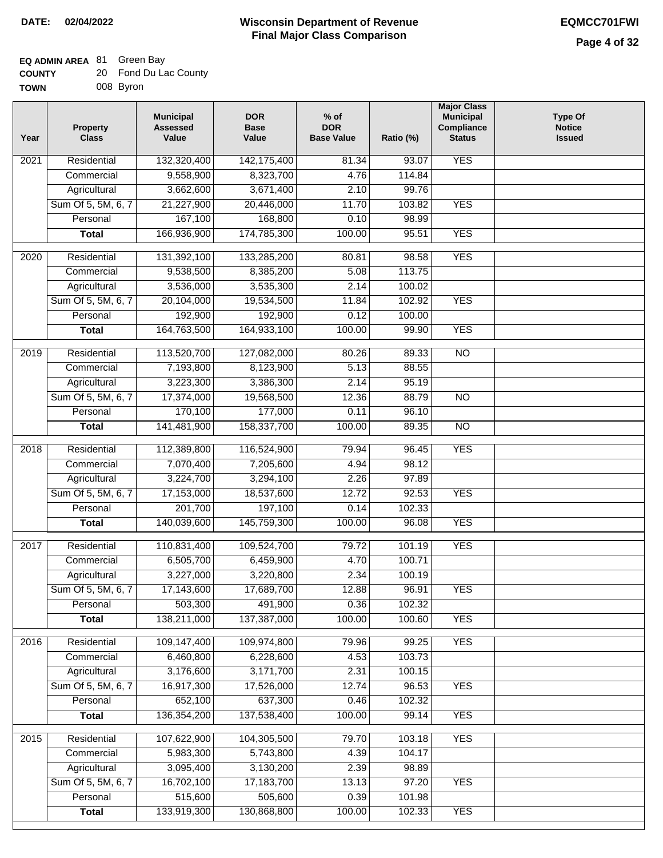#### **Wisconsin Department of Revenue Final Major Class Comparison DATE: 02/04/2022 EQMCC701FWI**

| <b>COUNTY</b> | 20 Fond Du Lac County |
|---------------|-----------------------|
| TOWN          | 008 Byron             |

| Year              | <b>Property</b><br><b>Class</b> | <b>Municipal</b><br><b>Assessed</b><br>Value | <b>DOR</b><br><b>Base</b><br>Value | $%$ of<br><b>DOR</b><br><b>Base Value</b> | Ratio (%) | <b>Major Class</b><br><b>Municipal</b><br>Compliance<br><b>Status</b> | <b>Type Of</b><br><b>Notice</b><br><b>Issued</b> |
|-------------------|---------------------------------|----------------------------------------------|------------------------------------|-------------------------------------------|-----------|-----------------------------------------------------------------------|--------------------------------------------------|
| 2021              | Residential                     | 132,320,400                                  | 142, 175, 400                      | 81.34                                     | 93.07     | <b>YES</b>                                                            |                                                  |
|                   | Commercial                      | 9,558,900                                    | 8,323,700                          | 4.76                                      | 114.84    |                                                                       |                                                  |
|                   | Agricultural                    | 3,662,600                                    | 3,671,400                          | 2.10                                      | 99.76     |                                                                       |                                                  |
|                   | Sum Of 5, 5M, 6, 7              | 21,227,900                                   | 20,446,000                         | 11.70                                     | 103.82    | <b>YES</b>                                                            |                                                  |
|                   | Personal                        | 167,100                                      | 168,800                            | 0.10                                      | 98.99     |                                                                       |                                                  |
|                   | <b>Total</b>                    | 166,936,900                                  | 174,785,300                        | 100.00                                    | 95.51     | <b>YES</b>                                                            |                                                  |
| $\overline{2020}$ | Residential                     | 131,392,100                                  | 133,285,200                        | 80.81                                     | 98.58     | <b>YES</b>                                                            |                                                  |
|                   | Commercial                      | 9,538,500                                    | 8,385,200                          | 5.08                                      | 113.75    |                                                                       |                                                  |
|                   | Agricultural                    | 3,536,000                                    | 3,535,300                          | 2.14                                      | 100.02    |                                                                       |                                                  |
|                   | Sum Of 5, 5M, 6, 7              | 20,104,000                                   | 19,534,500                         | 11.84                                     | 102.92    | <b>YES</b>                                                            |                                                  |
|                   | Personal                        | 192,900                                      | 192,900                            | 0.12                                      | 100.00    |                                                                       |                                                  |
|                   | <b>Total</b>                    | 164,763,500                                  | 164,933,100                        | 100.00                                    | 99.90     | <b>YES</b>                                                            |                                                  |
|                   |                                 |                                              |                                    |                                           |           |                                                                       |                                                  |
| $\frac{1}{2019}$  | Residential                     | 113,520,700                                  | 127,082,000                        | 80.26                                     | 89.33     | $\overline{NO}$                                                       |                                                  |
|                   | Commercial                      | 7,193,800                                    | 8,123,900                          | 5.13                                      | 88.55     |                                                                       |                                                  |
|                   | Agricultural                    | 3,223,300                                    | 3,386,300                          | 2.14                                      | 95.19     |                                                                       |                                                  |
|                   | Sum Of 5, 5M, 6, 7              | 17,374,000                                   | 19,568,500                         | 12.36                                     | 88.79     | $\overline{NO}$                                                       |                                                  |
|                   | Personal                        | 170,100                                      | 177,000                            | 0.11                                      | 96.10     |                                                                       |                                                  |
|                   | <b>Total</b>                    | 141,481,900                                  | 158,337,700                        | 100.00                                    | 89.35     | $\overline{NO}$                                                       |                                                  |
| 2018              | Residential                     | 112,389,800                                  | 116,524,900                        | 79.94                                     | 96.45     | <b>YES</b>                                                            |                                                  |
|                   | Commercial                      | 7,070,400                                    | 7,205,600                          | 4.94                                      | 98.12     |                                                                       |                                                  |
|                   | Agricultural                    | 3,224,700                                    | 3,294,100                          | 2.26                                      | 97.89     |                                                                       |                                                  |
|                   | Sum Of 5, 5M, 6, 7              | 17,153,000                                   | 18,537,600                         | 12.72                                     | 92.53     | <b>YES</b>                                                            |                                                  |
|                   | Personal                        | 201,700                                      | 197,100                            | 0.14                                      | 102.33    |                                                                       |                                                  |
|                   | <b>Total</b>                    | 140,039,600                                  | 145,759,300                        | 100.00                                    | 96.08     | <b>YES</b>                                                            |                                                  |
| 2017              | Residential                     | 110,831,400                                  | 109,524,700                        | 79.72                                     | 101.19    | <b>YES</b>                                                            |                                                  |
|                   | Commercial                      | 6,505,700                                    | 6,459,900                          | 4.70                                      | 100.71    |                                                                       |                                                  |
|                   | Agricultural                    | 3,227,000                                    | 3,220,800                          | 2.34                                      | 100.19    |                                                                       |                                                  |
|                   | Sum Of 5, 5M, 6, 7              | 17,143,600                                   | 17,689,700                         | 12.88                                     | 96.91     | <b>YES</b>                                                            |                                                  |
|                   | Personal                        | 503,300                                      | 491,900                            | 0.36                                      | 102.32    |                                                                       |                                                  |
|                   | <b>Total</b>                    | 138,211,000                                  | 137,387,000                        | 100.00                                    | 100.60    | <b>YES</b>                                                            |                                                  |
| 2016              | Residential                     | 109,147,400                                  | 109,974,800                        | 79.96                                     | 99.25     | <b>YES</b>                                                            |                                                  |
|                   | Commercial                      | 6,460,800                                    | 6,228,600                          | 4.53                                      | 103.73    |                                                                       |                                                  |
|                   | Agricultural                    | 3,176,600                                    | 3,171,700                          | 2.31                                      | 100.15    |                                                                       |                                                  |
|                   | Sum Of 5, 5M, 6, 7              | 16,917,300                                   | 17,526,000                         | 12.74                                     | 96.53     | <b>YES</b>                                                            |                                                  |
|                   | Personal                        | 652,100                                      | 637,300                            | 0.46                                      | 102.32    |                                                                       |                                                  |
|                   | <b>Total</b>                    | 136,354,200                                  | 137,538,400                        | 100.00                                    | 99.14     | <b>YES</b>                                                            |                                                  |
| 2015              | Residential                     | 107,622,900                                  | 104,305,500                        | 79.70                                     | 103.18    | <b>YES</b>                                                            |                                                  |
|                   | Commercial                      | 5,983,300                                    | 5,743,800                          | 4.39                                      | 104.17    |                                                                       |                                                  |
|                   | Agricultural                    | 3,095,400                                    | 3,130,200                          | 2.39                                      | 98.89     |                                                                       |                                                  |
|                   | Sum Of 5, 5M, 6, 7              | 16,702,100                                   | 17,183,700                         | 13.13                                     | 97.20     | <b>YES</b>                                                            |                                                  |
|                   | Personal                        | 515,600                                      | 505,600                            | 0.39                                      | 101.98    |                                                                       |                                                  |
|                   | <b>Total</b>                    | 133,919,300                                  | 130,868,800                        | 100.00                                    | 102.33    | <b>YES</b>                                                            |                                                  |
|                   |                                 |                                              |                                    |                                           |           |                                                                       |                                                  |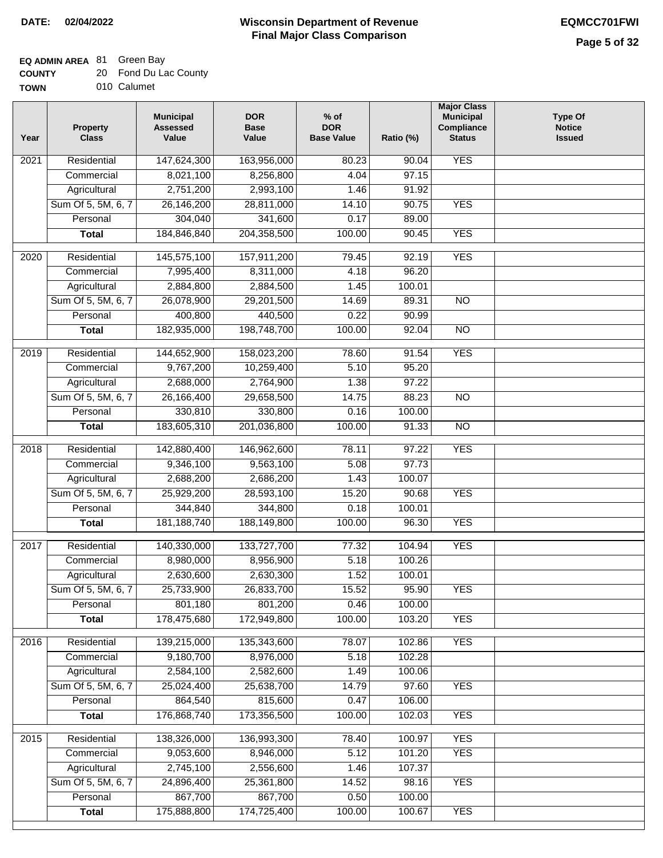### **EQ ADMIN AREA** 81 Green Bay

| <b>COUNTY</b> |  | 20 Fond Du Lac County |
|---------------|--|-----------------------|
|---------------|--|-----------------------|

**TOWN** 010 Calumet

| Year              | <b>Property</b><br><b>Class</b> | <b>Municipal</b><br><b>Assessed</b><br>Value | <b>DOR</b><br><b>Base</b><br>Value | $%$ of<br><b>DOR</b><br><b>Base Value</b> | Ratio (%)        | <b>Major Class</b><br><b>Municipal</b><br>Compliance<br><b>Status</b> | <b>Type Of</b><br><b>Notice</b><br><b>Issued</b> |
|-------------------|---------------------------------|----------------------------------------------|------------------------------------|-------------------------------------------|------------------|-----------------------------------------------------------------------|--------------------------------------------------|
| $\overline{202}1$ | Residential                     | 147,624,300                                  | 163,956,000                        | 80.23                                     | 90.04            | <b>YES</b>                                                            |                                                  |
|                   | Commercial                      | 8,021,100                                    | 8,256,800                          | 4.04                                      | 97.15            |                                                                       |                                                  |
|                   | Agricultural                    | 2,751,200                                    | 2,993,100                          | 1.46                                      | 91.92            |                                                                       |                                                  |
|                   | Sum Of 5, 5M, 6, 7              | 26,146,200                                   | 28,811,000                         | 14.10                                     | 90.75            | <b>YES</b>                                                            |                                                  |
|                   | Personal                        | 304,040                                      | 341,600                            | 0.17                                      | 89.00            |                                                                       |                                                  |
|                   | <b>Total</b>                    | 184,846,840                                  | 204,358,500                        | 100.00                                    | 90.45            | <b>YES</b>                                                            |                                                  |
| $\overline{2020}$ | Residential                     | 145,575,100                                  | 157,911,200                        | 79.45                                     | 92.19            | <b>YES</b>                                                            |                                                  |
|                   | Commercial                      | 7,995,400                                    | 8,311,000                          | 4.18                                      | 96.20            |                                                                       |                                                  |
|                   | Agricultural                    | 2,884,800                                    | 2,884,500                          | 1.45                                      | 100.01           |                                                                       |                                                  |
|                   | Sum Of 5, 5M, 6, 7              | 26,078,900                                   | 29,201,500                         | 14.69                                     | 89.31            | $\overline{NO}$                                                       |                                                  |
|                   | Personal                        | 400,800                                      | 440,500                            | 0.22                                      | 90.99            |                                                                       |                                                  |
|                   | <b>Total</b>                    | 182,935,000                                  | 198,748,700                        | 100.00                                    | 92.04            | $\overline{NO}$                                                       |                                                  |
| 2019              | Residential                     | 144,652,900                                  | 158,023,200                        | 78.60                                     | 91.54            | <b>YES</b>                                                            |                                                  |
|                   | Commercial                      | 9,767,200                                    | 10,259,400                         | 5.10                                      | 95.20            |                                                                       |                                                  |
|                   | Agricultural                    | 2,688,000                                    | 2,764,900                          | 1.38                                      | 97.22            |                                                                       |                                                  |
|                   | Sum Of 5, 5M, 6, 7              | 26,166,400                                   | 29,658,500                         | 14.75                                     | 88.23            | $\overline{NO}$                                                       |                                                  |
|                   | Personal                        | 330,810                                      | 330,800                            | 0.16                                      | 100.00           |                                                                       |                                                  |
|                   | <b>Total</b>                    | 183,605,310                                  | 201,036,800                        | 100.00                                    | 91.33            | $\overline{NO}$                                                       |                                                  |
|                   |                                 |                                              |                                    |                                           |                  |                                                                       |                                                  |
| 2018              | Residential                     | 142,880,400                                  | 146,962,600                        | 78.11                                     | 97.22            | <b>YES</b>                                                            |                                                  |
|                   | Commercial                      | 9,346,100                                    | 9,563,100                          | 5.08                                      | 97.73            |                                                                       |                                                  |
|                   | Agricultural                    | 2,688,200                                    | 2,686,200                          | 1.43                                      | 100.07           |                                                                       |                                                  |
|                   | Sum Of 5, 5M, 6, 7              | 25,929,200                                   | 28,593,100                         | 15.20                                     | 90.68            | <b>YES</b>                                                            |                                                  |
|                   | Personal                        | 344,840                                      | 344,800                            | 0.18                                      | 100.01           |                                                                       |                                                  |
|                   | <b>Total</b>                    | 181, 188, 740                                | 188,149,800                        | 100.00                                    | 96.30            | <b>YES</b>                                                            |                                                  |
| $\overline{2017}$ | Residential                     | 140,330,000                                  | 133,727,700                        | 77.32                                     | 104.94           | <b>YES</b>                                                            |                                                  |
|                   | Commercial                      | 8,980,000                                    | 8,956,900                          | 5.18                                      | 100.26           |                                                                       |                                                  |
|                   | Agricultural                    | 2,630,600                                    | 2,630,300                          | 1.52                                      | 100.01           |                                                                       |                                                  |
|                   | Sum Of 5, 5M, 6, 7              | 25,733,900                                   | 26,833,700                         | 15.52                                     | 95.90            | <b>YES</b>                                                            |                                                  |
|                   | Personal                        | 801,180                                      | 801,200                            | 0.46                                      | 100.00           |                                                                       |                                                  |
|                   | <b>Total</b>                    | 178,475,680                                  | 172,949,800                        | 100.00                                    | 103.20           | <b>YES</b>                                                            |                                                  |
| 2016              | Residential                     | 139,215,000                                  | 135,343,600                        | 78.07                                     | 102.86           | <b>YES</b>                                                            |                                                  |
|                   | Commercial                      | 9,180,700                                    | 8,976,000                          | 5.18                                      | 102.28           |                                                                       |                                                  |
|                   | Agricultural                    | 2,584,100                                    | 2,582,600                          | 1.49                                      | 100.06           |                                                                       |                                                  |
|                   | Sum Of 5, 5M, 6, 7              | 25,024,400                                   | 25,638,700                         | 14.79                                     | 97.60            | <b>YES</b>                                                            |                                                  |
|                   | Personal                        | 864,540                                      | 815,600                            | 0.47                                      | 106.00           |                                                                       |                                                  |
|                   | <b>Total</b>                    | 176,868,740                                  | 173,356,500                        | 100.00                                    | 102.03           | <b>YES</b>                                                            |                                                  |
|                   |                                 |                                              |                                    |                                           |                  |                                                                       |                                                  |
| 2015              | Residential                     | 138,326,000                                  | 136,993,300                        | 78.40                                     | 100.97           | <b>YES</b><br><b>YES</b>                                              |                                                  |
|                   | Commercial<br>Agricultural      | 9,053,600<br>2,745,100                       | 8,946,000<br>2,556,600             | 5.12<br>1.46                              | 101.20<br>107.37 |                                                                       |                                                  |
|                   | Sum Of 5, 5M, 6, 7              | 24,896,400                                   | 25,361,800                         | 14.52                                     | 98.16            | <b>YES</b>                                                            |                                                  |
|                   | Personal                        | 867,700                                      | 867,700                            | 0.50                                      | 100.00           |                                                                       |                                                  |
|                   | <b>Total</b>                    | 175,888,800                                  | 174,725,400                        | 100.00                                    | 100.67           | <b>YES</b>                                                            |                                                  |
|                   |                                 |                                              |                                    |                                           |                  |                                                                       |                                                  |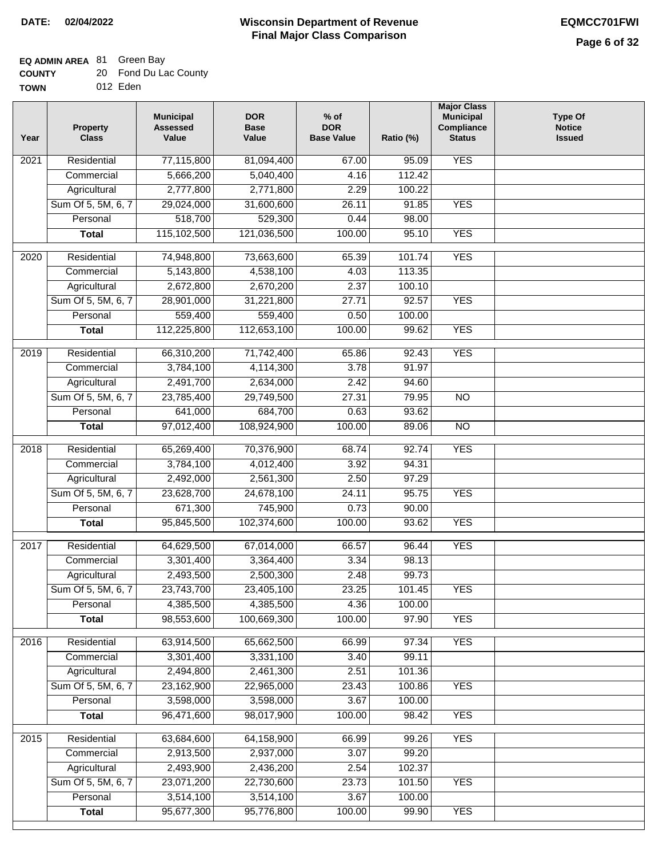#### **Wisconsin Department of Revenue Final Major Class Comparison DATE: 02/04/2022 EQMCC701FWI**

┑

## **EQ ADMIN AREA** 81 Green Bay

| <b>COUNTY</b> | 20 Fond Du Lac County |
|---------------|-----------------------|
| <b>TOWN</b>   | 012 Eden              |

| Year              | <b>Property</b><br><b>Class</b> | <b>Municipal</b><br><b>Assessed</b><br>Value | <b>DOR</b><br><b>Base</b><br>Value | $%$ of<br><b>DOR</b><br><b>Base Value</b> | Ratio (%) | <b>Major Class</b><br><b>Municipal</b><br>Compliance<br><b>Status</b> | <b>Type Of</b><br><b>Notice</b><br><b>Issued</b> |
|-------------------|---------------------------------|----------------------------------------------|------------------------------------|-------------------------------------------|-----------|-----------------------------------------------------------------------|--------------------------------------------------|
| 2021              | Residential                     | 77,115,800                                   | 81,094,400                         | 67.00                                     | 95.09     | <b>YES</b>                                                            |                                                  |
|                   | Commercial                      | 5,666,200                                    | 5,040,400                          | 4.16                                      | 112.42    |                                                                       |                                                  |
|                   | Agricultural                    | 2,777,800                                    | 2,771,800                          | 2.29                                      | 100.22    |                                                                       |                                                  |
|                   | Sum Of 5, 5M, 6, 7              | 29,024,000                                   | 31,600,600                         | 26.11                                     | 91.85     | <b>YES</b>                                                            |                                                  |
|                   | Personal                        | 518,700                                      | 529,300                            | 0.44                                      | 98.00     |                                                                       |                                                  |
|                   | <b>Total</b>                    | 115,102,500                                  | 121,036,500                        | 100.00                                    | 95.10     | <b>YES</b>                                                            |                                                  |
| 2020              | Residential                     | 74,948,800                                   | 73,663,600                         | 65.39                                     | 101.74    | <b>YES</b>                                                            |                                                  |
|                   | Commercial                      | 5,143,800                                    | 4,538,100                          | 4.03                                      | 113.35    |                                                                       |                                                  |
|                   | Agricultural                    | 2,672,800                                    | 2,670,200                          | 2.37                                      | 100.10    |                                                                       |                                                  |
|                   | Sum Of 5, 5M, 6, 7              | 28,901,000                                   | 31,221,800                         | 27.71                                     | 92.57     | <b>YES</b>                                                            |                                                  |
|                   | Personal                        | 559,400                                      | 559,400                            | 0.50                                      | 100.00    |                                                                       |                                                  |
|                   | <b>Total</b>                    | 112,225,800                                  | 112,653,100                        | 100.00                                    | 99.62     | <b>YES</b>                                                            |                                                  |
|                   |                                 |                                              |                                    |                                           |           |                                                                       |                                                  |
| 2019              | Residential                     | 66,310,200                                   | 71,742,400                         | 65.86                                     | 92.43     | <b>YES</b>                                                            |                                                  |
|                   | Commercial                      | 3,784,100                                    | 4,114,300                          | 3.78                                      | 91.97     |                                                                       |                                                  |
|                   | Agricultural                    | 2,491,700                                    | 2,634,000                          | 2.42                                      | 94.60     |                                                                       |                                                  |
|                   | Sum Of 5, 5M, 6, 7              | 23,785,400                                   | 29,749,500                         | 27.31                                     | 79.95     | $\overline{NO}$                                                       |                                                  |
|                   | Personal                        | 641,000                                      | 684,700                            | 0.63                                      | 93.62     |                                                                       |                                                  |
|                   | <b>Total</b>                    | 97,012,400                                   | 108,924,900                        | 100.00                                    | 89.06     | $\overline{NO}$                                                       |                                                  |
| $\overline{2018}$ | Residential                     | 65,269,400                                   | 70,376,900                         | 68.74                                     | 92.74     | <b>YES</b>                                                            |                                                  |
|                   | Commercial                      | 3,784,100                                    | 4,012,400                          | 3.92                                      | 94.31     |                                                                       |                                                  |
|                   | Agricultural                    | 2,492,000                                    | 2,561,300                          | 2.50                                      | 97.29     |                                                                       |                                                  |
|                   | Sum Of 5, 5M, 6, 7              | 23,628,700                                   | 24,678,100                         | 24.11                                     | 95.75     | <b>YES</b>                                                            |                                                  |
|                   | Personal                        | 671,300                                      | 745,900                            | 0.73                                      | 90.00     |                                                                       |                                                  |
|                   | <b>Total</b>                    | 95,845,500                                   | 102,374,600                        | 100.00                                    | 93.62     | <b>YES</b>                                                            |                                                  |
| 2017              | Residential                     | 64,629,500                                   | 67,014,000                         | 66.57                                     | 96.44     | <b>YES</b>                                                            |                                                  |
|                   | Commercial                      | 3,301,400                                    | 3,364,400                          | 3.34                                      | 98.13     |                                                                       |                                                  |
|                   | Agricultural                    | 2,493,500                                    | 2,500,300                          | 2.48                                      | 99.73     |                                                                       |                                                  |
|                   | Sum Of 5, 5M, 6, 7              | 23,743,700                                   | 23,405,100                         | 23.25                                     | 101.45    | <b>YES</b>                                                            |                                                  |
|                   | Personal                        | 4,385,500                                    | 4,385,500                          | 4.36                                      | 100.00    |                                                                       |                                                  |
|                   | <b>Total</b>                    | 98,553,600                                   | 100,669,300                        | 100.00                                    | 97.90     | <b>YES</b>                                                            |                                                  |
|                   |                                 |                                              |                                    |                                           |           |                                                                       |                                                  |
| 2016              | Residential                     | 63,914,500                                   | 65,662,500                         | 66.99                                     | 97.34     | <b>YES</b>                                                            |                                                  |
|                   | Commercial                      | 3,301,400                                    | 3,331,100                          | 3.40                                      | 99.11     |                                                                       |                                                  |
|                   | Agricultural                    | 2,494,800                                    | 2,461,300                          | 2.51                                      | 101.36    |                                                                       |                                                  |
|                   | Sum Of 5, 5M, 6, 7              | 23,162,900                                   | 22,965,000                         | 23.43                                     | 100.86    | <b>YES</b>                                                            |                                                  |
|                   | Personal                        | 3,598,000                                    | 3,598,000                          | 3.67                                      | 100.00    |                                                                       |                                                  |
|                   | <b>Total</b>                    | 96,471,600                                   | 98,017,900                         | 100.00                                    | 98.42     | <b>YES</b>                                                            |                                                  |
| 2015              | Residential                     | 63,684,600                                   | 64,158,900                         | 66.99                                     | 99.26     | <b>YES</b>                                                            |                                                  |
|                   | Commercial                      | 2,913,500                                    | 2,937,000                          | 3.07                                      | 99.20     |                                                                       |                                                  |
|                   | Agricultural                    | 2,493,900                                    | 2,436,200                          | 2.54                                      | 102.37    |                                                                       |                                                  |
|                   | Sum Of 5, 5M, 6, 7              | 23,071,200                                   | 22,730,600                         | 23.73                                     | 101.50    | <b>YES</b>                                                            |                                                  |
|                   | Personal                        | 3,514,100                                    | 3,514,100                          | 3.67                                      | 100.00    |                                                                       |                                                  |
|                   | <b>Total</b>                    | 95,677,300                                   | 95,776,800                         | 100.00                                    | 99.90     | <b>YES</b>                                                            |                                                  |
|                   |                                 |                                              |                                    |                                           |           |                                                                       |                                                  |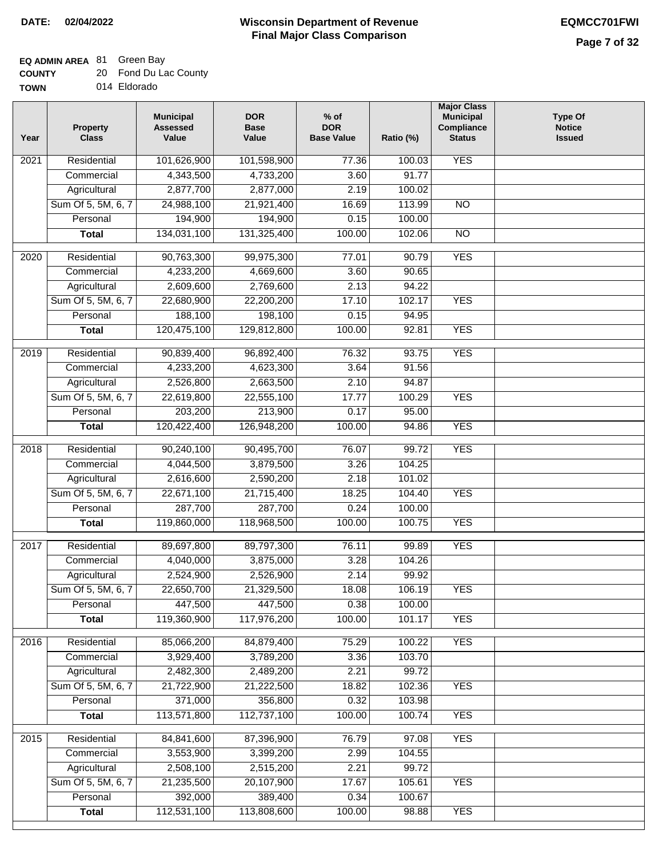## **EQ ADMIN AREA** 81 Green Bay

| <b>COUNTY</b> | 20 Fond Du Lac County |
|---------------|-----------------------|
| <b>TOWN</b>   | 014 Eldorado          |

| Year              | <b>Property</b><br><b>Class</b> | <b>Municipal</b><br><b>Assessed</b><br>Value | <b>DOR</b><br><b>Base</b><br>Value | % of<br><b>DOR</b><br><b>Base Value</b> | Ratio (%)       | <b>Major Class</b><br><b>Municipal</b><br>Compliance<br><b>Status</b> | <b>Type Of</b><br><b>Notice</b><br><b>Issued</b> |
|-------------------|---------------------------------|----------------------------------------------|------------------------------------|-----------------------------------------|-----------------|-----------------------------------------------------------------------|--------------------------------------------------|
| $\overline{202}1$ | Residential                     | 101,626,900                                  | 101,598,900                        | 77.36                                   | 100.03          | <b>YES</b>                                                            |                                                  |
|                   | Commercial                      | 4,343,500                                    | 4,733,200                          | 3.60                                    | 91.77           |                                                                       |                                                  |
|                   | Agricultural                    | 2,877,700                                    | 2,877,000                          | 2.19                                    | 100.02          |                                                                       |                                                  |
|                   | Sum Of 5, 5M, 6, 7              | 24,988,100                                   | 21,921,400                         | 16.69                                   | 113.99          | N <sub>O</sub>                                                        |                                                  |
|                   | Personal                        | 194,900                                      | 194,900                            | 0.15                                    | 100.00          |                                                                       |                                                  |
|                   | <b>Total</b>                    | 134,031,100                                  | 131,325,400                        | 100.00                                  | 102.06          | $\overline{NO}$                                                       |                                                  |
| $\overline{2020}$ | Residential                     | 90,763,300                                   | 99,975,300                         | 77.01                                   | 90.79           | <b>YES</b>                                                            |                                                  |
|                   | Commercial                      | 4,233,200                                    | 4,669,600                          | 3.60                                    | 90.65           |                                                                       |                                                  |
|                   | Agricultural                    | 2,609,600                                    | 2,769,600                          | 2.13                                    | 94.22           |                                                                       |                                                  |
|                   | Sum Of 5, 5M, 6, 7              | 22,680,900                                   | 22,200,200                         | 17.10                                   | 102.17          | <b>YES</b>                                                            |                                                  |
|                   | Personal                        | 188,100                                      | 198,100                            | 0.15                                    | 94.95           |                                                                       |                                                  |
|                   | <b>Total</b>                    | 120,475,100                                  | 129,812,800                        | 100.00                                  | 92.81           | <b>YES</b>                                                            |                                                  |
|                   |                                 |                                              |                                    |                                         |                 |                                                                       |                                                  |
| 2019              | Residential                     | 90,839,400                                   | 96,892,400                         | 76.32                                   | 93.75           | <b>YES</b>                                                            |                                                  |
|                   | Commercial                      | 4,233,200                                    | 4,623,300                          | 3.64                                    | 91.56           |                                                                       |                                                  |
|                   | Agricultural                    | 2,526,800                                    | 2,663,500                          | 2.10                                    | 94.87           |                                                                       |                                                  |
|                   | Sum Of 5, 5M, 6, 7              | 22,619,800                                   | 22,555,100                         | 17.77                                   | 100.29          | <b>YES</b>                                                            |                                                  |
|                   | Personal                        | 203,200                                      | 213,900                            | 0.17                                    | 95.00           |                                                                       |                                                  |
|                   | <b>Total</b>                    | 120,422,400                                  | 126,948,200                        | 100.00                                  | 94.86           | <b>YES</b>                                                            |                                                  |
| 2018              | Residential                     | 90,240,100                                   | 90,495,700                         | 76.07                                   | 99.72           | <b>YES</b>                                                            |                                                  |
|                   | Commercial                      | 4,044,500                                    | 3,879,500                          | 3.26                                    | 104.25          |                                                                       |                                                  |
|                   | Agricultural                    | 2,616,600                                    | 2,590,200                          | 2.18                                    | 101.02          |                                                                       |                                                  |
|                   | Sum Of 5, 5M, 6, 7              | 22,671,100                                   | 21,715,400                         | 18.25                                   | 104.40          | <b>YES</b>                                                            |                                                  |
|                   | Personal                        | 287,700                                      | 287,700                            | 0.24                                    | 100.00          |                                                                       |                                                  |
|                   | <b>Total</b>                    | 119,860,000                                  | 118,968,500                        | 100.00                                  | 100.75          | <b>YES</b>                                                            |                                                  |
| 2017              | Residential                     | 89,697,800                                   | 89,797,300                         | 76.11                                   | 99.89           | <b>YES</b>                                                            |                                                  |
|                   | Commercial                      | 4,040,000                                    | 3,875,000                          | 3.28                                    | 104.26          |                                                                       |                                                  |
|                   | Agricultural                    | 2,524,900                                    | 2,526,900                          | 2.14                                    | 99.92           |                                                                       |                                                  |
|                   | Sum Of 5, 5M, 6, 7              | 22,650,700                                   | 21,329,500                         | 18.08                                   | 106.19          | <b>YES</b>                                                            |                                                  |
|                   | Personal                        | 447,500                                      | 447,500                            | 0.38                                    | 100.00          |                                                                       |                                                  |
|                   | <b>Total</b>                    | 119,360,900                                  | 117,976,200                        | 100.00                                  | 101.17          | <b>YES</b>                                                            |                                                  |
|                   |                                 |                                              |                                    |                                         |                 |                                                                       |                                                  |
| 2016              | Residential                     | 85,066,200                                   | 84,879,400                         | 75.29                                   | 100.22          | <b>YES</b>                                                            |                                                  |
|                   | Commercial<br>Agricultural      | 3,929,400<br>2,482,300                       | 3,789,200<br>2,489,200             | 3.36<br>2.21                            | 103.70<br>99.72 |                                                                       |                                                  |
|                   | Sum Of 5, 5M, 6, 7              | 21,722,900                                   | 21,222,500                         | 18.82                                   | 102.36          | <b>YES</b>                                                            |                                                  |
|                   | Personal                        | 371,000                                      | 356,800                            | 0.32                                    | 103.98          |                                                                       |                                                  |
|                   | <b>Total</b>                    | 113,571,800                                  | 112,737,100                        | 100.00                                  | 100.74          | <b>YES</b>                                                            |                                                  |
|                   |                                 |                                              |                                    |                                         |                 |                                                                       |                                                  |
| 2015              | Residential                     | 84,841,600                                   | 87,396,900                         | 76.79                                   | 97.08           | <b>YES</b>                                                            |                                                  |
|                   | Commercial                      | 3,553,900                                    | 3,399,200                          | 2.99                                    | 104.55          |                                                                       |                                                  |
|                   | Agricultural                    | 2,508,100                                    | 2,515,200                          | 2.21                                    | 99.72           |                                                                       |                                                  |
|                   | Sum Of 5, 5M, 6, 7              | 21,235,500                                   | 20,107,900                         | 17.67                                   | 105.61          | <b>YES</b>                                                            |                                                  |
|                   | Personal                        | 392,000                                      | 389,400                            | 0.34                                    | 100.67          |                                                                       |                                                  |
|                   | <b>Total</b>                    | 112,531,100                                  | 113,808,600                        | 100.00                                  | 98.88           | <b>YES</b>                                                            |                                                  |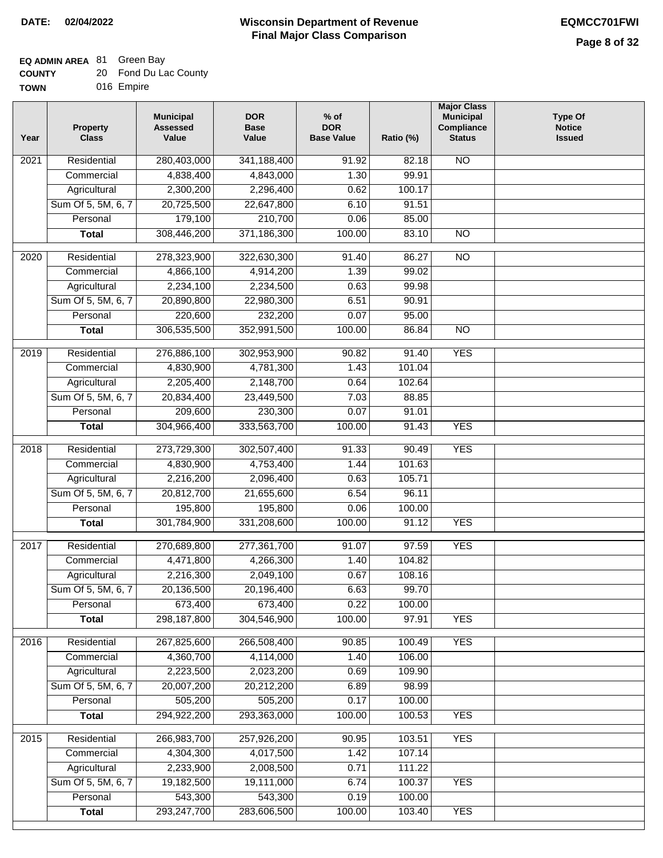### **EQ ADMIN AREA** 81 Green Bay

| <b>COUNTY</b> | 20 Fond Du Lac County |
|---------------|-----------------------|
| <b>TOWN</b>   | 016 Empire            |

016 Empire

| Year              | <b>Property</b><br><b>Class</b>    | <b>Municipal</b><br><b>Assessed</b><br>Value | <b>DOR</b><br><b>Base</b><br>Value | $%$ of<br><b>DOR</b><br><b>Base Value</b> | Ratio (%)      | <b>Major Class</b><br><b>Municipal</b><br>Compliance<br><b>Status</b> | <b>Type Of</b><br><b>Notice</b><br><b>Issued</b> |
|-------------------|------------------------------------|----------------------------------------------|------------------------------------|-------------------------------------------|----------------|-----------------------------------------------------------------------|--------------------------------------------------|
| 2021              | Residential                        | 280,403,000                                  | 341,188,400                        | 91.92                                     | 82.18          | N <sub>O</sub>                                                        |                                                  |
|                   | Commercial                         | 4,838,400                                    | 4,843,000                          | 1.30                                      | 99.91          |                                                                       |                                                  |
|                   | Agricultural                       | 2,300,200                                    | 2,296,400                          | 0.62                                      | 100.17         |                                                                       |                                                  |
|                   | Sum Of 5, 5M, 6, 7                 | 20,725,500                                   | 22,647,800                         | 6.10                                      | 91.51          |                                                                       |                                                  |
|                   | Personal                           | 179,100                                      | 210,700                            | 0.06                                      | 85.00          |                                                                       |                                                  |
|                   | <b>Total</b>                       | 308,446,200                                  | 371,186,300                        | 100.00                                    | 83.10          | <b>NO</b>                                                             |                                                  |
|                   |                                    |                                              |                                    |                                           |                |                                                                       |                                                  |
| $\overline{2020}$ | Residential                        | 278,323,900                                  | 322,630,300                        | 91.40<br>1.39                             | 86.27<br>99.02 | $\overline{N}$                                                        |                                                  |
|                   | Commercial                         | 4,866,100<br>2,234,100                       | 4,914,200<br>2,234,500             | 0.63                                      | 99.98          |                                                                       |                                                  |
|                   | Agricultural<br>Sum Of 5, 5M, 6, 7 | 20,890,800                                   | 22,980,300                         | 6.51                                      | 90.91          |                                                                       |                                                  |
|                   | Personal                           | 220,600                                      | 232,200                            | 0.07                                      | 95.00          |                                                                       |                                                  |
|                   | <b>Total</b>                       | 306,535,500                                  | 352,991,500                        | 100.00                                    | 86.84          | $\overline{NO}$                                                       |                                                  |
|                   |                                    |                                              |                                    |                                           |                |                                                                       |                                                  |
| 2019              | Residential                        | 276,886,100                                  | 302,953,900                        | 90.82                                     | 91.40          | <b>YES</b>                                                            |                                                  |
|                   | Commercial                         | 4,830,900                                    | 4,781,300                          | 1.43                                      | 101.04         |                                                                       |                                                  |
|                   | Agricultural                       | 2,205,400                                    | 2,148,700                          | 0.64                                      | 102.64         |                                                                       |                                                  |
|                   | Sum Of 5, 5M, 6, 7                 | 20,834,400                                   | 23,449,500                         | 7.03                                      | 88.85          |                                                                       |                                                  |
|                   | Personal                           | 209,600                                      | 230,300                            | 0.07                                      | 91.01          |                                                                       |                                                  |
|                   | <b>Total</b>                       | 304,966,400                                  | 333,563,700                        | 100.00                                    | 91.43          | <b>YES</b>                                                            |                                                  |
| 2018              | Residential                        | 273,729,300                                  | 302,507,400                        | 91.33                                     | 90.49          | <b>YES</b>                                                            |                                                  |
|                   | Commercial                         | 4,830,900                                    | 4,753,400                          | 1.44                                      | 101.63         |                                                                       |                                                  |
|                   | Agricultural                       | 2,216,200                                    | 2,096,400                          | 0.63                                      | 105.71         |                                                                       |                                                  |
|                   | Sum Of 5, 5M, 6, 7                 | 20,812,700                                   | 21,655,600                         | 6.54                                      | 96.11          |                                                                       |                                                  |
|                   | Personal                           | 195,800                                      | 195,800                            | 0.06                                      | 100.00         |                                                                       |                                                  |
|                   | <b>Total</b>                       | 301,784,900                                  | 331,208,600                        | 100.00                                    | 91.12          | <b>YES</b>                                                            |                                                  |
| 2017              | Residential                        | 270,689,800                                  | 277,361,700                        | 91.07                                     | 97.59          | <b>YES</b>                                                            |                                                  |
|                   | Commercial                         | 4,471,800                                    | 4,266,300                          | 1.40                                      | 104.82         |                                                                       |                                                  |
|                   | Agricultural                       | 2,216,300                                    | 2,049,100                          | 0.67                                      | 108.16         |                                                                       |                                                  |
|                   | Sum Of 5, 5M, 6, 7                 | 20,136,500                                   | 20,196,400                         | 6.63                                      | 99.70          |                                                                       |                                                  |
|                   | Personal                           | 673,400                                      | 673,400                            | 0.22                                      | 100.00         |                                                                       |                                                  |
|                   | <b>Total</b>                       | 298,187,800                                  | 304,546,900                        | 100.00                                    | 97.91          | <b>YES</b>                                                            |                                                  |
|                   |                                    |                                              |                                    |                                           |                |                                                                       |                                                  |
| 2016              | Residential                        | 267,825,600                                  | 266,508,400                        | 90.85                                     | 100.49         | <b>YES</b>                                                            |                                                  |
|                   | Commercial                         | 4,360,700                                    | 4,114,000                          | 1.40                                      | 106.00         |                                                                       |                                                  |
|                   | Agricultural                       | 2,223,500                                    | 2,023,200                          | 0.69                                      | 109.90         |                                                                       |                                                  |
|                   | Sum Of 5, 5M, 6, 7                 | 20,007,200                                   | 20,212,200                         | 6.89                                      | 98.99          |                                                                       |                                                  |
|                   | Personal                           | 505,200                                      | 505,200                            | 0.17                                      | 100.00         |                                                                       |                                                  |
|                   | <b>Total</b>                       | 294,922,200                                  | 293,363,000                        | 100.00                                    | 100.53         | <b>YES</b>                                                            |                                                  |
| 2015              | Residential                        | 266,983,700                                  | 257,926,200                        | 90.95                                     | 103.51         | <b>YES</b>                                                            |                                                  |
|                   | Commercial                         | 4,304,300                                    | 4,017,500                          | 1.42                                      | 107.14         |                                                                       |                                                  |
|                   | Agricultural                       | 2,233,900                                    | 2,008,500                          | 0.71                                      | 111.22         |                                                                       |                                                  |
|                   | Sum Of 5, 5M, 6, 7                 | 19,182,500                                   | 19,111,000                         | 6.74                                      | 100.37         | <b>YES</b>                                                            |                                                  |
|                   | Personal                           | 543,300                                      | 543,300                            | 0.19                                      | 100.00         |                                                                       |                                                  |
|                   | <b>Total</b>                       | 293,247,700                                  | 283,606,500                        | 100.00                                    | 103.40         | <b>YES</b>                                                            |                                                  |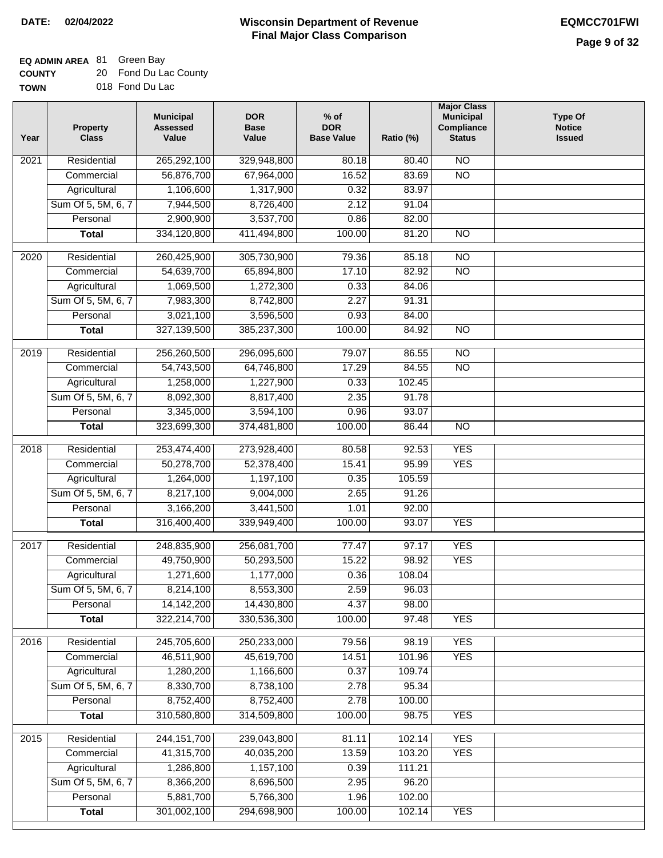### **EQ ADMIN AREA** 81 Green Bay

| <b>COUNTY</b> | 20 Fond Du Lac County |
|---------------|-----------------------|
| <b>TOWN</b>   | 018 Fond Du Lac       |

| Year             | <b>Property</b><br><b>Class</b> | <b>Municipal</b><br><b>Assessed</b><br>Value | <b>DOR</b><br><b>Base</b><br>Value | $%$ of<br><b>DOR</b><br><b>Base Value</b> | Ratio (%) | <b>Major Class</b><br><b>Municipal</b><br>Compliance<br><b>Status</b> | <b>Type Of</b><br><b>Notice</b><br><b>Issued</b> |
|------------------|---------------------------------|----------------------------------------------|------------------------------------|-------------------------------------------|-----------|-----------------------------------------------------------------------|--------------------------------------------------|
| 2021             | Residential                     | 265,292,100                                  | 329,948,800                        | 80.18                                     | 80.40     | N <sub>O</sub>                                                        |                                                  |
|                  | Commercial                      | 56,876,700                                   | 67,964,000                         | 16.52                                     | 83.69     | $\overline{NO}$                                                       |                                                  |
|                  | Agricultural                    | 1,106,600                                    | 1,317,900                          | 0.32                                      | 83.97     |                                                                       |                                                  |
|                  | Sum Of 5, 5M, 6, 7              | 7,944,500                                    | 8,726,400                          | 2.12                                      | 91.04     |                                                                       |                                                  |
|                  | Personal                        | 2,900,900                                    | 3,537,700                          | 0.86                                      | 82.00     |                                                                       |                                                  |
|                  | <b>Total</b>                    | 334,120,800                                  | 411,494,800                        | 100.00                                    | 81.20     | <b>NO</b>                                                             |                                                  |
|                  |                                 |                                              |                                    |                                           |           |                                                                       |                                                  |
| 2020             | Residential                     | 260,425,900                                  | 305,730,900                        | 79.36                                     | 85.18     | $\overline{NO}$                                                       |                                                  |
|                  | Commercial                      | 54,639,700                                   | 65,894,800                         | 17.10                                     | 82.92     | $\overline{NO}$                                                       |                                                  |
|                  | Agricultural                    | 1,069,500                                    | 1,272,300                          | 0.33                                      | 84.06     |                                                                       |                                                  |
|                  | Sum Of 5, 5M, 6, 7              | 7,983,300                                    | 8,742,800                          | 2.27                                      | 91.31     |                                                                       |                                                  |
|                  | Personal                        | 3,021,100                                    | 3,596,500                          | 0.93                                      | 84.00     |                                                                       |                                                  |
|                  | <b>Total</b>                    | 327,139,500                                  | 385,237,300                        | 100.00                                    | 84.92     | $\overline{NO}$                                                       |                                                  |
| $\frac{1}{2019}$ | Residential                     | 256,260,500                                  | 296,095,600                        | 79.07                                     | 86.55     | $\overline{NO}$                                                       |                                                  |
|                  | Commercial                      | 54,743,500                                   | 64,746,800                         | 17.29                                     | 84.55     | $\overline{NO}$                                                       |                                                  |
|                  | Agricultural                    | 1,258,000                                    | 1,227,900                          | 0.33                                      | 102.45    |                                                                       |                                                  |
|                  | Sum Of 5, 5M, 6, 7              | 8,092,300                                    | 8,817,400                          | 2.35                                      | 91.78     |                                                                       |                                                  |
|                  | Personal                        | 3,345,000                                    | 3,594,100                          | 0.96                                      | 93.07     |                                                                       |                                                  |
|                  | <b>Total</b>                    | 323,699,300                                  | 374,481,800                        | 100.00                                    | 86.44     | $\overline{NO}$                                                       |                                                  |
|                  |                                 |                                              |                                    |                                           |           |                                                                       |                                                  |
| 2018             | Residential                     | 253,474,400                                  | 273,928,400                        | 80.58                                     | 92.53     | <b>YES</b>                                                            |                                                  |
|                  | Commercial                      | 50,278,700                                   | 52,378,400                         | 15.41                                     | 95.99     | <b>YES</b>                                                            |                                                  |
|                  | Agricultural                    | 1,264,000                                    | 1,197,100                          | 0.35                                      | 105.59    |                                                                       |                                                  |
|                  | Sum Of 5, 5M, 6, 7              | 8,217,100                                    | 9,004,000                          | 2.65                                      | 91.26     |                                                                       |                                                  |
|                  | Personal                        | 3,166,200                                    | 3,441,500                          | 1.01                                      | 92.00     |                                                                       |                                                  |
|                  | <b>Total</b>                    | 316,400,400                                  | 339,949,400                        | 100.00                                    | 93.07     | <b>YES</b>                                                            |                                                  |
| 2017             | Residential                     | 248,835,900                                  | 256,081,700                        | 77.47                                     | 97.17     | <b>YES</b>                                                            |                                                  |
|                  | Commercial                      | 49,750,900                                   | 50,293,500                         | 15.22                                     | 98.92     | <b>YES</b>                                                            |                                                  |
|                  | Agricultural                    | 1,271,600                                    | 1,177,000                          | 0.36                                      | 108.04    |                                                                       |                                                  |
|                  | Sum Of 5, 5M, 6, 7              | 8,214,100                                    | 8,553,300                          | 2.59                                      | 96.03     |                                                                       |                                                  |
|                  | Personal                        | 14, 142, 200                                 | 14,430,800                         | 4.37                                      | 98.00     |                                                                       |                                                  |
|                  | <b>Total</b>                    | 322,214,700                                  | 330,536,300                        | 100.00                                    | 97.48     | <b>YES</b>                                                            |                                                  |
|                  |                                 |                                              |                                    |                                           |           |                                                                       |                                                  |
| 2016             | Residential                     | 245,705,600                                  | 250,233,000                        | 79.56                                     | 98.19     | <b>YES</b>                                                            |                                                  |
|                  | Commercial                      | 46,511,900                                   | 45,619,700                         | 14.51                                     | 101.96    | <b>YES</b>                                                            |                                                  |
|                  | Agricultural                    | 1,280,200                                    | 1,166,600                          | 0.37                                      | 109.74    |                                                                       |                                                  |
|                  | Sum Of 5, 5M, 6, 7              | 8,330,700                                    | 8,738,100                          | 2.78                                      | 95.34     |                                                                       |                                                  |
|                  | Personal                        | 8,752,400                                    | 8,752,400                          | 2.78                                      | 100.00    |                                                                       |                                                  |
|                  | <b>Total</b>                    | 310,580,800                                  | 314,509,800                        | 100.00                                    | 98.75     | <b>YES</b>                                                            |                                                  |
| 2015             | Residential                     | 244, 151, 700                                | 239,043,800                        | 81.11                                     | 102.14    | <b>YES</b>                                                            |                                                  |
|                  | Commercial                      | 41,315,700                                   | 40,035,200                         | 13.59                                     | 103.20    | <b>YES</b>                                                            |                                                  |
|                  | Agricultural                    | 1,286,800                                    | 1,157,100                          | 0.39                                      | 111.21    |                                                                       |                                                  |
|                  | Sum Of 5, 5M, 6, 7              | 8,366,200                                    | 8,696,500                          | 2.95                                      | 96.20     |                                                                       |                                                  |
|                  | Personal                        | 5,881,700                                    | 5,766,300                          | 1.96                                      | 102.00    |                                                                       |                                                  |
|                  | <b>Total</b>                    | 301,002,100                                  | 294,698,900                        | 100.00                                    | 102.14    | <b>YES</b>                                                            |                                                  |
|                  |                                 |                                              |                                    |                                           |           |                                                                       |                                                  |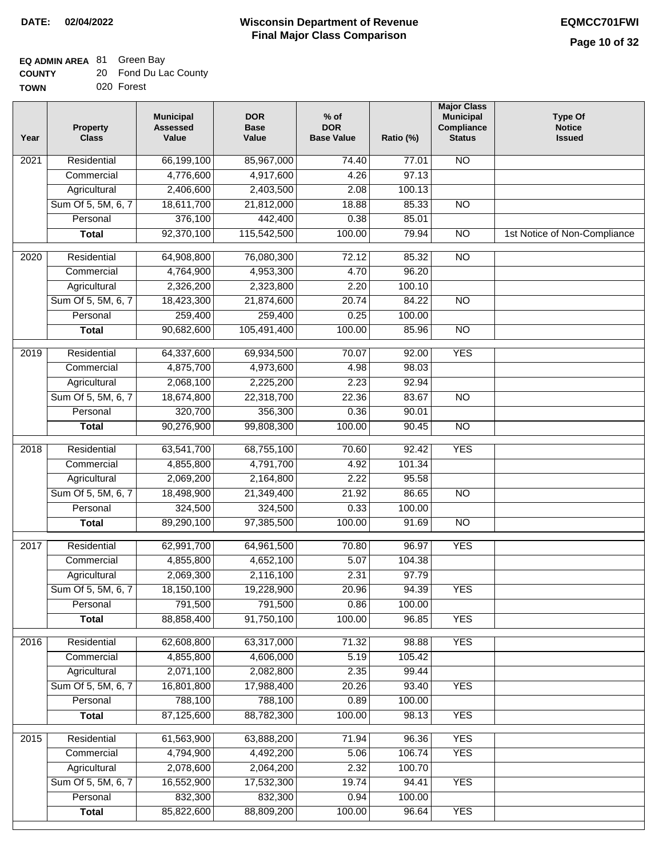| <b>COUNTY</b> | 20 Fond Du Lac County |
|---------------|-----------------------|
| <b>TOWN</b>   | 020 Forest            |

|  | 020 Fores |
|--|-----------|
|  |           |

| Year | <b>Property</b><br><b>Class</b> | <b>Municipal</b><br><b>Assessed</b><br>Value | <b>DOR</b><br><b>Base</b><br>Value | $%$ of<br><b>DOR</b><br><b>Base Value</b> | Ratio (%) | <b>Major Class</b><br><b>Municipal</b><br>Compliance<br><b>Status</b> | <b>Type Of</b><br><b>Notice</b><br><b>Issued</b> |
|------|---------------------------------|----------------------------------------------|------------------------------------|-------------------------------------------|-----------|-----------------------------------------------------------------------|--------------------------------------------------|
| 2021 | Residential                     | 66,199,100                                   | 85,967,000                         | 74.40                                     | 77.01     | N <sub>O</sub>                                                        |                                                  |
|      | Commercial                      | 4,776,600                                    | 4,917,600                          | 4.26                                      | 97.13     |                                                                       |                                                  |
|      | Agricultural                    | 2,406,600                                    | 2,403,500                          | 2.08                                      | 100.13    |                                                                       |                                                  |
|      | Sum Of 5, 5M, 6, 7              | 18,611,700                                   | 21,812,000                         | 18.88                                     | 85.33     | $\overline{NO}$                                                       |                                                  |
|      | Personal                        | 376,100                                      | 442,400                            | 0.38                                      | 85.01     |                                                                       |                                                  |
|      | <b>Total</b>                    | 92,370,100                                   | 115,542,500                        | 100.00                                    | 79.94     | $\overline{NO}$                                                       | 1st Notice of Non-Compliance                     |
| 2020 | Residential                     | 64,908,800                                   | 76,080,300                         | 72.12                                     | 85.32     | $\overline{NO}$                                                       |                                                  |
|      | Commercial                      | 4,764,900                                    | 4,953,300                          | 4.70                                      | 96.20     |                                                                       |                                                  |
|      | Agricultural                    | 2,326,200                                    | 2,323,800                          | 2.20                                      | 100.10    |                                                                       |                                                  |
|      | Sum Of 5, 5M, 6, 7              | 18,423,300                                   | 21,874,600                         | 20.74                                     | 84.22     | <b>NO</b>                                                             |                                                  |
|      | Personal                        | 259,400                                      | 259,400                            | 0.25                                      | 100.00    |                                                                       |                                                  |
|      | <b>Total</b>                    | 90,682,600                                   | 105,491,400                        | 100.00                                    | 85.96     | <b>NO</b>                                                             |                                                  |
| 2019 | Residential                     | 64,337,600                                   | 69,934,500                         | 70.07                                     | 92.00     | <b>YES</b>                                                            |                                                  |
|      | Commercial                      | 4,875,700                                    | 4,973,600                          | 4.98                                      | 98.03     |                                                                       |                                                  |
|      | Agricultural                    | 2,068,100                                    | 2,225,200                          | 2.23                                      | 92.94     |                                                                       |                                                  |
|      | Sum Of 5, 5M, 6, 7              | 18,674,800                                   | 22,318,700                         | 22.36                                     | 83.67     | $\overline{NO}$                                                       |                                                  |
|      | Personal                        | 320,700                                      | 356,300                            | 0.36                                      | 90.01     |                                                                       |                                                  |
|      | <b>Total</b>                    | 90,276,900                                   | 99,808,300                         | 100.00                                    | 90.45     | $\overline{NO}$                                                       |                                                  |
| 2018 | Residential                     | 63,541,700                                   | 68,755,100                         | 70.60                                     | 92.42     | <b>YES</b>                                                            |                                                  |
|      | Commercial                      | 4,855,800                                    | 4,791,700                          | 4.92                                      | 101.34    |                                                                       |                                                  |
|      | Agricultural                    | 2,069,200                                    | 2,164,800                          | 2.22                                      | 95.58     |                                                                       |                                                  |
|      | Sum Of 5, 5M, 6, 7              | 18,498,900                                   | 21,349,400                         | 21.92                                     | 86.65     | $\overline{10}$                                                       |                                                  |
|      | Personal                        | 324,500                                      | 324,500                            | 0.33                                      | 100.00    |                                                                       |                                                  |
|      | <b>Total</b>                    | 89,290,100                                   | 97,385,500                         | 100.00                                    | 91.69     | <b>NO</b>                                                             |                                                  |
| 2017 | Residential                     | 62,991,700                                   | 64,961,500                         | 70.80                                     | 96.97     | <b>YES</b>                                                            |                                                  |
|      | Commercial                      | 4,855,800                                    | 4,652,100                          | 5.07                                      | 104.38    |                                                                       |                                                  |
|      | Agricultural                    | 2,069,300                                    | 2,116,100                          | 2.31                                      | 97.79     |                                                                       |                                                  |
|      | Sum Of 5, 5M, 6, 7              | 18,150,100                                   | 19,228,900                         | 20.96                                     | 94.39     | <b>YES</b>                                                            |                                                  |
|      | Personal                        | 791,500                                      | 791,500                            | 0.86                                      | 100.00    |                                                                       |                                                  |
|      | <b>Total</b>                    | 88,858,400                                   | 91,750,100                         | 100.00                                    | 96.85     | <b>YES</b>                                                            |                                                  |
| 2016 | Residential                     | 62,608,800                                   | 63,317,000                         | 71.32                                     | 98.88     | <b>YES</b>                                                            |                                                  |
|      | Commercial                      | 4,855,800                                    | 4,606,000                          | 5.19                                      | 105.42    |                                                                       |                                                  |
|      | Agricultural                    | 2,071,100                                    | 2,082,800                          | 2.35                                      | 99.44     |                                                                       |                                                  |
|      | Sum Of 5, 5M, 6, 7              | 16,801,800                                   | 17,988,400                         | 20.26                                     | 93.40     | <b>YES</b>                                                            |                                                  |
|      | Personal                        | 788,100                                      | 788,100                            | 0.89                                      | 100.00    |                                                                       |                                                  |
|      | <b>Total</b>                    | 87,125,600                                   | 88,782,300                         | 100.00                                    | 98.13     | <b>YES</b>                                                            |                                                  |
| 2015 | Residential                     | 61,563,900                                   | 63,888,200                         | 71.94                                     | 96.36     | <b>YES</b>                                                            |                                                  |
|      | Commercial                      | 4,794,900                                    | 4,492,200                          | 5.06                                      | 106.74    | <b>YES</b>                                                            |                                                  |
|      | Agricultural                    | 2,078,600                                    | 2,064,200                          | 2.32                                      | 100.70    |                                                                       |                                                  |
|      | Sum Of 5, 5M, 6, 7              | 16,552,900                                   | 17,532,300                         | 19.74                                     | 94.41     | <b>YES</b>                                                            |                                                  |
|      | Personal                        | 832,300                                      | 832,300                            | 0.94                                      | 100.00    |                                                                       |                                                  |
|      | <b>Total</b>                    | 85,822,600                                   | 88,809,200                         | 100.00                                    | 96.64     | <b>YES</b>                                                            |                                                  |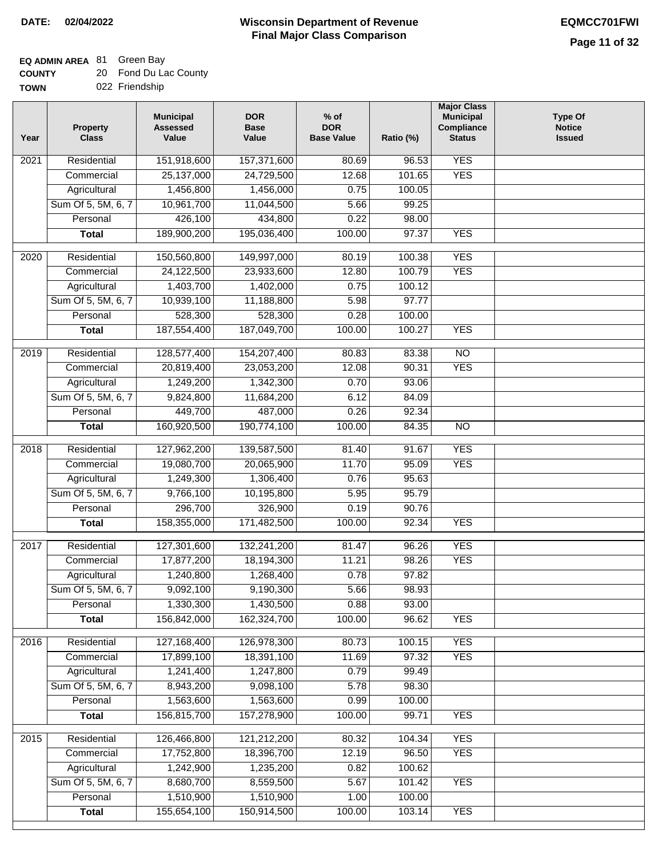| <b>COUNTY</b> |  | 20 Fond Du Lac County |
|---------------|--|-----------------------|
|---------------|--|-----------------------|

| Year              | <b>Property</b><br><b>Class</b> | <b>Municipal</b><br><b>Assessed</b><br>Value | <b>DOR</b><br><b>Base</b><br>Value | $%$ of<br><b>DOR</b><br><b>Base Value</b> | Ratio (%) | <b>Major Class</b><br><b>Municipal</b><br>Compliance<br><b>Status</b> | Type Of<br><b>Notice</b><br><b>Issued</b> |
|-------------------|---------------------------------|----------------------------------------------|------------------------------------|-------------------------------------------|-----------|-----------------------------------------------------------------------|-------------------------------------------|
| 2021              | Residential                     | 151,918,600                                  | 157,371,600                        | 80.69                                     | 96.53     | <b>YES</b>                                                            |                                           |
|                   | Commercial                      | 25,137,000                                   | 24,729,500                         | 12.68                                     | 101.65    | <b>YES</b>                                                            |                                           |
|                   | Agricultural                    | 1,456,800                                    | 1,456,000                          | 0.75                                      | 100.05    |                                                                       |                                           |
|                   | Sum Of 5, 5M, 6, 7              | 10,961,700                                   | 11,044,500                         | 5.66                                      | 99.25     |                                                                       |                                           |
|                   | Personal                        | 426,100                                      | 434,800                            | 0.22                                      | 98.00     |                                                                       |                                           |
|                   | <b>Total</b>                    | 189,900,200                                  | 195,036,400                        | 100.00                                    | 97.37     | <b>YES</b>                                                            |                                           |
| $\overline{2020}$ | Residential                     | 150,560,800                                  | 149,997,000                        | 80.19                                     | 100.38    | <b>YES</b>                                                            |                                           |
|                   | Commercial                      | 24,122,500                                   | 23,933,600                         | 12.80                                     | 100.79    | <b>YES</b>                                                            |                                           |
|                   | Agricultural                    | 1,403,700                                    | 1,402,000                          | 0.75                                      | 100.12    |                                                                       |                                           |
|                   | Sum Of 5, 5M, 6, 7              | 10,939,100                                   | 11,188,800                         | 5.98                                      | 97.77     |                                                                       |                                           |
|                   | Personal                        | 528,300                                      | 528,300                            | 0.28                                      | 100.00    |                                                                       |                                           |
|                   | <b>Total</b>                    | 187,554,400                                  | 187,049,700                        | 100.00                                    | 100.27    | <b>YES</b>                                                            |                                           |
|                   |                                 |                                              |                                    |                                           |           |                                                                       |                                           |
| 2019              | Residential                     | 128,577,400                                  | 154,207,400                        | 80.83                                     | 83.38     | $\overline{NO}$                                                       |                                           |
|                   | Commercial                      | 20,819,400                                   | 23,053,200                         | 12.08                                     | 90.31     | <b>YES</b>                                                            |                                           |
|                   | Agricultural                    | 1,249,200                                    | 1,342,300                          | 0.70                                      | 93.06     |                                                                       |                                           |
|                   | Sum Of 5, 5M, 6, 7              | 9,824,800                                    | 11,684,200                         | 6.12                                      | 84.09     |                                                                       |                                           |
|                   | Personal                        | 449,700                                      | 487,000                            | 0.26                                      | 92.34     |                                                                       |                                           |
|                   | <b>Total</b>                    | 160,920,500                                  | 190,774,100                        | 100.00                                    | 84.35     | $\overline{NO}$                                                       |                                           |
| 2018              | Residential                     | 127,962,200                                  | 139,587,500                        | 81.40                                     | 91.67     | <b>YES</b>                                                            |                                           |
|                   | Commercial                      | 19,080,700                                   | 20,065,900                         | 11.70                                     | 95.09     | <b>YES</b>                                                            |                                           |
|                   | Agricultural                    | 1,249,300                                    | 1,306,400                          | 0.76                                      | 95.63     |                                                                       |                                           |
|                   | Sum Of 5, 5M, 6, 7              | 9,766,100                                    | 10,195,800                         | 5.95                                      | 95.79     |                                                                       |                                           |
|                   | Personal                        | 296,700                                      | 326,900                            | 0.19                                      | 90.76     |                                                                       |                                           |
|                   | <b>Total</b>                    | 158,355,000                                  | 171,482,500                        | 100.00                                    | 92.34     | <b>YES</b>                                                            |                                           |
| $\overline{2017}$ | Residential                     |                                              | 132,241,200                        |                                           | 96.26     | <b>YES</b>                                                            |                                           |
|                   | Commercial                      | 127,301,600<br>17,877,200                    | 18,194,300                         | 81.47<br>11.21                            | 98.26     | <b>YES</b>                                                            |                                           |
|                   | Agricultural                    | 1,240,800                                    | 1,268,400                          | 0.78                                      | 97.82     |                                                                       |                                           |
|                   | Sum Of 5, 5M, 6, 7              | 9,092,100                                    | 9,190,300                          | 5.66                                      | 98.93     |                                                                       |                                           |
|                   | Personal                        | 1,330,300                                    | 1,430,500                          | 0.88                                      | 93.00     |                                                                       |                                           |
|                   | <b>Total</b>                    | 156,842,000                                  | 162,324,700                        | 100.00                                    | 96.62     | <b>YES</b>                                                            |                                           |
|                   |                                 |                                              |                                    |                                           |           |                                                                       |                                           |
| 2016              | Residential                     | 127,168,400                                  | 126,978,300                        | 80.73                                     | 100.15    | <b>YES</b>                                                            |                                           |
|                   | Commercial                      | 17,899,100                                   | 18,391,100                         | 11.69                                     | 97.32     | <b>YES</b>                                                            |                                           |
|                   | Agricultural                    | 1,241,400                                    | 1,247,800                          | 0.79                                      | 99.49     |                                                                       |                                           |
|                   | Sum Of 5, 5M, 6, 7              | 8,943,200                                    | 9,098,100                          | 5.78                                      | 98.30     |                                                                       |                                           |
|                   | Personal                        | 1,563,600                                    | 1,563,600                          | 0.99                                      | 100.00    |                                                                       |                                           |
|                   | <b>Total</b>                    | 156,815,700                                  | 157,278,900                        | 100.00                                    | 99.71     | <b>YES</b>                                                            |                                           |
| 2015              | Residential                     | 126,466,800                                  | 121,212,200                        | 80.32                                     | 104.34    | <b>YES</b>                                                            |                                           |
|                   | Commercial                      | 17,752,800                                   | 18,396,700                         | 12.19                                     | 96.50     | <b>YES</b>                                                            |                                           |
|                   | Agricultural                    | 1,242,900                                    | 1,235,200                          | 0.82                                      | 100.62    |                                                                       |                                           |
|                   | Sum Of 5, 5M, 6, 7              | 8,680,700                                    | 8,559,500                          | 5.67                                      | 101.42    | <b>YES</b>                                                            |                                           |
|                   | Personal                        | 1,510,900                                    | 1,510,900                          | 1.00                                      | 100.00    |                                                                       |                                           |
|                   | <b>Total</b>                    | 155,654,100                                  | 150,914,500                        | 100.00                                    | 103.14    | <b>YES</b>                                                            |                                           |
|                   |                                 |                                              |                                    |                                           |           |                                                                       |                                           |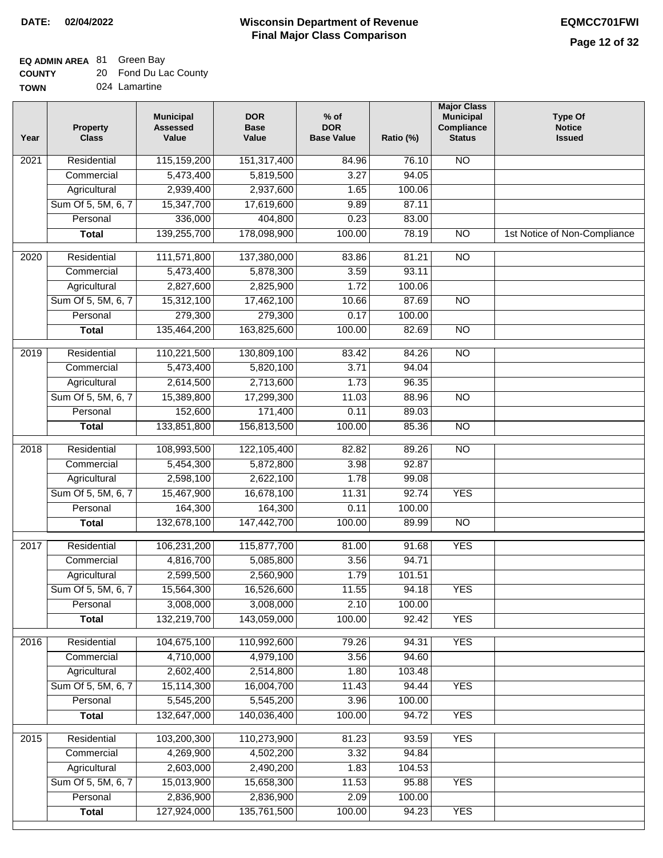| <b>COUNTY</b> | 20 Fond Du Lac County |
|---------------|-----------------------|
| <b>TOWN</b>   | 024 Lamartine         |

| 024 Lamartine |  |
|---------------|--|
|---------------|--|

| Year              | <b>Property</b><br><b>Class</b> | <b>Municipal</b><br><b>Assessed</b><br>Value | <b>DOR</b><br><b>Base</b><br>Value | $%$ of<br><b>DOR</b><br><b>Base Value</b> | Ratio (%) | <b>Major Class</b><br><b>Municipal</b><br>Compliance<br><b>Status</b> | <b>Type Of</b><br><b>Notice</b><br><b>Issued</b> |
|-------------------|---------------------------------|----------------------------------------------|------------------------------------|-------------------------------------------|-----------|-----------------------------------------------------------------------|--------------------------------------------------|
| 2021              | Residential                     | 115,159,200                                  | 151,317,400                        | 84.96                                     | 76.10     | N <sub>O</sub>                                                        |                                                  |
|                   | Commercial                      | 5,473,400                                    | 5,819,500                          | 3.27                                      | 94.05     |                                                                       |                                                  |
|                   | Agricultural                    | 2,939,400                                    | 2,937,600                          | 1.65                                      | 100.06    |                                                                       |                                                  |
|                   | Sum Of 5, 5M, 6, 7              | 15,347,700                                   | 17,619,600                         | 9.89                                      | 87.11     |                                                                       |                                                  |
|                   | Personal                        | 336,000                                      | 404,800                            | 0.23                                      | 83.00     |                                                                       |                                                  |
|                   | <b>Total</b>                    | 139,255,700                                  | 178,098,900                        | 100.00                                    | 78.19     | $\overline{NO}$                                                       | 1st Notice of Non-Compliance                     |
| $\overline{2020}$ | Residential                     | 111,571,800                                  | 137,380,000                        | 83.86                                     | 81.21     | $\overline{NO}$                                                       |                                                  |
|                   | Commercial                      | 5,473,400                                    | 5,878,300                          | 3.59                                      | 93.11     |                                                                       |                                                  |
|                   | Agricultural                    | 2,827,600                                    | 2,825,900                          | 1.72                                      | 100.06    |                                                                       |                                                  |
|                   | Sum Of 5, 5M, 6, 7              | 15,312,100                                   | 17,462,100                         | 10.66                                     | 87.69     | $\overline{NO}$                                                       |                                                  |
|                   | Personal                        | 279,300                                      | 279,300                            | 0.17                                      | 100.00    |                                                                       |                                                  |
|                   | <b>Total</b>                    | 135,464,200                                  | 163,825,600                        | 100.00                                    | 82.69     | $\overline{NO}$                                                       |                                                  |
| 2019              | Residential                     | 110,221,500                                  | 130,809,100                        | 83.42                                     | 84.26     | $\overline{NO}$                                                       |                                                  |
|                   | Commercial                      | 5,473,400                                    | 5,820,100                          | 3.71                                      | 94.04     |                                                                       |                                                  |
|                   | Agricultural                    | 2,614,500                                    | 2,713,600                          | 1.73                                      | 96.35     |                                                                       |                                                  |
|                   | Sum Of 5, 5M, 6, 7              | 15,389,800                                   | 17,299,300                         | 11.03                                     | 88.96     | $\overline{NO}$                                                       |                                                  |
|                   | Personal                        | 152,600                                      | 171,400                            | 0.11                                      | 89.03     |                                                                       |                                                  |
|                   | <b>Total</b>                    | 133,851,800                                  | 156,813,500                        | 100.00                                    | 85.36     | $\overline{NO}$                                                       |                                                  |
| 2018              | Residential                     | 108,993,500                                  | 122,105,400                        | 82.82                                     | 89.26     | $\overline{10}$                                                       |                                                  |
|                   | Commercial                      | 5,454,300                                    | 5,872,800                          | 3.98                                      | 92.87     |                                                                       |                                                  |
|                   | Agricultural                    | 2,598,100                                    | 2,622,100                          | 1.78                                      | 99.08     |                                                                       |                                                  |
|                   | Sum Of 5, 5M, 6, 7              | 15,467,900                                   | 16,678,100                         | 11.31                                     | 92.74     | <b>YES</b>                                                            |                                                  |
|                   | Personal                        | 164,300                                      | 164,300                            | 0.11                                      | 100.00    |                                                                       |                                                  |
|                   | <b>Total</b>                    | 132,678,100                                  | 147,442,700                        | 100.00                                    | 89.99     | <b>NO</b>                                                             |                                                  |
| 2017              | Residential                     | 106,231,200                                  | 115,877,700                        | 81.00                                     | 91.68     | <b>YES</b>                                                            |                                                  |
|                   | Commercial                      | 4,816,700                                    | 5,085,800                          | 3.56                                      | 94.71     |                                                                       |                                                  |
|                   | Agricultural                    | 2,599,500                                    | 2,560,900                          | 1.79                                      | 101.51    |                                                                       |                                                  |
|                   | Sum Of 5, 5M, 6, 7              | 15,564,300                                   | 16,526,600                         | 11.55                                     | 94.18     | <b>YES</b>                                                            |                                                  |
|                   | Personal                        | 3,008,000                                    | 3,008,000                          | 2.10                                      | 100.00    |                                                                       |                                                  |
|                   | <b>Total</b>                    | 132,219,700                                  | 143,059,000                        | 100.00                                    | 92.42     | <b>YES</b>                                                            |                                                  |
|                   |                                 |                                              |                                    |                                           |           |                                                                       |                                                  |
| 2016              | Residential                     | 104,675,100                                  | 110,992,600                        | 79.26                                     | 94.31     | <b>YES</b>                                                            |                                                  |
|                   | Commercial                      | 4,710,000                                    | 4,979,100                          | 3.56                                      | 94.60     |                                                                       |                                                  |
|                   | Agricultural                    | 2,602,400                                    | 2,514,800                          | 1.80                                      | 103.48    |                                                                       |                                                  |
|                   | Sum Of 5, 5M, 6, 7              | 15,114,300                                   | 16,004,700                         | 11.43                                     | 94.44     | <b>YES</b>                                                            |                                                  |
|                   | Personal                        | 5,545,200                                    | 5,545,200                          | 3.96                                      | 100.00    |                                                                       |                                                  |
|                   | <b>Total</b>                    | 132,647,000                                  | 140,036,400                        | 100.00                                    | 94.72     | <b>YES</b>                                                            |                                                  |
| 2015              | Residential                     | 103,200,300                                  | 110,273,900                        | 81.23                                     | 93.59     | <b>YES</b>                                                            |                                                  |
|                   | Commercial                      | 4,269,900                                    | 4,502,200                          | 3.32                                      | 94.84     |                                                                       |                                                  |
|                   | Agricultural                    | 2,603,000                                    | 2,490,200                          | 1.83                                      | 104.53    |                                                                       |                                                  |
|                   | Sum Of 5, 5M, 6, 7              | 15,013,900                                   | 15,658,300                         | 11.53                                     | 95.88     | <b>YES</b>                                                            |                                                  |
|                   | Personal                        | 2,836,900                                    | 2,836,900                          | 2.09                                      | 100.00    |                                                                       |                                                  |
|                   | <b>Total</b>                    | 127,924,000                                  | 135,761,500                        | 100.00                                    | 94.23     | <b>YES</b>                                                            |                                                  |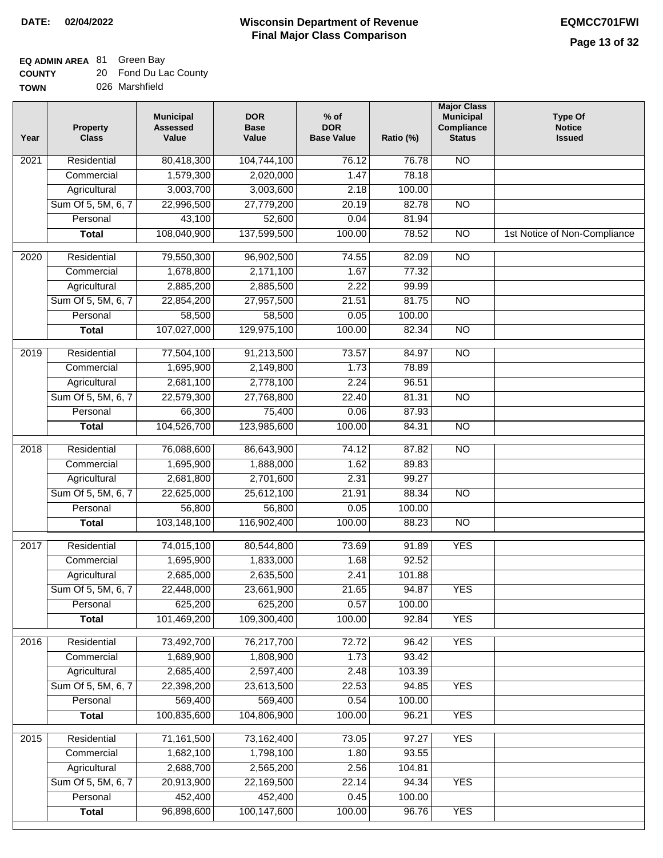**TOWN**

### **Wisconsin Department of Revenue DATE: 02/04/2022 EQMCC701FWI Final Major Class Comparison**

### **EQ ADMIN AREA** 81 Green Bay

**Total**

96,898,600

100,147,600

100.00

96.76

YES

| <b>COUNTY</b> |  | Fond Du Lac County |
|---------------|--|--------------------|
|---------------|--|--------------------|

026 Marshfield

| Year              | <b>Property</b><br><b>Class</b> | <b>Municipal</b><br><b>Assessed</b><br>Value | <b>DOR</b><br><b>Base</b><br>Value | $%$ of<br><b>DOR</b><br><b>Base Value</b> | Ratio (%) | <b>Major Class</b><br><b>Municipal</b><br>Compliance<br><b>Status</b> | <b>Type Of</b><br><b>Notice</b><br><b>Issued</b> |
|-------------------|---------------------------------|----------------------------------------------|------------------------------------|-------------------------------------------|-----------|-----------------------------------------------------------------------|--------------------------------------------------|
| 2021              | Residential                     | 80,418,300                                   | 104,744,100                        | 76.12                                     | 76.78     | $\overline{NO}$                                                       |                                                  |
|                   | Commercial                      | 1,579,300                                    | 2,020,000                          | 1.47                                      | 78.18     |                                                                       |                                                  |
|                   | Agricultural                    | 3,003,700                                    | 3,003,600                          | 2.18                                      | 100.00    |                                                                       |                                                  |
|                   | Sum Of 5, 5M, 6, 7              | 22,996,500                                   | 27,779,200                         | 20.19                                     | 82.78     | $\overline{NO}$                                                       |                                                  |
|                   | Personal                        | 43,100                                       | 52,600                             | 0.04                                      | 81.94     |                                                                       |                                                  |
|                   | <b>Total</b>                    | 108,040,900                                  | 137,599,500                        | 100.00                                    | 78.52     | $\overline{NO}$                                                       | 1st Notice of Non-Compliance                     |
| $\overline{2020}$ | Residential                     | 79,550,300                                   | 96,902,500                         | 74.55                                     | 82.09     | NO                                                                    |                                                  |
|                   | Commercial                      | 1,678,800                                    | 2,171,100                          | 1.67                                      | 77.32     |                                                                       |                                                  |
|                   | Agricultural                    | 2,885,200                                    | 2,885,500                          | 2.22                                      | 99.99     |                                                                       |                                                  |
|                   | Sum Of 5, 5M, 6, 7              | 22,854,200                                   | 27,957,500                         | 21.51                                     | 81.75     | $\overline{NO}$                                                       |                                                  |
|                   | Personal                        | 58,500                                       | 58,500                             | 0.05                                      | 100.00    |                                                                       |                                                  |
|                   | <b>Total</b>                    | 107,027,000                                  | 129,975,100                        | 100.00                                    | 82.34     | $\overline{NO}$                                                       |                                                  |
| 2019              | Residential                     | 77,504,100                                   | 91,213,500                         | 73.57                                     | 84.97     | $\overline{NO}$                                                       |                                                  |
|                   | Commercial                      | 1,695,900                                    | 2,149,800                          | 1.73                                      | 78.89     |                                                                       |                                                  |
|                   | Agricultural                    | 2,681,100                                    | 2,778,100                          | 2.24                                      | 96.51     |                                                                       |                                                  |
|                   | Sum Of 5, 5M, 6, 7              | 22,579,300                                   | 27,768,800                         | 22.40                                     | 81.31     | $\overline{NO}$                                                       |                                                  |
|                   | Personal                        | 66,300                                       | 75,400                             | 0.06                                      | 87.93     |                                                                       |                                                  |
|                   | <b>Total</b>                    | 104,526,700                                  | 123,985,600                        | 100.00                                    | 84.31     | NO                                                                    |                                                  |
| 2018              | Residential                     | 76,088,600                                   | 86,643,900                         | 74.12                                     | 87.82     | $\overline{NO}$                                                       |                                                  |
|                   | Commercial                      | 1,695,900                                    | 1,888,000                          | 1.62                                      | 89.83     |                                                                       |                                                  |
|                   | Agricultural                    | 2,681,800                                    | 2,701,600                          | 2.31                                      | 99.27     |                                                                       |                                                  |
|                   | Sum Of 5, 5M, 6, 7              | 22,625,000                                   | 25,612,100                         | 21.91                                     | 88.34     | $\overline{NO}$                                                       |                                                  |
|                   | Personal                        | 56,800                                       | 56,800                             | 0.05                                      | 100.00    |                                                                       |                                                  |
|                   | <b>Total</b>                    | 103,148,100                                  | 116,902,400                        | 100.00                                    | 88.23     | $\overline{NO}$                                                       |                                                  |
| 2017              | Residential                     | 74,015,100                                   | 80,544,800                         | 73.69                                     | 91.89     | <b>YES</b>                                                            |                                                  |
|                   | Commercial                      | 1,695,900                                    | 1,833,000                          | 1.68                                      | 92.52     |                                                                       |                                                  |
|                   | Agricultural                    | 2,685,000                                    | 2,635,500                          | 2.41                                      | 101.88    |                                                                       |                                                  |
|                   | Sum Of 5, 5M, 6, 7              | 22,448,000                                   | 23,661,900                         | 21.65                                     | 94.87     | YES.                                                                  |                                                  |
|                   | Personal                        | 625,200                                      | 625,200                            | 0.57                                      | 100.00    |                                                                       |                                                  |
|                   | <b>Total</b>                    | 101,469,200                                  | 109,300,400                        | 100.00                                    | 92.84     | <b>YES</b>                                                            |                                                  |
| 2016              | Residential                     | 73,492,700                                   | 76,217,700                         | 72.72                                     | 96.42     | <b>YES</b>                                                            |                                                  |
|                   | Commercial                      | 1,689,900                                    | 1,808,900                          | 1.73                                      | 93.42     |                                                                       |                                                  |
|                   | Agricultural                    | 2,685,400                                    | 2,597,400                          | 2.48                                      | 103.39    |                                                                       |                                                  |
|                   | Sum Of 5, 5M, 6, 7              | 22,398,200                                   | 23,613,500                         | 22.53                                     | 94.85     | <b>YES</b>                                                            |                                                  |
|                   | Personal                        | 569,400                                      | 569,400                            | 0.54                                      | 100.00    |                                                                       |                                                  |
|                   | <b>Total</b>                    | 100,835,600                                  | 104,806,900                        | 100.00                                    | 96.21     | <b>YES</b>                                                            |                                                  |
| $\overline{2015}$ | Residential                     | 71,161,500                                   | 73,162,400                         | 73.05                                     | 97.27     | <b>YES</b>                                                            |                                                  |
|                   | Commercial                      | 1,682,100                                    | 1,798,100                          | 1.80                                      | 93.55     |                                                                       |                                                  |
|                   | Agricultural                    | 2,688,700                                    | 2,565,200                          | 2.56                                      | 104.81    |                                                                       |                                                  |
|                   | Sum Of 5, 5M, 6, 7              | 20,913,900                                   | 22,169,500                         | 22.14                                     | 94.34     | <b>YES</b>                                                            |                                                  |
|                   | Personal                        | 452,400                                      | 452,400                            | 0.45                                      | 100.00    |                                                                       |                                                  |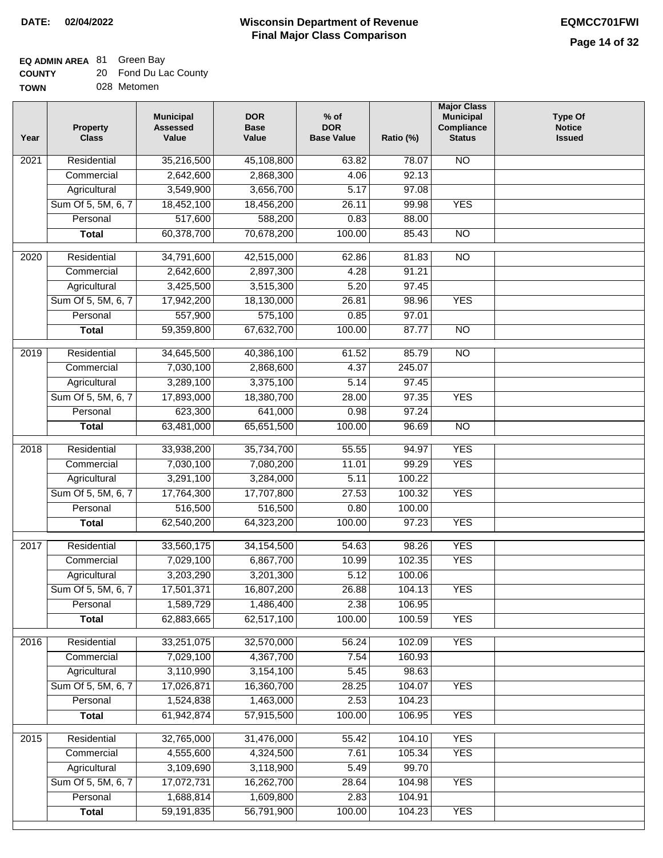## **EQ ADMIN AREA** 81 Green Bay

| <b>COUNTY</b> | 20 Fond Du Lac County |
|---------------|-----------------------|
| <b>TOWN</b>   | 028 Metomen           |

028 Metomen

| Year | <b>Property</b><br><b>Class</b> | <b>Municipal</b><br><b>Assessed</b><br>Value | <b>DOR</b><br><b>Base</b><br>Value | $%$ of<br><b>DOR</b><br><b>Base Value</b> | Ratio (%) | <b>Major Class</b><br><b>Municipal</b><br>Compliance<br><b>Status</b> | <b>Type Of</b><br><b>Notice</b><br><b>Issued</b> |
|------|---------------------------------|----------------------------------------------|------------------------------------|-------------------------------------------|-----------|-----------------------------------------------------------------------|--------------------------------------------------|
| 2021 | Residential                     | 35,216,500                                   | 45,108,800                         | 63.82                                     | 78.07     | <b>NO</b>                                                             |                                                  |
|      | Commercial                      | 2,642,600                                    | 2,868,300                          | 4.06                                      | 92.13     |                                                                       |                                                  |
|      | Agricultural                    | 3,549,900                                    | 3,656,700                          | 5.17                                      | 97.08     |                                                                       |                                                  |
|      | Sum Of 5, 5M, 6, 7              | 18,452,100                                   | 18,456,200                         | 26.11                                     | 99.98     | <b>YES</b>                                                            |                                                  |
|      | Personal                        | 517,600                                      | 588,200                            | 0.83                                      | 88.00     |                                                                       |                                                  |
|      | <b>Total</b>                    | 60,378,700                                   | 70,678,200                         | 100.00                                    | 85.43     | $\overline{NO}$                                                       |                                                  |
| 2020 | Residential                     | 34,791,600                                   | 42,515,000                         | 62.86                                     | 81.83     | $\overline{NO}$                                                       |                                                  |
|      | Commercial                      | 2,642,600                                    | 2,897,300                          | 4.28                                      | 91.21     |                                                                       |                                                  |
|      | Agricultural                    | 3,425,500                                    | 3,515,300                          | 5.20                                      | 97.45     |                                                                       |                                                  |
|      | Sum Of 5, 5M, 6, 7              | 17,942,200                                   | 18,130,000                         | 26.81                                     | 98.96     | <b>YES</b>                                                            |                                                  |
|      | Personal                        | 557,900                                      | 575,100                            | 0.85                                      | 97.01     |                                                                       |                                                  |
|      | <b>Total</b>                    | 59,359,800                                   | 67,632,700                         | 100.00                                    | 87.77     | $\overline{NO}$                                                       |                                                  |
|      |                                 |                                              |                                    |                                           |           |                                                                       |                                                  |
| 2019 | Residential                     | 34,645,500                                   | 40,386,100                         | 61.52                                     | 85.79     | $\overline{3}$                                                        |                                                  |
|      | Commercial                      | 7,030,100                                    | 2,868,600                          | 4.37                                      | 245.07    |                                                                       |                                                  |
|      | Agricultural                    | 3,289,100                                    | 3,375,100                          | 5.14                                      | 97.45     |                                                                       |                                                  |
|      | Sum Of 5, 5M, 6, 7              | 17,893,000                                   | 18,380,700                         | 28.00                                     | 97.35     | <b>YES</b>                                                            |                                                  |
|      | Personal                        | 623,300                                      | 641,000                            | 0.98                                      | 97.24     |                                                                       |                                                  |
|      | <b>Total</b>                    | 63,481,000                                   | 65,651,500                         | 100.00                                    | 96.69     | $\overline{NO}$                                                       |                                                  |
| 2018 | Residential                     | 33,938,200                                   | 35,734,700                         | 55.55                                     | 94.97     | <b>YES</b>                                                            |                                                  |
|      | Commercial                      | 7,030,100                                    | 7,080,200                          | 11.01                                     | 99.29     | <b>YES</b>                                                            |                                                  |
|      | Agricultural                    | 3,291,100                                    | 3,284,000                          | 5.11                                      | 100.22    |                                                                       |                                                  |
|      | Sum Of 5, 5M, 6, 7              | 17,764,300                                   | 17,707,800                         | 27.53                                     | 100.32    | <b>YES</b>                                                            |                                                  |
|      | Personal                        | 516,500                                      | 516,500                            | 0.80                                      | 100.00    |                                                                       |                                                  |
|      | <b>Total</b>                    | 62,540,200                                   | 64,323,200                         | 100.00                                    | 97.23     | <b>YES</b>                                                            |                                                  |
| 2017 | Residential                     | 33,560,175                                   | 34,154,500                         | 54.63                                     | 98.26     | <b>YES</b>                                                            |                                                  |
|      | Commercial                      | 7,029,100                                    | 6,867,700                          | 10.99                                     | 102.35    | <b>YES</b>                                                            |                                                  |
|      | Agricultural                    | 3,203,290                                    | 3,201,300                          | 5.12                                      | 100.06    |                                                                       |                                                  |
|      | Sum Of 5, 5M, 6, 7              | 17,501,371                                   | 16,807,200                         | 26.88                                     | 104.13    | <b>YES</b>                                                            |                                                  |
|      | Personal                        | 1,589,729                                    | 1,486,400                          | 2.38                                      | 106.95    |                                                                       |                                                  |
|      | <b>Total</b>                    | 62,883,665                                   | 62,517,100                         | 100.00                                    | 100.59    | <b>YES</b>                                                            |                                                  |
| 2016 | Residential                     | 33,251,075                                   | 32,570,000                         | 56.24                                     | 102.09    | <b>YES</b>                                                            |                                                  |
|      | Commercial                      | 7,029,100                                    | 4,367,700                          | 7.54                                      | 160.93    |                                                                       |                                                  |
|      | Agricultural                    | 3,110,990                                    | 3,154,100                          | 5.45                                      | 98.63     |                                                                       |                                                  |
|      | Sum Of 5, 5M, 6, 7              | 17,026,871                                   | 16,360,700                         | 28.25                                     | 104.07    | <b>YES</b>                                                            |                                                  |
|      | Personal                        | 1,524,838                                    | 1,463,000                          | 2.53                                      | 104.23    |                                                                       |                                                  |
|      | <b>Total</b>                    | 61,942,874                                   | 57,915,500                         | 100.00                                    | 106.95    | <b>YES</b>                                                            |                                                  |
| 2015 | Residential                     | 32,765,000                                   | 31,476,000                         | 55.42                                     | 104.10    | <b>YES</b>                                                            |                                                  |
|      | Commercial                      | 4,555,600                                    | 4,324,500                          | 7.61                                      | 105.34    | <b>YES</b>                                                            |                                                  |
|      | Agricultural                    | 3,109,690                                    | 3,118,900                          | 5.49                                      | 99.70     |                                                                       |                                                  |
|      | Sum Of 5, 5M, 6, 7              | 17,072,731                                   | 16,262,700                         | 28.64                                     | 104.98    | <b>YES</b>                                                            |                                                  |
|      | Personal                        | 1,688,814                                    | 1,609,800                          | 2.83                                      | 104.91    |                                                                       |                                                  |
|      | <b>Total</b>                    | 59,191,835                                   | 56,791,900                         | 100.00                                    | 104.23    | <b>YES</b>                                                            |                                                  |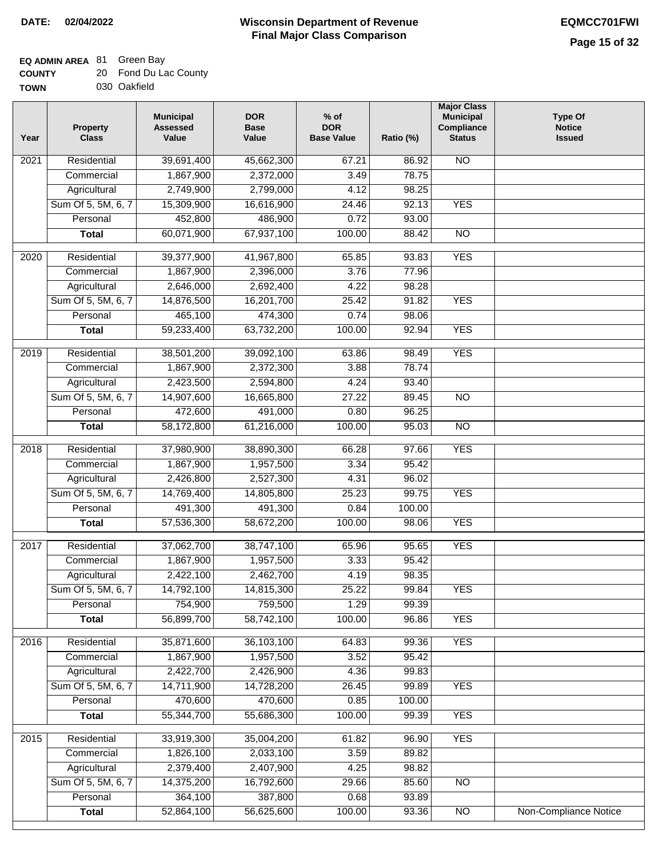## **EQ ADMIN AREA** 81 Green Bay

| <b>COUNTY</b> | 20 Fond Du Lac County |
|---------------|-----------------------|
| <b>TOWN</b>   | 030 Oakfield          |

030 Oakfield

| Year              | <b>Property</b><br><b>Class</b> | <b>Municipal</b><br><b>Assessed</b><br>Value | <b>DOR</b><br><b>Base</b><br>Value | % of<br><b>DOR</b><br><b>Base Value</b> | Ratio (%)      | <b>Major Class</b><br><b>Municipal</b><br>Compliance<br><b>Status</b> | <b>Type Of</b><br><b>Notice</b><br><b>Issued</b> |
|-------------------|---------------------------------|----------------------------------------------|------------------------------------|-----------------------------------------|----------------|-----------------------------------------------------------------------|--------------------------------------------------|
| $\overline{202}1$ | Residential                     | 39,691,400                                   | 45,662,300                         | 67.21                                   | 86.92          | <b>NO</b>                                                             |                                                  |
|                   | Commercial                      | 1,867,900                                    | 2,372,000                          | 3.49                                    | 78.75          |                                                                       |                                                  |
|                   | Agricultural                    | 2,749,900                                    | 2,799,000                          | 4.12                                    | 98.25          |                                                                       |                                                  |
|                   | Sum Of 5, 5M, 6, 7              | 15,309,900                                   | 16,616,900                         | 24.46                                   | 92.13          | <b>YES</b>                                                            |                                                  |
|                   | Personal                        | 452,800                                      | 486,900                            | 0.72                                    | 93.00          |                                                                       |                                                  |
|                   | <b>Total</b>                    | 60,071,900                                   | 67,937,100                         | 100.00                                  | 88.42          | $\overline{NO}$                                                       |                                                  |
| $\overline{2020}$ | Residential                     | 39,377,900                                   | 41,967,800                         | 65.85                                   | 93.83          | <b>YES</b>                                                            |                                                  |
|                   | Commercial                      | 1,867,900                                    | 2,396,000                          | 3.76                                    | 77.96          |                                                                       |                                                  |
|                   | Agricultural                    | 2,646,000                                    | 2,692,400                          | 4.22                                    | 98.28          |                                                                       |                                                  |
|                   | Sum Of 5, 5M, 6, 7              | 14,876,500                                   | 16,201,700                         | 25.42                                   | 91.82          | <b>YES</b>                                                            |                                                  |
|                   | Personal                        | 465,100                                      | 474,300                            | 0.74                                    | 98.06          |                                                                       |                                                  |
|                   | <b>Total</b>                    | 59,233,400                                   | 63,732,200                         | 100.00                                  | 92.94          | <b>YES</b>                                                            |                                                  |
| 2019              | Residential                     | 38,501,200                                   | 39,092,100                         | 63.86                                   | 98.49          | <b>YES</b>                                                            |                                                  |
|                   | Commercial                      | 1,867,900                                    | 2,372,300                          | 3.88                                    | 78.74          |                                                                       |                                                  |
|                   | Agricultural                    | 2,423,500                                    | 2,594,800                          | 4.24                                    | 93.40          |                                                                       |                                                  |
|                   | Sum Of 5, 5M, 6, 7              | 14,907,600                                   | 16,665,800                         | 27.22                                   | 89.45          | $\overline{NO}$                                                       |                                                  |
|                   | Personal                        | 472,600                                      | 491,000                            | 0.80                                    | 96.25          |                                                                       |                                                  |
|                   | <b>Total</b>                    | 58,172,800                                   | 61,216,000                         | 100.00                                  | 95.03          | $\overline{NO}$                                                       |                                                  |
| 2018              | Residential                     | 37,980,900                                   | 38,890,300                         | 66.28                                   | 97.66          | <b>YES</b>                                                            |                                                  |
|                   | Commercial                      | 1,867,900                                    | 1,957,500                          | 3.34                                    | 95.42          |                                                                       |                                                  |
|                   | Agricultural                    | 2,426,800                                    | 2,527,300                          | 4.31                                    | 96.02          |                                                                       |                                                  |
|                   | Sum Of 5, 5M, 6, 7              | 14,769,400                                   | 14,805,800                         | 25.23                                   | 99.75          | <b>YES</b>                                                            |                                                  |
|                   | Personal                        | 491,300                                      | 491,300                            | 0.84                                    | 100.00         |                                                                       |                                                  |
|                   | <b>Total</b>                    | 57,536,300                                   | 58,672,200                         | 100.00                                  | 98.06          | <b>YES</b>                                                            |                                                  |
| 2017              | Residential                     | 37,062,700                                   | 38,747,100                         | 65.96                                   | 95.65          | <b>YES</b>                                                            |                                                  |
|                   | Commercial                      | 1,867,900                                    | 1,957,500                          | 3.33                                    | 95.42          |                                                                       |                                                  |
|                   | Agricultural                    | 2,422,100                                    | 2,462,700                          | 4.19                                    | 98.35          |                                                                       |                                                  |
|                   | Sum Of 5, 5M, 6, 7              | 14,792,100                                   | 14,815,300                         | 25.22                                   | 99.84          | <b>YES</b>                                                            |                                                  |
|                   | Personal                        | 754,900                                      | 759,500                            | 1.29                                    | 99.39          |                                                                       |                                                  |
|                   | <b>Total</b>                    | 56,899,700                                   | 58,742,100                         | 100.00                                  | 96.86          | <b>YES</b>                                                            |                                                  |
| 2016              | Residential                     | 35,871,600                                   | 36,103,100                         | 64.83                                   | 99.36          | <b>YES</b>                                                            |                                                  |
|                   | Commercial                      | 1,867,900                                    | 1,957,500                          | 3.52                                    | 95.42          |                                                                       |                                                  |
|                   | Agricultural                    | 2,422,700                                    | 2,426,900                          | 4.36                                    | 99.83          |                                                                       |                                                  |
|                   | Sum Of 5, 5M, 6, 7              | 14,711,900                                   | 14,728,200                         | 26.45                                   | 99.89          | <b>YES</b>                                                            |                                                  |
|                   | Personal                        | 470,600                                      | 470,600                            | 0.85                                    | 100.00         |                                                                       |                                                  |
|                   | <b>Total</b>                    | 55,344,700                                   | 55,686,300                         | 100.00                                  | 99.39          | <b>YES</b>                                                            |                                                  |
|                   |                                 |                                              |                                    |                                         |                |                                                                       |                                                  |
| 2015              | Residential                     | 33,919,300                                   | 35,004,200                         | 61.82                                   | 96.90          | <b>YES</b>                                                            |                                                  |
|                   | Commercial                      | 1,826,100                                    | 2,033,100                          | 3.59                                    | 89.82          |                                                                       |                                                  |
|                   | Agricultural                    | 2,379,400                                    | 2,407,900                          | 4.25                                    | 98.82          |                                                                       |                                                  |
|                   | Sum Of 5, 5M, 6, 7              | 14,375,200                                   | 16,792,600                         | 29.66                                   | 85.60          | $\overline{NO}$                                                       |                                                  |
|                   | Personal<br><b>Total</b>        | 364,100<br>52,864,100                        | 387,800<br>56,625,600              | 0.68<br>100.00                          | 93.89<br>93.36 | N <sub>O</sub>                                                        | <b>Non-Compliance Notice</b>                     |
|                   |                                 |                                              |                                    |                                         |                |                                                                       |                                                  |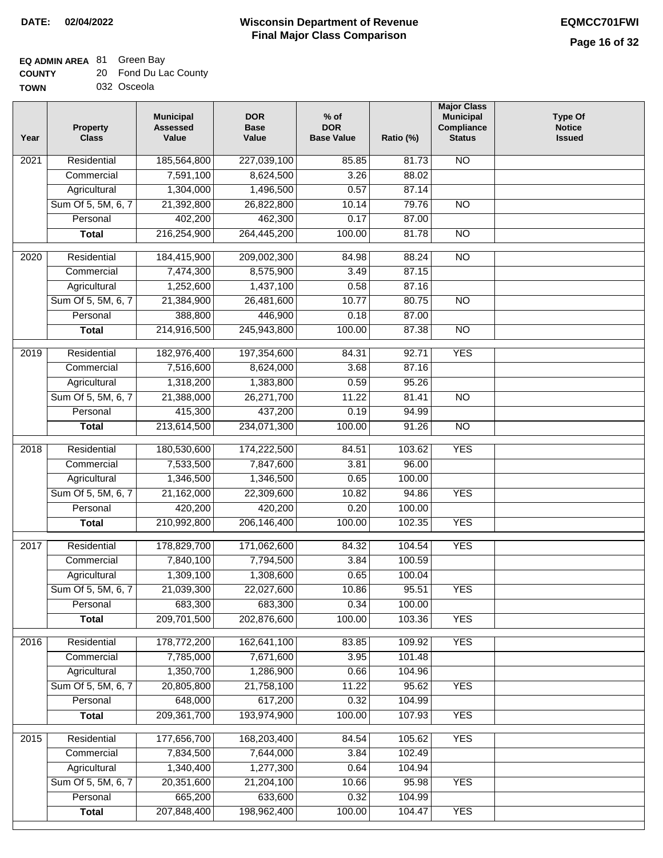### **EQ ADMIN AREA** 81 Green Bay

| <b>COUNTY</b> | 20 Fond Du Lac County |
|---------------|-----------------------|
| <b>TOWN</b>   | 032 Osceola           |

032 Osceola

| Year | <b>Property</b><br><b>Class</b> | <b>Municipal</b><br><b>Assessed</b><br>Value | <b>DOR</b><br><b>Base</b><br>Value | $%$ of<br><b>DOR</b><br><b>Base Value</b> | Ratio (%) | <b>Major Class</b><br><b>Municipal</b><br>Compliance<br><b>Status</b> | <b>Type Of</b><br><b>Notice</b><br><b>Issued</b> |
|------|---------------------------------|----------------------------------------------|------------------------------------|-------------------------------------------|-----------|-----------------------------------------------------------------------|--------------------------------------------------|
| 2021 | Residential                     | 185,564,800                                  | 227,039,100                        | 85.85                                     | 81.73     | <b>NO</b>                                                             |                                                  |
|      | Commercial                      | 7,591,100                                    | 8,624,500                          | 3.26                                      | 88.02     |                                                                       |                                                  |
|      | Agricultural                    | 1,304,000                                    | 1,496,500                          | 0.57                                      | 87.14     |                                                                       |                                                  |
|      | Sum Of 5, 5M, 6, 7              | 21,392,800                                   | 26,822,800                         | 10.14                                     | 79.76     | $\overline{NO}$                                                       |                                                  |
|      | Personal                        | 402,200                                      | 462,300                            | 0.17                                      | 87.00     |                                                                       |                                                  |
|      | <b>Total</b>                    | 216,254,900                                  | 264,445,200                        | 100.00                                    | 81.78     | $\overline{NO}$                                                       |                                                  |
| 2020 | Residential                     | 184,415,900                                  | 209,002,300                        | 84.98                                     | 88.24     | $\overline{NO}$                                                       |                                                  |
|      | Commercial                      | 7,474,300                                    | 8,575,900                          | 3.49                                      | 87.15     |                                                                       |                                                  |
|      | Agricultural                    | 1,252,600                                    | 1,437,100                          | 0.58                                      | 87.16     |                                                                       |                                                  |
|      | Sum Of 5, 5M, 6, 7              | 21,384,900                                   | 26,481,600                         | 10.77                                     | 80.75     | $\overline{NO}$                                                       |                                                  |
|      | Personal                        | 388,800                                      | 446,900                            | 0.18                                      | 87.00     |                                                                       |                                                  |
|      | <b>Total</b>                    | 214,916,500                                  | 245,943,800                        | 100.00                                    | 87.38     | $\overline{NO}$                                                       |                                                  |
| 2019 | Residential                     | 182,976,400                                  | 197,354,600                        | 84.31                                     | 92.71     | <b>YES</b>                                                            |                                                  |
|      | Commercial                      | 7,516,600                                    | 8,624,000                          | 3.68                                      | 87.16     |                                                                       |                                                  |
|      | Agricultural                    | 1,318,200                                    | 1,383,800                          | 0.59                                      | 95.26     |                                                                       |                                                  |
|      | Sum Of 5, 5M, 6, 7              | 21,388,000                                   | 26,271,700                         | 11.22                                     | 81.41     | $\overline{NO}$                                                       |                                                  |
|      | Personal                        | 415,300                                      | 437,200                            | 0.19                                      | 94.99     |                                                                       |                                                  |
|      | <b>Total</b>                    | 213,614,500                                  | 234,071,300                        | 100.00                                    | 91.26     | $\overline{NO}$                                                       |                                                  |
| 2018 | Residential                     | 180,530,600                                  | 174,222,500                        | 84.51                                     | 103.62    | <b>YES</b>                                                            |                                                  |
|      | Commercial                      | 7,533,500                                    | 7,847,600                          | 3.81                                      | 96.00     |                                                                       |                                                  |
|      | Agricultural                    | 1,346,500                                    | 1,346,500                          | 0.65                                      | 100.00    |                                                                       |                                                  |
|      | Sum Of 5, 5M, 6, 7              | 21,162,000                                   | 22,309,600                         | 10.82                                     | 94.86     | <b>YES</b>                                                            |                                                  |
|      | Personal                        | 420,200                                      | 420,200                            | 0.20                                      | 100.00    |                                                                       |                                                  |
|      | <b>Total</b>                    | 210,992,800                                  | 206,146,400                        | 100.00                                    | 102.35    | <b>YES</b>                                                            |                                                  |
| 2017 | Residential                     | 178,829,700                                  | 171,062,600                        | 84.32                                     | 104.54    | <b>YES</b>                                                            |                                                  |
|      | Commercial                      | 7,840,100                                    | 7,794,500                          | 3.84                                      | 100.59    |                                                                       |                                                  |
|      | Agricultural                    | 1,309,100                                    | 1,308,600                          | 0.65                                      | 100.04    |                                                                       |                                                  |
|      | Sum Of 5, 5M, 6, 7              | 21,039,300                                   | 22,027,600                         | 10.86                                     | 95.51     | <b>YES</b>                                                            |                                                  |
|      | Personal                        | 683,300                                      | 683,300                            | 0.34                                      | 100.00    |                                                                       |                                                  |
|      | <b>Total</b>                    | 209,701,500                                  | 202,876,600                        | 100.00                                    | 103.36    | <b>YES</b>                                                            |                                                  |
| 2016 | Residential                     | 178,772,200                                  | 162,641,100                        | 83.85                                     | 109.92    | <b>YES</b>                                                            |                                                  |
|      | Commercial                      | 7,785,000                                    | 7,671,600                          | 3.95                                      | 101.48    |                                                                       |                                                  |
|      | Agricultural                    | 1,350,700                                    | 1,286,900                          | 0.66                                      | 104.96    |                                                                       |                                                  |
|      | Sum Of 5, 5M, 6, 7              | 20,805,800                                   | 21,758,100                         | 11.22                                     | 95.62     | <b>YES</b>                                                            |                                                  |
|      | Personal                        | 648,000                                      | 617,200                            | 0.32                                      | 104.99    |                                                                       |                                                  |
|      | <b>Total</b>                    | 209,361,700                                  | 193,974,900                        | 100.00                                    | 107.93    | <b>YES</b>                                                            |                                                  |
| 2015 | Residential                     | 177,656,700                                  | 168,203,400                        | 84.54                                     | 105.62    | <b>YES</b>                                                            |                                                  |
|      | Commercial                      | 7,834,500                                    | 7,644,000                          | 3.84                                      | 102.49    |                                                                       |                                                  |
|      | Agricultural                    | 1,340,400                                    | 1,277,300                          | 0.64                                      | 104.94    |                                                                       |                                                  |
|      | Sum Of 5, 5M, 6, 7              | 20,351,600                                   | 21,204,100                         | 10.66                                     | 95.98     | <b>YES</b>                                                            |                                                  |
|      | Personal                        | 665,200                                      | 633,600                            | 0.32                                      | 104.99    |                                                                       |                                                  |
|      | <b>Total</b>                    | 207,848,400                                  | 198,962,400                        | 100.00                                    | 104.47    | <b>YES</b>                                                            |                                                  |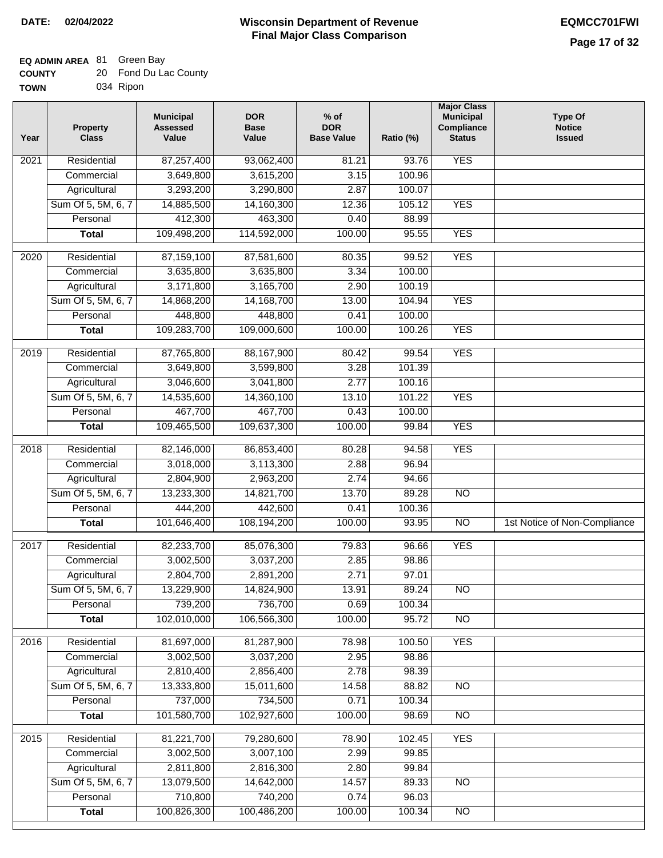#### **Wisconsin Department of Revenue Final Major Class Comparison DATE: 02/04/2022 EQMCC701FWI**

## **EQ ADMIN AREA** 81 Green Bay

| <b>COUNTY</b> | 20 Fond Du Lac County |
|---------------|-----------------------|
| <b>TOWN</b>   | 034 Ripon             |

| Year             | <b>Property</b><br><b>Class</b> | <b>Municipal</b><br><b>Assessed</b><br>Value | <b>DOR</b><br><b>Base</b><br>Value | $%$ of<br><b>DOR</b><br><b>Base Value</b> | Ratio (%) | <b>Major Class</b><br><b>Municipal</b><br>Compliance<br><b>Status</b> | <b>Type Of</b><br><b>Notice</b><br><b>Issued</b> |
|------------------|---------------------------------|----------------------------------------------|------------------------------------|-------------------------------------------|-----------|-----------------------------------------------------------------------|--------------------------------------------------|
| 2021             | Residential                     | 87,257,400                                   | 93,062,400                         | 81.21                                     | 93.76     | <b>YES</b>                                                            |                                                  |
|                  | Commercial                      | 3,649,800                                    | 3,615,200                          | 3.15                                      | 100.96    |                                                                       |                                                  |
|                  | Agricultural                    | 3,293,200                                    | 3,290,800                          | 2.87                                      | 100.07    |                                                                       |                                                  |
|                  | Sum Of 5, 5M, 6, 7              | 14,885,500                                   | 14,160,300                         | 12.36                                     | 105.12    | <b>YES</b>                                                            |                                                  |
|                  | Personal                        | 412,300                                      | 463,300                            | 0.40                                      | 88.99     |                                                                       |                                                  |
|                  | <b>Total</b>                    | 109,498,200                                  | 114,592,000                        | 100.00                                    | 95.55     | <b>YES</b>                                                            |                                                  |
| $\frac{1}{2020}$ | Residential                     | 87,159,100                                   | 87,581,600                         | 80.35                                     | 99.52     | <b>YES</b>                                                            |                                                  |
|                  | Commercial                      | 3,635,800                                    | 3,635,800                          | 3.34                                      | 100.00    |                                                                       |                                                  |
|                  | Agricultural                    | 3,171,800                                    | 3,165,700                          | 2.90                                      | 100.19    |                                                                       |                                                  |
|                  | Sum Of 5, 5M, 6, 7              | 14,868,200                                   | 14, 168, 700                       | 13.00                                     | 104.94    | <b>YES</b>                                                            |                                                  |
|                  | Personal                        | 448,800                                      | 448,800                            | 0.41                                      | 100.00    |                                                                       |                                                  |
|                  | <b>Total</b>                    | 109,283,700                                  | 109,000,600                        | 100.00                                    | 100.26    | <b>YES</b>                                                            |                                                  |
|                  |                                 |                                              |                                    |                                           |           |                                                                       |                                                  |
| $\frac{1}{2019}$ | Residential                     | 87,765,800                                   | 88,167,900                         | 80.42                                     | 99.54     | <b>YES</b>                                                            |                                                  |
|                  | Commercial                      | 3,649,800                                    | 3,599,800                          | 3.28                                      | 101.39    |                                                                       |                                                  |
|                  | Agricultural                    | 3,046,600                                    | 3,041,800                          | 2.77                                      | 100.16    |                                                                       |                                                  |
|                  | Sum Of 5, 5M, 6, 7              | 14,535,600                                   | 14,360,100                         | 13.10                                     | 101.22    | <b>YES</b>                                                            |                                                  |
|                  | Personal                        | 467,700                                      | 467,700                            | 0.43                                      | 100.00    |                                                                       |                                                  |
|                  | <b>Total</b>                    | 109,465,500                                  | 109,637,300                        | 100.00                                    | 99.84     | <b>YES</b>                                                            |                                                  |
| 2018             | Residential                     | 82,146,000                                   | 86,853,400                         | 80.28                                     | 94.58     | <b>YES</b>                                                            |                                                  |
|                  | Commercial                      | 3,018,000                                    | 3,113,300                          | 2.88                                      | 96.94     |                                                                       |                                                  |
|                  | Agricultural                    | 2,804,900                                    | 2,963,200                          | 2.74                                      | 94.66     |                                                                       |                                                  |
|                  | Sum Of 5, 5M, 6, 7              | 13,233,300                                   | 14,821,700                         | 13.70                                     | 89.28     | <b>NO</b>                                                             |                                                  |
|                  | Personal                        | 444,200                                      | 442,600                            | 0.41                                      | 100.36    |                                                                       |                                                  |
|                  | <b>Total</b>                    | 101,646,400                                  | 108,194,200                        | 100.00                                    | 93.95     | <b>NO</b>                                                             | 1st Notice of Non-Compliance                     |
| 2017             | Residential                     | 82,233,700                                   | 85,076,300                         | 79.83                                     | 96.66     | <b>YES</b>                                                            |                                                  |
|                  | Commercial                      | 3,002,500                                    | 3,037,200                          | 2.85                                      | 98.86     |                                                                       |                                                  |
|                  | Agricultural                    | 2,804,700                                    | 2,891,200                          | 2.71                                      | 97.01     |                                                                       |                                                  |
|                  | Sum Of 5, 5M, 6, 7              | 13,229,900                                   | 14,824,900                         | 13.91                                     | 89.24     | $\overline{NO}$                                                       |                                                  |
|                  | Personal                        | 739,200                                      | 736,700                            | 0.69                                      | 100.34    |                                                                       |                                                  |
|                  | <b>Total</b>                    | 102,010,000                                  | 106,566,300                        | 100.00                                    | 95.72     | NO                                                                    |                                                  |
|                  |                                 |                                              |                                    |                                           |           |                                                                       |                                                  |
| 2016             | Residential                     | 81,697,000                                   | 81,287,900                         | 78.98                                     | 100.50    | <b>YES</b>                                                            |                                                  |
|                  | Commercial                      | 3,002,500                                    | 3,037,200                          | 2.95                                      | 98.86     |                                                                       |                                                  |
|                  | Agricultural                    | 2,810,400                                    | 2,856,400                          | 2.78                                      | 98.39     |                                                                       |                                                  |
|                  | Sum Of 5, 5M, 6, 7              | 13,333,800                                   | 15,011,600                         | 14.58                                     | 88.82     | N <sub>O</sub>                                                        |                                                  |
|                  | Personal                        | 737,000                                      | 734,500                            | 0.71                                      | 100.34    |                                                                       |                                                  |
|                  | <b>Total</b>                    | 101,580,700                                  | 102,927,600                        | 100.00                                    | 98.69     | $\overline{NO}$                                                       |                                                  |
| 2015             | Residential                     | 81,221,700                                   | 79,280,600                         | 78.90                                     | 102.45    | <b>YES</b>                                                            |                                                  |
|                  | Commercial                      | 3,002,500                                    | 3,007,100                          | 2.99                                      | 99.85     |                                                                       |                                                  |
|                  | Agricultural                    | 2,811,800                                    | 2,816,300                          | 2.80                                      | 99.84     |                                                                       |                                                  |
|                  | Sum Of 5, 5M, 6, 7              | 13,079,500                                   | 14,642,000                         | 14.57                                     | 89.33     | $\overline{NO}$                                                       |                                                  |
|                  | Personal                        | 710,800                                      | 740,200                            | 0.74                                      | 96.03     |                                                                       |                                                  |
|                  | <b>Total</b>                    | 100,826,300                                  | 100,486,200                        | 100.00                                    | 100.34    | $\overline{NO}$                                                       |                                                  |
|                  |                                 |                                              |                                    |                                           |           |                                                                       |                                                  |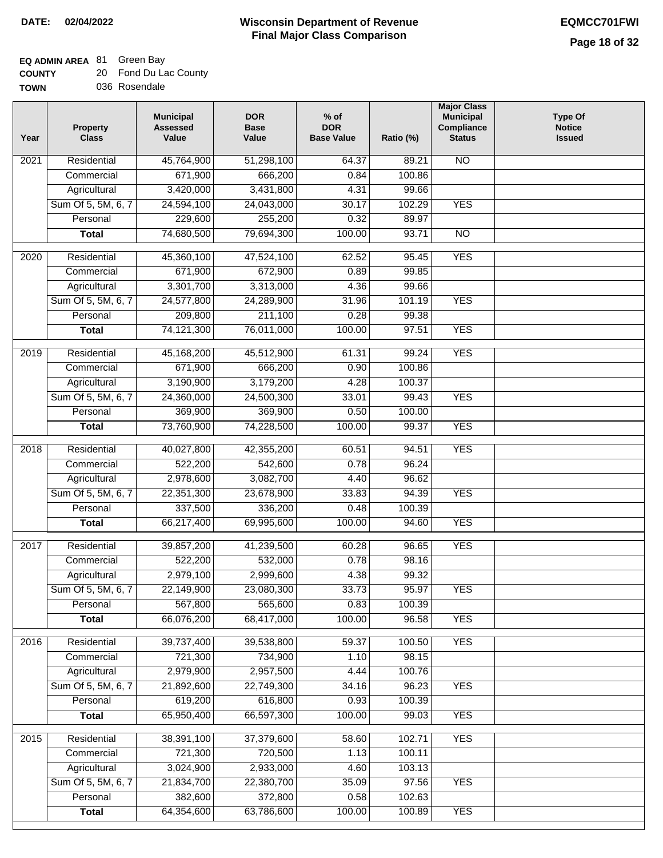### **EQ ADMIN AREA** 81 Green Bay

| <b>COUNTY</b> | 20 Fond Du Lac County |
|---------------|-----------------------|
| <b>TOWN</b>   | 036 Rosendale         |

| Year              | <b>Property</b><br><b>Class</b> | <b>Municipal</b><br><b>Assessed</b><br>Value | <b>DOR</b><br><b>Base</b><br>Value | $%$ of<br><b>DOR</b><br><b>Base Value</b> | Ratio (%) | <b>Major Class</b><br><b>Municipal</b><br>Compliance<br><b>Status</b> | <b>Type Of</b><br><b>Notice</b><br><b>Issued</b> |
|-------------------|---------------------------------|----------------------------------------------|------------------------------------|-------------------------------------------|-----------|-----------------------------------------------------------------------|--------------------------------------------------|
| 2021              | Residential                     | 45,764,900                                   | 51,298,100                         | 64.37                                     | 89.21     | $\overline{NO}$                                                       |                                                  |
|                   | Commercial                      | 671,900                                      | 666,200                            | 0.84                                      | 100.86    |                                                                       |                                                  |
|                   | Agricultural                    | 3,420,000                                    | 3,431,800                          | 4.31                                      | 99.66     |                                                                       |                                                  |
|                   | Sum Of 5, 5M, 6, 7              | 24,594,100                                   | 24,043,000                         | 30.17                                     | 102.29    | <b>YES</b>                                                            |                                                  |
|                   | Personal                        | 229,600                                      | 255,200                            | 0.32                                      | 89.97     |                                                                       |                                                  |
|                   | <b>Total</b>                    | 74,680,500                                   | 79,694,300                         | 100.00                                    | 93.71     | $\overline{NO}$                                                       |                                                  |
| 2020              | Residential                     | 45,360,100                                   | 47,524,100                         | 62.52                                     | 95.45     | <b>YES</b>                                                            |                                                  |
|                   | Commercial                      | 671,900                                      | 672,900                            | 0.89                                      | 99.85     |                                                                       |                                                  |
|                   | Agricultural                    | 3,301,700                                    | 3,313,000                          | 4.36                                      | 99.66     |                                                                       |                                                  |
|                   | Sum Of 5, 5M, 6, 7              | 24,577,800                                   | 24,289,900                         | 31.96                                     | 101.19    | <b>YES</b>                                                            |                                                  |
|                   | Personal                        | 209,800                                      | 211,100                            | 0.28                                      | 99.38     |                                                                       |                                                  |
|                   | <b>Total</b>                    | 74,121,300                                   | 76,011,000                         | 100.00                                    | 97.51     | <b>YES</b>                                                            |                                                  |
| 2019              | Residential                     | 45,168,200                                   | 45,512,900                         | 61.31                                     | 99.24     | <b>YES</b>                                                            |                                                  |
|                   | Commercial                      | 671,900                                      | 666,200                            | 0.90                                      | 100.86    |                                                                       |                                                  |
|                   | Agricultural                    | 3,190,900                                    | 3,179,200                          | 4.28                                      | 100.37    |                                                                       |                                                  |
|                   | Sum Of 5, 5M, 6, 7              | 24,360,000                                   | 24,500,300                         | 33.01                                     | 99.43     | <b>YES</b>                                                            |                                                  |
|                   | Personal                        | 369,900                                      | 369,900                            | 0.50                                      | 100.00    |                                                                       |                                                  |
|                   | <b>Total</b>                    | 73,760,900                                   | 74,228,500                         | 100.00                                    | 99.37     | <b>YES</b>                                                            |                                                  |
| 2018              | Residential                     | 40,027,800                                   | 42,355,200                         | 60.51                                     | 94.51     | <b>YES</b>                                                            |                                                  |
|                   | Commercial                      | 522,200                                      | 542,600                            | 0.78                                      | 96.24     |                                                                       |                                                  |
|                   | Agricultural                    | 2,978,600                                    | 3,082,700                          | 4.40                                      | 96.62     |                                                                       |                                                  |
|                   | Sum Of 5, 5M, 6, 7              | 22,351,300                                   | 23,678,900                         | 33.83                                     | 94.39     | <b>YES</b>                                                            |                                                  |
|                   | Personal                        | 337,500                                      | 336,200                            | 0.48                                      | 100.39    |                                                                       |                                                  |
|                   | <b>Total</b>                    | 66,217,400                                   | 69,995,600                         | 100.00                                    | 94.60     | <b>YES</b>                                                            |                                                  |
| 2017              | Residential                     | 39,857,200                                   | 41,239,500                         | 60.28                                     | 96.65     | <b>YES</b>                                                            |                                                  |
|                   | Commercial                      | 522,200                                      | 532,000                            | 0.78                                      | 98.16     |                                                                       |                                                  |
|                   | Agricultural                    | 2,979,100                                    | 2,999,600                          | 4.38                                      | 99.32     |                                                                       |                                                  |
|                   |                                 | 22,149,900                                   |                                    |                                           | 95.97     | <b>YES</b>                                                            |                                                  |
|                   | Sum Of 5, 5M, 6, 7<br>Personal  | 567,800                                      | 23,080,300<br>565,600              | 33.73<br>0.83                             | 100.39    |                                                                       |                                                  |
|                   | <b>Total</b>                    | 66,076,200                                   | 68,417,000                         | 100.00                                    | 96.58     | <b>YES</b>                                                            |                                                  |
|                   |                                 |                                              |                                    |                                           |           |                                                                       |                                                  |
| 2016              | Residential                     | 39,737,400                                   | 39,538,800                         | 59.37                                     | 100.50    | <b>YES</b>                                                            |                                                  |
|                   | Commercial                      | 721,300                                      | 734,900                            | 1.10                                      | 98.15     |                                                                       |                                                  |
|                   | Agricultural                    | 2,979,900                                    | 2,957,500                          | 4.44                                      | 100.76    |                                                                       |                                                  |
|                   | Sum Of 5, 5M, 6, 7              | 21,892,600                                   | 22,749,300                         | 34.16                                     | 96.23     | <b>YES</b>                                                            |                                                  |
|                   | Personal                        | 619,200                                      | 616,800                            | 0.93                                      | 100.39    |                                                                       |                                                  |
|                   | <b>Total</b>                    | 65,950,400                                   | 66,597,300                         | 100.00                                    | 99.03     | <b>YES</b>                                                            |                                                  |
| $\overline{2015}$ | Residential                     | 38,391,100                                   | 37,379,600                         | 58.60                                     | 102.71    | <b>YES</b>                                                            |                                                  |
|                   | Commercial                      | 721,300                                      | 720,500                            | 1.13                                      | 100.11    |                                                                       |                                                  |
|                   | Agricultural                    | 3,024,900                                    | 2,933,000                          | 4.60                                      | 103.13    |                                                                       |                                                  |
|                   | Sum Of 5, 5M, 6, 7              | 21,834,700                                   | 22,380,700                         | 35.09                                     | 97.56     | <b>YES</b>                                                            |                                                  |
|                   | Personal                        | 382,600                                      | 372,800                            | 0.58                                      | 102.63    |                                                                       |                                                  |
|                   | <b>Total</b>                    | 64,354,600                                   | 63,786,600                         | 100.00                                    | 100.89    | <b>YES</b>                                                            |                                                  |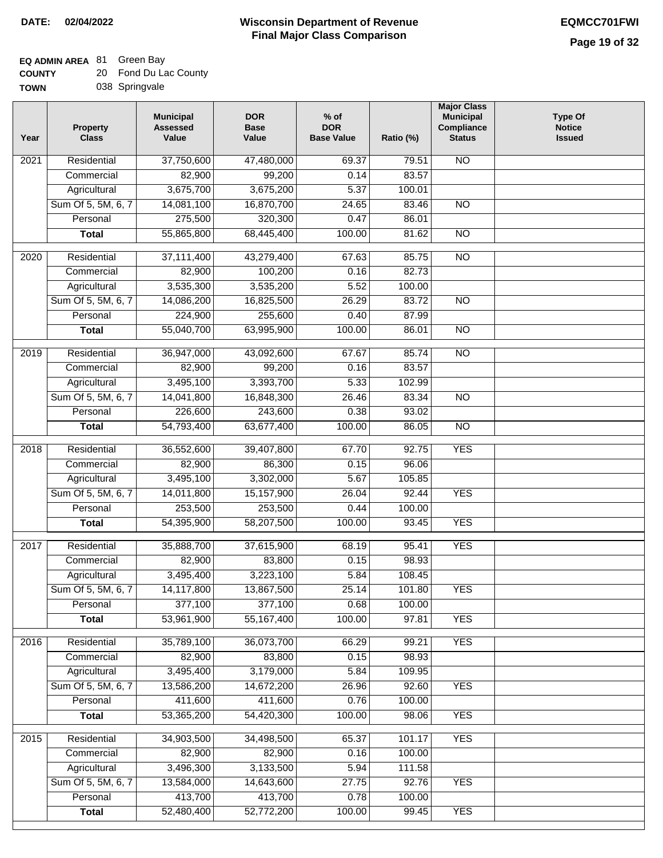### **Wisconsin Department of Revenue DATE: 02/04/2022 EQMCC701FWI Final Major Class Comparison**

### **EQ ADMIN AREA** 81 Green Bay

**Total**

52,480,400

52,772,200

100.00

99.45

YES

| <b>COUNTY</b> | 20. | Fond Du Lac County |
|---------------|-----|--------------------|
| <b>TOWN</b>   |     | 038 Springvale     |

| Year              | <b>Property</b><br><b>Class</b> | <b>Municipal</b><br><b>Assessed</b><br>Value | <b>DOR</b><br><b>Base</b><br>Value | $%$ of<br><b>DOR</b><br><b>Base Value</b> | Ratio (%) | <b>Major Class</b><br><b>Municipal</b><br>Compliance<br><b>Status</b> | <b>Type Of</b><br><b>Notice</b><br><b>Issued</b> |
|-------------------|---------------------------------|----------------------------------------------|------------------------------------|-------------------------------------------|-----------|-----------------------------------------------------------------------|--------------------------------------------------|
| 2021              | Residential                     | 37,750,600                                   | 47,480,000                         | 69.37                                     | 79.51     | N <sub>O</sub>                                                        |                                                  |
|                   | Commercial                      | 82,900                                       | 99,200                             | 0.14                                      | 83.57     |                                                                       |                                                  |
|                   | Agricultural                    | 3,675,700                                    | 3,675,200                          | 5.37                                      | 100.01    |                                                                       |                                                  |
|                   | Sum Of 5, 5M, 6, 7              | 14,081,100                                   | 16,870,700                         | 24.65                                     | 83.46     | $\overline{NO}$                                                       |                                                  |
|                   | Personal                        | 275,500                                      | 320,300                            | 0.47                                      | 86.01     |                                                                       |                                                  |
|                   | <b>Total</b>                    | 55,865,800                                   | 68,445,400                         | 100.00                                    | 81.62     | <b>NO</b>                                                             |                                                  |
| $\overline{20}20$ | Residential                     | 37,111,400                                   | 43,279,400                         | 67.63                                     | 85.75     | $\overline{10}$                                                       |                                                  |
|                   | Commercial                      | 82,900                                       | 100,200                            | 0.16                                      | 82.73     |                                                                       |                                                  |
|                   | Agricultural                    | 3,535,300                                    | 3,535,200                          | 5.52                                      | 100.00    |                                                                       |                                                  |
|                   | Sum Of 5, 5M, 6, 7              | 14,086,200                                   | 16,825,500                         | 26.29                                     | 83.72     | $\overline{NO}$                                                       |                                                  |
|                   | Personal                        | 224,900                                      | 255,600                            | 0.40                                      | 87.99     |                                                                       |                                                  |
|                   | <b>Total</b>                    | 55,040,700                                   | 63,995,900                         | 100.00                                    | 86.01     | <b>NO</b>                                                             |                                                  |
| $\frac{1}{2019}$  | Residential                     | 36,947,000                                   | 43,092,600                         | 67.67                                     | 85.74     | N <sub>O</sub>                                                        |                                                  |
|                   | Commercial                      | 82,900                                       | 99,200                             | 0.16                                      | 83.57     |                                                                       |                                                  |
|                   | Agricultural                    | 3,495,100                                    | 3,393,700                          | 5.33                                      | 102.99    |                                                                       |                                                  |
|                   | Sum Of 5, 5M, 6, 7              | 14,041,800                                   | 16,848,300                         | 26.46                                     | 83.34     | N <sub>O</sub>                                                        |                                                  |
|                   | Personal                        | 226,600                                      | 243,600                            | 0.38                                      | 93.02     |                                                                       |                                                  |
|                   | <b>Total</b>                    | 54,793,400                                   | 63,677,400                         | 100.00                                    | 86.05     | $\overline{NO}$                                                       |                                                  |
| 2018              | Residential                     | 36,552,600                                   | 39,407,800                         | 67.70                                     | 92.75     | <b>YES</b>                                                            |                                                  |
|                   | Commercial                      | 82,900                                       | 86,300                             | 0.15                                      | 96.06     |                                                                       |                                                  |
|                   | Agricultural                    | 3,495,100                                    | 3,302,000                          | 5.67                                      | 105.85    |                                                                       |                                                  |
|                   | Sum Of 5, 5M, 6, 7              | 14,011,800                                   | 15,157,900                         | 26.04                                     | 92.44     | <b>YES</b>                                                            |                                                  |
|                   | Personal                        | 253,500                                      | 253,500                            | 0.44                                      | 100.00    |                                                                       |                                                  |
|                   | <b>Total</b>                    | 54,395,900                                   | 58,207,500                         | 100.00                                    | 93.45     | <b>YES</b>                                                            |                                                  |
| 2017              | Residential                     | 35,888,700                                   | 37,615,900                         | 68.19                                     | 95.41     | <b>YES</b>                                                            |                                                  |
|                   | Commercial                      | 82,900                                       | 83,800                             | 0.15                                      | 98.93     |                                                                       |                                                  |
|                   | Agricultural                    | 3,495,400                                    | 3,223,100                          | 5.84                                      | 108.45    |                                                                       |                                                  |
|                   | Sum Of 5, 5M, 6, 7              | 14,117,800                                   | 13,867,500                         | 25.14                                     | 101.80    | <b>YES</b>                                                            |                                                  |
|                   | Personal                        | 377,100                                      | 377,100                            | 0.68                                      | 100.00    |                                                                       |                                                  |
|                   | <b>Total</b>                    | 53,961,900                                   | 55, 167, 400                       | 100.00                                    | 97.81     | <b>YES</b>                                                            |                                                  |
| 2016              | Residential                     | 35,789,100                                   | 36,073,700                         | 66.29                                     | 99.21     | <b>YES</b>                                                            |                                                  |
|                   | Commercial                      | 82,900                                       | 83,800                             | 0.15                                      | 98.93     |                                                                       |                                                  |
|                   | Agricultural                    | 3,495,400                                    | 3,179,000                          | 5.84                                      | 109.95    |                                                                       |                                                  |
|                   | Sum Of 5, 5M, 6, 7              | 13,586,200                                   | 14,672,200                         | 26.96                                     | 92.60     | <b>YES</b>                                                            |                                                  |
|                   | Personal                        | 411,600                                      | 411,600                            | 0.76                                      | 100.00    |                                                                       |                                                  |
|                   | <b>Total</b>                    | 53,365,200                                   | 54,420,300                         | 100.00                                    | 98.06     | <b>YES</b>                                                            |                                                  |
| $\overline{2015}$ | Residential                     | 34,903,500                                   | 34,498,500                         | 65.37                                     | 101.17    | <b>YES</b>                                                            |                                                  |
|                   | Commercial                      | 82,900                                       | 82,900                             | 0.16                                      | 100.00    |                                                                       |                                                  |
|                   | Agricultural                    | 3,496,300                                    | 3,133,500                          | 5.94                                      | 111.58    |                                                                       |                                                  |
|                   | Sum Of 5, 5M, 6, 7              | 13,584,000                                   | 14,643,600                         | 27.75                                     | 92.76     | <b>YES</b>                                                            |                                                  |
|                   | Personal                        | 413,700                                      | 413,700                            | 0.78                                      | 100.00    |                                                                       |                                                  |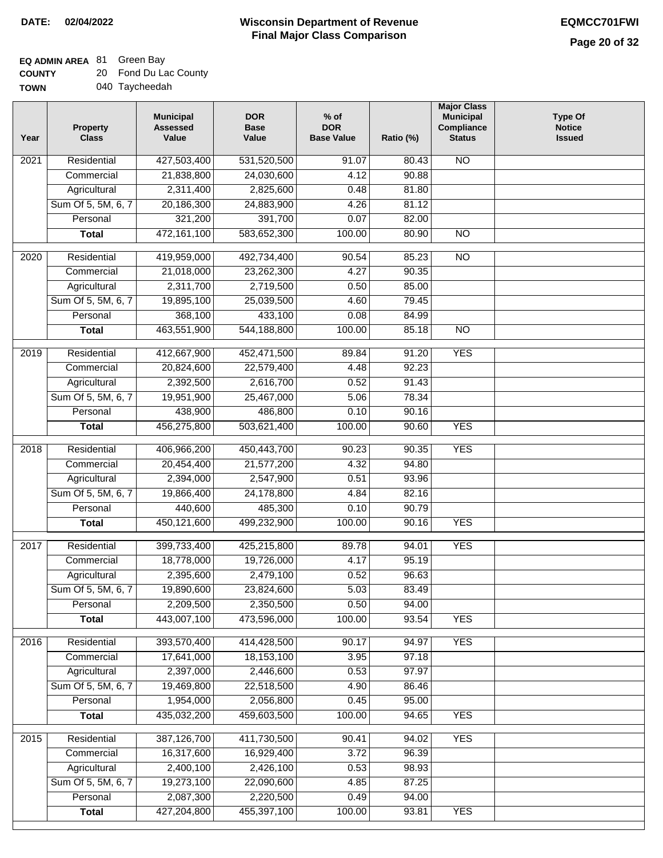### **EQ ADMIN AREA** 81 Green Bay

| <b>COUNTY</b> | 20 Fond Du Lac County |
|---------------|-----------------------|
| <b>TOWN</b>   | 040 Taycheedah        |

| Year              | <b>Property</b><br><b>Class</b> | <b>Municipal</b><br><b>Assessed</b><br>Value | <b>DOR</b><br><b>Base</b><br>Value | $%$ of<br><b>DOR</b><br><b>Base Value</b> | Ratio (%) | <b>Major Class</b><br><b>Municipal</b><br>Compliance<br><b>Status</b> | <b>Type Of</b><br><b>Notice</b><br><b>Issued</b> |
|-------------------|---------------------------------|----------------------------------------------|------------------------------------|-------------------------------------------|-----------|-----------------------------------------------------------------------|--------------------------------------------------|
| 2021              | Residential                     | 427,503,400                                  | 531,520,500                        | 91.07                                     | 80.43     | $\overline{NO}$                                                       |                                                  |
|                   | Commercial                      | 21,838,800                                   | 24,030,600                         | 4.12                                      | 90.88     |                                                                       |                                                  |
|                   | Agricultural                    | 2,311,400                                    | 2,825,600                          | 0.48                                      | 81.80     |                                                                       |                                                  |
|                   | Sum Of 5, 5M, 6, 7              | 20,186,300                                   | 24,883,900                         | 4.26                                      | 81.12     |                                                                       |                                                  |
|                   | Personal                        | 321,200                                      | 391,700                            | 0.07                                      | 82.00     |                                                                       |                                                  |
|                   | <b>Total</b>                    | 472,161,100                                  | 583,652,300                        | 100.00                                    | 80.90     | N <sub>O</sub>                                                        |                                                  |
| 2020              | Residential                     | 419,959,000                                  | 492,734,400                        | 90.54                                     | 85.23     | $\overline{NO}$                                                       |                                                  |
|                   | Commercial                      | 21,018,000                                   | 23,262,300                         | 4.27                                      | 90.35     |                                                                       |                                                  |
|                   | Agricultural                    | 2,311,700                                    | 2,719,500                          | 0.50                                      | 85.00     |                                                                       |                                                  |
|                   | Sum Of 5, 5M, 6, 7              | 19,895,100                                   | 25,039,500                         | 4.60                                      | 79.45     |                                                                       |                                                  |
|                   | Personal                        | 368,100                                      | 433,100                            | 0.08                                      | 84.99     |                                                                       |                                                  |
|                   | <b>Total</b>                    | 463,551,900                                  | 544,188,800                        | 100.00                                    | 85.18     | $\overline{NO}$                                                       |                                                  |
|                   |                                 |                                              |                                    |                                           |           |                                                                       |                                                  |
| 2019              | Residential                     | 412,667,900                                  | 452,471,500                        | 89.84                                     | 91.20     | <b>YES</b>                                                            |                                                  |
|                   | Commercial                      | 20,824,600                                   | 22,579,400                         | 4.48                                      | 92.23     |                                                                       |                                                  |
|                   | Agricultural                    | 2,392,500                                    | 2,616,700                          | 0.52                                      | 91.43     |                                                                       |                                                  |
|                   | Sum Of 5, 5M, 6, 7              | 19,951,900                                   | 25,467,000                         | 5.06                                      | 78.34     |                                                                       |                                                  |
|                   | Personal                        | 438,900                                      | 486,800                            | 0.10                                      | 90.16     |                                                                       |                                                  |
|                   | <b>Total</b>                    | 456,275,800                                  | 503,621,400                        | 100.00                                    | 90.60     | <b>YES</b>                                                            |                                                  |
| 2018              | Residential                     | 406,966,200                                  | 450,443,700                        | 90.23                                     | 90.35     | <b>YES</b>                                                            |                                                  |
|                   | Commercial                      | 20,454,400                                   | 21,577,200                         | 4.32                                      | 94.80     |                                                                       |                                                  |
|                   | Agricultural                    | 2,394,000                                    | 2,547,900                          | 0.51                                      | 93.96     |                                                                       |                                                  |
|                   | Sum Of 5, 5M, 6, 7              | 19,866,400                                   | 24,178,800                         | 4.84                                      | 82.16     |                                                                       |                                                  |
|                   | Personal                        | 440,600                                      | 485,300                            | 0.10                                      | 90.79     |                                                                       |                                                  |
|                   | <b>Total</b>                    | 450,121,600                                  | 499,232,900                        | 100.00                                    | 90.16     | <b>YES</b>                                                            |                                                  |
| 2017              | Residential                     | 399,733,400                                  | 425,215,800                        | 89.78                                     | 94.01     | <b>YES</b>                                                            |                                                  |
|                   | Commercial                      | 18,778,000                                   | 19,726,000                         | 4.17                                      | 95.19     |                                                                       |                                                  |
|                   | Agricultural                    | 2,395,600                                    | 2,479,100                          | 0.52                                      | 96.63     |                                                                       |                                                  |
|                   | Sum Of 5, 5M, 6, 7              | 19,890,600                                   | 23,824,600                         | 5.03                                      | 83.49     |                                                                       |                                                  |
|                   | Personal                        | 2,209,500                                    | 2,350,500                          | 0.50                                      | 94.00     |                                                                       |                                                  |
|                   | <b>Total</b>                    | 443,007,100                                  | 473,596,000                        | 100.00                                    | 93.54     | <b>YES</b>                                                            |                                                  |
|                   |                                 |                                              |                                    |                                           |           |                                                                       |                                                  |
| 2016              | Residential                     | 393,570,400                                  | 414,428,500                        | 90.17                                     | 94.97     | <b>YES</b>                                                            |                                                  |
|                   | Commercial                      | 17,641,000                                   | 18,153,100                         | 3.95                                      | 97.18     |                                                                       |                                                  |
|                   | Agricultural                    | 2,397,000                                    | 2,446,600                          | 0.53                                      | 97.97     |                                                                       |                                                  |
|                   | Sum Of 5, 5M, 6, 7              | 19,469,800                                   | 22,518,500                         | 4.90                                      | 86.46     |                                                                       |                                                  |
|                   | Personal                        | 1,954,000                                    | 2,056,800                          | 0.45                                      | 95.00     |                                                                       |                                                  |
|                   | <b>Total</b>                    | 435,032,200                                  | 459,603,500                        | 100.00                                    | 94.65     | <b>YES</b>                                                            |                                                  |
| $\overline{2015}$ | Residential                     | 387,126,700                                  | 411,730,500                        | 90.41                                     | 94.02     | <b>YES</b>                                                            |                                                  |
|                   | Commercial                      | 16,317,600                                   | 16,929,400                         | 3.72                                      | 96.39     |                                                                       |                                                  |
|                   | Agricultural                    | 2,400,100                                    | 2,426,100                          | 0.53                                      | 98.93     |                                                                       |                                                  |
|                   | Sum Of 5, 5M, 6, 7              | 19,273,100                                   | 22,090,600                         | 4.85                                      | 87.25     |                                                                       |                                                  |
|                   | Personal                        | 2,087,300                                    | 2,220,500                          | 0.49                                      | 94.00     |                                                                       |                                                  |
|                   | <b>Total</b>                    | 427,204,800                                  | 455,397,100                        | 100.00                                    | 93.81     | <b>YES</b>                                                            |                                                  |
|                   |                                 |                                              |                                    |                                           |           |                                                                       |                                                  |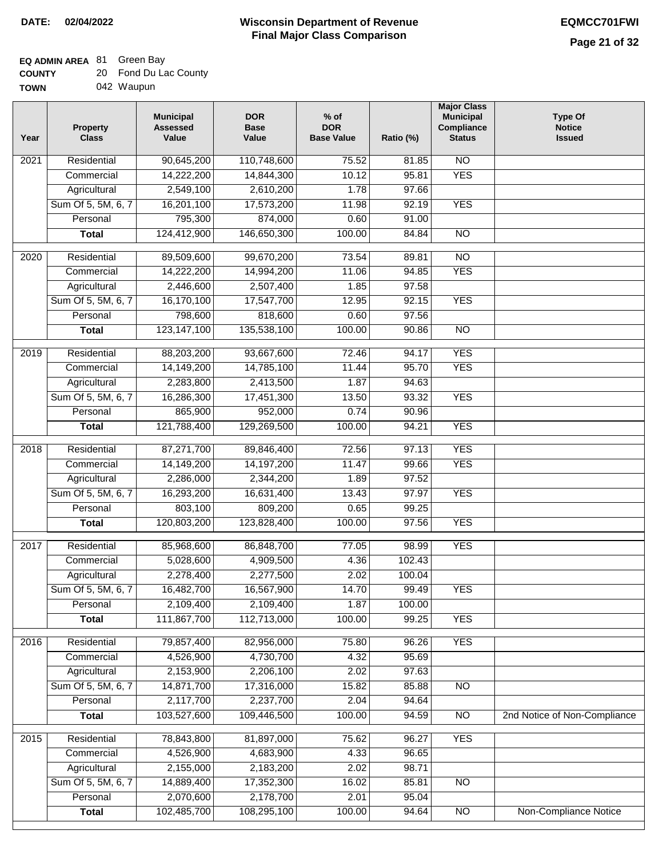| <b>COUNTY</b> | 20 Fond Du Lac County |
|---------------|-----------------------|
| <b>TOWN</b>   | 042 Waupun            |

| Year              | <b>Property</b><br><b>Class</b> | <b>Municipal</b><br><b>Assessed</b><br>Value | <b>DOR</b><br><b>Base</b><br>Value | $%$ of<br><b>DOR</b><br><b>Base Value</b> | Ratio (%) | <b>Major Class</b><br><b>Municipal</b><br>Compliance<br><b>Status</b> | <b>Type Of</b><br><b>Notice</b><br><b>Issued</b> |
|-------------------|---------------------------------|----------------------------------------------|------------------------------------|-------------------------------------------|-----------|-----------------------------------------------------------------------|--------------------------------------------------|
| $\overline{202}1$ | Residential                     | 90,645,200                                   | 110,748,600                        | 75.52                                     | 81.85     | N <sub>O</sub>                                                        |                                                  |
|                   | Commercial                      | 14,222,200                                   | 14,844,300                         | 10.12                                     | 95.81     | <b>YES</b>                                                            |                                                  |
|                   | Agricultural                    | 2,549,100                                    | 2,610,200                          | 1.78                                      | 97.66     |                                                                       |                                                  |
|                   | Sum Of 5, 5M, 6, 7              | 16,201,100                                   | 17,573,200                         | 11.98                                     | 92.19     | <b>YES</b>                                                            |                                                  |
|                   | Personal                        | 795,300                                      | 874,000                            | 0.60                                      | 91.00     |                                                                       |                                                  |
|                   | <b>Total</b>                    | 124,412,900                                  | 146,650,300                        | 100.00                                    | 84.84     | $\overline{NO}$                                                       |                                                  |
| 2020              | Residential                     | 89,509,600                                   | 99,670,200                         | 73.54                                     | 89.81     | $\overline{NO}$                                                       |                                                  |
|                   | Commercial                      | 14,222,200                                   | 14,994,200                         | 11.06                                     | 94.85     | <b>YES</b>                                                            |                                                  |
|                   | Agricultural                    | 2,446,600                                    | 2,507,400                          | 1.85                                      | 97.58     |                                                                       |                                                  |
|                   | Sum Of 5, 5M, 6, 7              | 16,170,100                                   | 17,547,700                         | 12.95                                     | 92.15     | <b>YES</b>                                                            |                                                  |
|                   | Personal                        | 798,600                                      | 818,600                            | 0.60                                      | 97.56     |                                                                       |                                                  |
|                   | <b>Total</b>                    | 123, 147, 100                                | 135,538,100                        | 100.00                                    | 90.86     | $\overline{NO}$                                                       |                                                  |
|                   |                                 |                                              |                                    |                                           |           |                                                                       |                                                  |
| 2019              | Residential                     | 88,203,200                                   | 93,667,600                         | 72.46                                     | 94.17     | <b>YES</b>                                                            |                                                  |
|                   | Commercial                      | 14,149,200                                   | 14,785,100                         | 11.44                                     | 95.70     | <b>YES</b>                                                            |                                                  |
|                   | Agricultural                    | 2,283,800                                    | 2,413,500                          | 1.87                                      | 94.63     |                                                                       |                                                  |
|                   | Sum Of 5, 5M, 6, 7              | 16,286,300                                   | 17,451,300                         | 13.50                                     | 93.32     | <b>YES</b>                                                            |                                                  |
|                   | Personal                        | 865,900                                      | 952,000                            | 0.74                                      | 90.96     |                                                                       |                                                  |
|                   | <b>Total</b>                    | 121,788,400                                  | 129,269,500                        | 100.00                                    | 94.21     | <b>YES</b>                                                            |                                                  |
| 2018              | Residential                     | 87,271,700                                   | 89,846,400                         | 72.56                                     | 97.13     | <b>YES</b>                                                            |                                                  |
|                   | Commercial                      | 14,149,200                                   | 14,197,200                         | 11.47                                     | 99.66     | <b>YES</b>                                                            |                                                  |
|                   | Agricultural                    | 2,286,000                                    | 2,344,200                          | 1.89                                      | 97.52     |                                                                       |                                                  |
|                   | Sum Of 5, 5M, 6, 7              | 16,293,200                                   | 16,631,400                         | 13.43                                     | 97.97     | <b>YES</b>                                                            |                                                  |
|                   | Personal                        | 803,100                                      | 809,200                            | 0.65                                      | 99.25     |                                                                       |                                                  |
|                   | <b>Total</b>                    | 120,803,200                                  | 123,828,400                        | 100.00                                    | 97.56     | <b>YES</b>                                                            |                                                  |
| $\overline{20}17$ | Residential                     | 85,968,600                                   | 86,848,700                         | 77.05                                     | 98.99     | <b>YES</b>                                                            |                                                  |
|                   | Commercial                      | 5,028,600                                    | 4,909,500                          | 4.36                                      | 102.43    |                                                                       |                                                  |
|                   | Agricultural                    | 2,278,400                                    | 2,277,500                          | 2.02                                      | 100.04    |                                                                       |                                                  |
|                   | Sum Of 5, 5M, 6, 7              | 16,482,700                                   | 16,567,900                         | 14.70                                     | 99.49     | <b>YES</b>                                                            |                                                  |
|                   | Personal                        | 2,109,400                                    | 2,109,400                          | 1.87                                      | 100.00    |                                                                       |                                                  |
|                   | <b>Total</b>                    | 111,867,700                                  | 112,713,000                        | 100.00                                    | 99.25     | <b>YES</b>                                                            |                                                  |
| 2016              | Residential                     | 79,857,400                                   | 82,956,000                         | 75.80                                     | 96.26     | <b>YES</b>                                                            |                                                  |
|                   | Commercial                      | 4,526,900                                    | 4,730,700                          | 4.32                                      | 95.69     |                                                                       |                                                  |
|                   | Agricultural                    | 2,153,900                                    | 2,206,100                          | 2.02                                      | 97.63     |                                                                       |                                                  |
|                   | Sum Of 5, 5M, 6, 7              | 14,871,700                                   | 17,316,000                         | 15.82                                     | 85.88     | $\overline{NO}$                                                       |                                                  |
|                   | Personal                        | 2,117,700                                    | 2,237,700                          | 2.04                                      | 94.64     |                                                                       |                                                  |
|                   | <b>Total</b>                    | 103,527,600                                  | 109,446,500                        | 100.00                                    | 94.59     | N <sub>O</sub>                                                        | 2nd Notice of Non-Compliance                     |
| 2015              | Residential                     | 78,843,800                                   | 81,897,000                         | 75.62                                     | 96.27     | <b>YES</b>                                                            |                                                  |
|                   | Commercial                      | 4,526,900                                    | 4,683,900                          | 4.33                                      | 96.65     |                                                                       |                                                  |
|                   | Agricultural                    | 2,155,000                                    | 2,183,200                          | 2.02                                      | 98.71     |                                                                       |                                                  |
|                   | Sum Of 5, 5M, 6, 7              | 14,889,400                                   | 17,352,300                         | 16.02                                     | 85.81     | <b>NO</b>                                                             |                                                  |
|                   | Personal                        | 2,070,600                                    | 2,178,700                          | 2.01                                      | 95.04     |                                                                       |                                                  |
|                   | <b>Total</b>                    | 102,485,700                                  | 108,295,100                        | 100.00                                    | 94.64     | NO                                                                    | Non-Compliance Notice                            |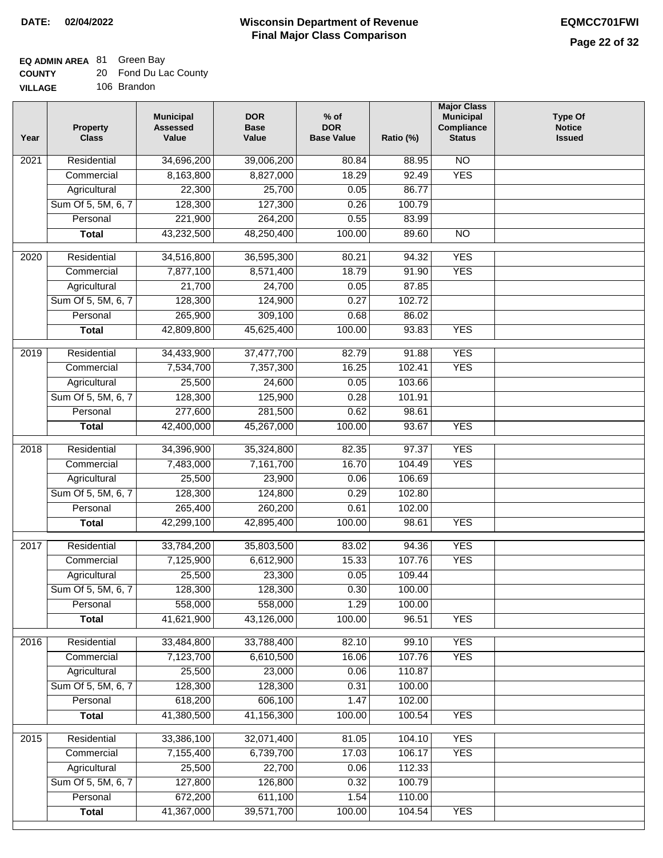| <b>COUNTY</b>  | 20 Fond Du Lac County |
|----------------|-----------------------|
| <b>VILLAGE</b> | 106 Brandon           |

| ЭE | 106 Brandon |
|----|-------------|
|    |             |

| Year              | <b>Property</b><br><b>Class</b> | <b>Municipal</b><br><b>Assessed</b><br>Value | <b>DOR</b><br><b>Base</b><br>Value | $%$ of<br><b>DOR</b><br><b>Base Value</b> | Ratio (%) | <b>Major Class</b><br><b>Municipal</b><br>Compliance<br><b>Status</b> | <b>Type Of</b><br><b>Notice</b><br><b>Issued</b> |
|-------------------|---------------------------------|----------------------------------------------|------------------------------------|-------------------------------------------|-----------|-----------------------------------------------------------------------|--------------------------------------------------|
| 2021              | Residential                     | 34,696,200                                   | 39,006,200                         | 80.84                                     | 88.95     | $\overline{NO}$                                                       |                                                  |
|                   | Commercial                      | 8,163,800                                    | 8,827,000                          | 18.29                                     | 92.49     | <b>YES</b>                                                            |                                                  |
|                   | Agricultural                    | 22,300                                       | 25,700                             | 0.05                                      | 86.77     |                                                                       |                                                  |
|                   | Sum Of 5, 5M, 6, 7              | 128,300                                      | 127,300                            | 0.26                                      | 100.79    |                                                                       |                                                  |
|                   | Personal                        | 221,900                                      | 264,200                            | 0.55                                      | 83.99     |                                                                       |                                                  |
|                   | <b>Total</b>                    | 43,232,500                                   | 48,250,400                         | 100.00                                    | 89.60     | $\overline{NO}$                                                       |                                                  |
| 2020              | Residential                     | 34,516,800                                   | 36,595,300                         | 80.21                                     | 94.32     | <b>YES</b>                                                            |                                                  |
|                   | Commercial                      | 7,877,100                                    | 8,571,400                          | 18.79                                     | 91.90     | <b>YES</b>                                                            |                                                  |
|                   | Agricultural                    | 21,700                                       | 24,700                             | 0.05                                      | 87.85     |                                                                       |                                                  |
|                   | Sum Of 5, 5M, 6, 7              | 128,300                                      | 124,900                            | 0.27                                      | 102.72    |                                                                       |                                                  |
|                   | Personal                        | 265,900                                      | 309,100                            | 0.68                                      | 86.02     |                                                                       |                                                  |
|                   | <b>Total</b>                    | 42,809,800                                   | 45,625,400                         | 100.00                                    | 93.83     | <b>YES</b>                                                            |                                                  |
|                   |                                 |                                              |                                    |                                           |           |                                                                       |                                                  |
| 2019              | Residential                     | 34,433,900                                   | 37,477,700                         | 82.79                                     | 91.88     | <b>YES</b>                                                            |                                                  |
|                   | Commercial                      | 7,534,700                                    | 7,357,300                          | 16.25                                     | 102.41    | <b>YES</b>                                                            |                                                  |
|                   | Agricultural                    | 25,500                                       | 24,600                             | 0.05                                      | 103.66    |                                                                       |                                                  |
|                   | Sum Of 5, 5M, 6, 7              | 128,300                                      | 125,900                            | 0.28                                      | 101.91    |                                                                       |                                                  |
|                   | Personal                        | 277,600                                      | 281,500                            | 0.62                                      | 98.61     |                                                                       |                                                  |
|                   | <b>Total</b>                    | 42,400,000                                   | 45,267,000                         | 100.00                                    | 93.67     | <b>YES</b>                                                            |                                                  |
| $\overline{2018}$ | Residential                     | 34,396,900                                   | 35,324,800                         | 82.35                                     | 97.37     | <b>YES</b>                                                            |                                                  |
|                   | Commercial                      | 7,483,000                                    | 7,161,700                          | 16.70                                     | 104.49    | <b>YES</b>                                                            |                                                  |
|                   | Agricultural                    | 25,500                                       | 23,900                             | 0.06                                      | 106.69    |                                                                       |                                                  |
|                   | Sum Of 5, 5M, 6, 7              | 128,300                                      | 124,800                            | 0.29                                      | 102.80    |                                                                       |                                                  |
|                   | Personal                        | 265,400                                      | 260,200                            | 0.61                                      | 102.00    |                                                                       |                                                  |
|                   | <b>Total</b>                    | 42,299,100                                   | 42,895,400                         | 100.00                                    | 98.61     | <b>YES</b>                                                            |                                                  |
| 2017              | Residential                     | 33,784,200                                   | 35,803,500                         | 83.02                                     | 94.36     | <b>YES</b>                                                            |                                                  |
|                   | Commercial                      | 7,125,900                                    | 6,612,900                          | 15.33                                     | 107.76    | <b>YES</b>                                                            |                                                  |
|                   | Agricultural                    | 25,500                                       | 23,300                             | 0.05                                      | 109.44    |                                                                       |                                                  |
|                   | Sum Of 5, 5M, 6, 7              | 128,300                                      | 128,300                            | 0.30                                      | 100.00    |                                                                       |                                                  |
|                   | Personal                        | 558,000                                      | 558,000                            | 1.29                                      | 100.00    |                                                                       |                                                  |
|                   | <b>Total</b>                    | 41,621,900                                   | 43,126,000                         | 100.00                                    | 96.51     | <b>YES</b>                                                            |                                                  |
|                   |                                 |                                              |                                    |                                           |           |                                                                       |                                                  |
| 2016              | Residential                     | 33,484,800                                   | 33,788,400                         | 82.10                                     | 99.10     | <b>YES</b>                                                            |                                                  |
|                   | Commercial                      | 7,123,700                                    | 6,610,500                          | 16.06                                     | 107.76    | <b>YES</b>                                                            |                                                  |
|                   | Agricultural                    | 25,500                                       | 23,000                             | 0.06                                      | 110.87    |                                                                       |                                                  |
|                   | Sum Of 5, 5M, 6, 7              | 128,300                                      | 128,300                            | 0.31                                      | 100.00    |                                                                       |                                                  |
|                   | Personal                        | 618,200                                      | 606,100                            | 1.47                                      | 102.00    |                                                                       |                                                  |
|                   | <b>Total</b>                    | 41,380,500                                   | 41,156,300                         | 100.00                                    | 100.54    | <b>YES</b>                                                            |                                                  |
| 2015              | Residential                     | 33,386,100                                   | 32,071,400                         | 81.05                                     | 104.10    | <b>YES</b>                                                            |                                                  |
|                   | Commercial                      | 7,155,400                                    | 6,739,700                          | 17.03                                     | 106.17    | <b>YES</b>                                                            |                                                  |
|                   | Agricultural                    | 25,500                                       | 22,700                             | 0.06                                      | 112.33    |                                                                       |                                                  |
|                   | Sum Of 5, 5M, 6, 7              | 127,800                                      | 126,800                            | 0.32                                      | 100.79    |                                                                       |                                                  |
|                   | Personal                        | 672,200                                      | 611,100                            | 1.54                                      | 110.00    |                                                                       |                                                  |
|                   | <b>Total</b>                    | 41,367,000                                   | 39,571,700                         | 100.00                                    | 104.54    | <b>YES</b>                                                            |                                                  |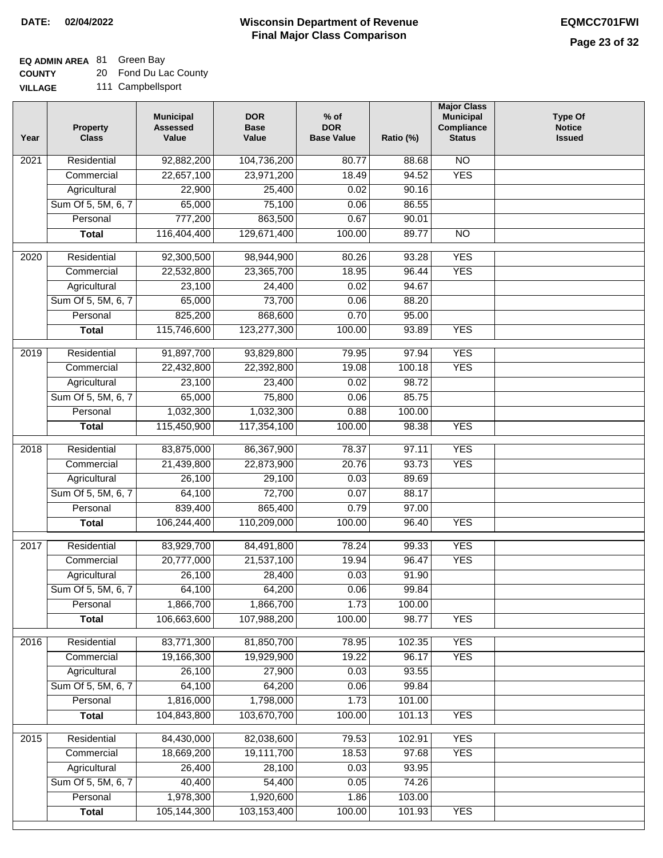## **EQ ADMIN AREA** 81 Green Bay

**COUNTY** 20 Fond Du Lac County

**VILLAGE** 111 Campbellsport

| Year             | <b>Property</b><br><b>Class</b> | <b>Municipal</b><br><b>Assessed</b><br>Value | <b>DOR</b><br><b>Base</b><br>Value | $%$ of<br><b>DOR</b><br><b>Base Value</b> | Ratio (%) | <b>Major Class</b><br><b>Municipal</b><br>Compliance<br><b>Status</b> | <b>Type Of</b><br><b>Notice</b><br><b>Issued</b> |
|------------------|---------------------------------|----------------------------------------------|------------------------------------|-------------------------------------------|-----------|-----------------------------------------------------------------------|--------------------------------------------------|
| 2021             | Residential                     | 92,882,200                                   | 104,736,200                        | 80.77                                     | 88.68     | <b>NO</b>                                                             |                                                  |
|                  | Commercial                      | 22,657,100                                   | 23,971,200                         | 18.49                                     | 94.52     | <b>YES</b>                                                            |                                                  |
|                  | Agricultural                    | 22,900                                       | 25,400                             | 0.02                                      | 90.16     |                                                                       |                                                  |
|                  | Sum Of 5, 5M, 6, 7              | 65,000                                       | 75,100                             | 0.06                                      | 86.55     |                                                                       |                                                  |
|                  | Personal                        | 777,200                                      | 863,500                            | 0.67                                      | 90.01     |                                                                       |                                                  |
|                  | <b>Total</b>                    | 116,404,400                                  | 129,671,400                        | 100.00                                    | 89.77     | $\overline{NO}$                                                       |                                                  |
| $\frac{1}{2020}$ | Residential                     | 92,300,500                                   | 98,944,900                         | 80.26                                     | 93.28     | <b>YES</b>                                                            |                                                  |
|                  | Commercial                      | 22,532,800                                   | 23,365,700                         | 18.95                                     | 96.44     | <b>YES</b>                                                            |                                                  |
|                  | Agricultural                    | 23,100                                       | 24,400                             | 0.02                                      | 94.67     |                                                                       |                                                  |
|                  | Sum Of 5, 5M, 6, 7              | 65,000                                       | 73,700                             | 0.06                                      | 88.20     |                                                                       |                                                  |
|                  | Personal                        | 825,200                                      | 868,600                            | 0.70                                      | 95.00     |                                                                       |                                                  |
|                  | <b>Total</b>                    | 115,746,600                                  | 123,277,300                        | 100.00                                    | 93.89     | <b>YES</b>                                                            |                                                  |
|                  |                                 |                                              |                                    |                                           |           |                                                                       |                                                  |
| $\frac{1}{2019}$ | Residential                     | 91,897,700                                   | 93,829,800                         | 79.95                                     | 97.94     | <b>YES</b>                                                            |                                                  |
|                  | Commercial                      | 22,432,800                                   | 22,392,800                         | 19.08                                     | 100.18    | <b>YES</b>                                                            |                                                  |
|                  | Agricultural                    | 23,100                                       | 23,400                             | 0.02                                      | 98.72     |                                                                       |                                                  |
|                  | Sum Of 5, 5M, 6, 7              | 65,000                                       | 75,800                             | 0.06                                      | 85.75     |                                                                       |                                                  |
|                  | Personal                        | 1,032,300                                    | 1,032,300                          | 0.88                                      | 100.00    |                                                                       |                                                  |
|                  | <b>Total</b>                    | 115,450,900                                  | 117,354,100                        | 100.00                                    | 98.38     | <b>YES</b>                                                            |                                                  |
| 2018             | Residential                     | 83,875,000                                   | 86,367,900                         | 78.37                                     | 97.11     | <b>YES</b>                                                            |                                                  |
|                  | Commercial                      | 21,439,800                                   | 22,873,900                         | 20.76                                     | 93.73     | <b>YES</b>                                                            |                                                  |
|                  | Agricultural                    | 26,100                                       | 29,100                             | 0.03                                      | 89.69     |                                                                       |                                                  |
|                  | Sum Of 5, 5M, 6, 7              | 64,100                                       | 72,700                             | 0.07                                      | 88.17     |                                                                       |                                                  |
|                  | Personal                        | 839,400                                      | 865,400                            | 0.79                                      | 97.00     |                                                                       |                                                  |
|                  | <b>Total</b>                    | 106,244,400                                  | 110,209,000                        | 100.00                                    | 96.40     | <b>YES</b>                                                            |                                                  |
| 2017             | Residential                     | 83,929,700                                   | 84,491,800                         | 78.24                                     | 99.33     | <b>YES</b>                                                            |                                                  |
|                  | Commercial                      | 20,777,000                                   | 21,537,100                         | 19.94                                     | 96.47     | <b>YES</b>                                                            |                                                  |
|                  | Agricultural                    | 26,100                                       | 28,400                             | 0.03                                      | 91.90     |                                                                       |                                                  |
|                  | Sum Of 5, 5M, 6, 7              | 64,100                                       | 64,200                             | 0.06                                      | 99.84     |                                                                       |                                                  |
|                  | Personal                        | 1,866,700                                    | 1,866,700                          | 1.73                                      | 100.00    |                                                                       |                                                  |
|                  | <b>Total</b>                    | 106,663,600                                  | 107,988,200                        | 100.00                                    | 98.77     | <b>YES</b>                                                            |                                                  |
| 2016             | Residential                     | 83,771,300                                   | 81,850,700                         | 78.95                                     | 102.35    | <b>YES</b>                                                            |                                                  |
|                  | Commercial                      | 19,166,300                                   | 19,929,900                         | 19.22                                     | 96.17     | <b>YES</b>                                                            |                                                  |
|                  | Agricultural                    | 26,100                                       | 27,900                             | 0.03                                      | 93.55     |                                                                       |                                                  |
|                  | Sum Of 5, 5M, 6, 7              | 64,100                                       | 64,200                             | 0.06                                      | 99.84     |                                                                       |                                                  |
|                  | Personal                        | 1,816,000                                    | 1,798,000                          | 1.73                                      | 101.00    |                                                                       |                                                  |
|                  | <b>Total</b>                    | 104,843,800                                  | 103,670,700                        | 100.00                                    | 101.13    | <b>YES</b>                                                            |                                                  |
| 2015             | Residential                     | 84,430,000                                   | 82,038,600                         | 79.53                                     | 102.91    | <b>YES</b>                                                            |                                                  |
|                  | Commercial                      | 18,669,200                                   | 19,111,700                         | 18.53                                     | 97.68     | <b>YES</b>                                                            |                                                  |
|                  | Agricultural                    | 26,400                                       | 28,100                             | 0.03                                      | 93.95     |                                                                       |                                                  |
|                  | Sum Of 5, 5M, 6, 7              | 40,400                                       | 54,400                             | 0.05                                      | 74.26     |                                                                       |                                                  |
|                  | Personal                        | 1,978,300                                    | 1,920,600                          | 1.86                                      | 103.00    |                                                                       |                                                  |
|                  | <b>Total</b>                    | 105,144,300                                  | 103,153,400                        | 100.00                                    | 101.93    | <b>YES</b>                                                            |                                                  |
|                  |                                 |                                              |                                    |                                           |           |                                                                       |                                                  |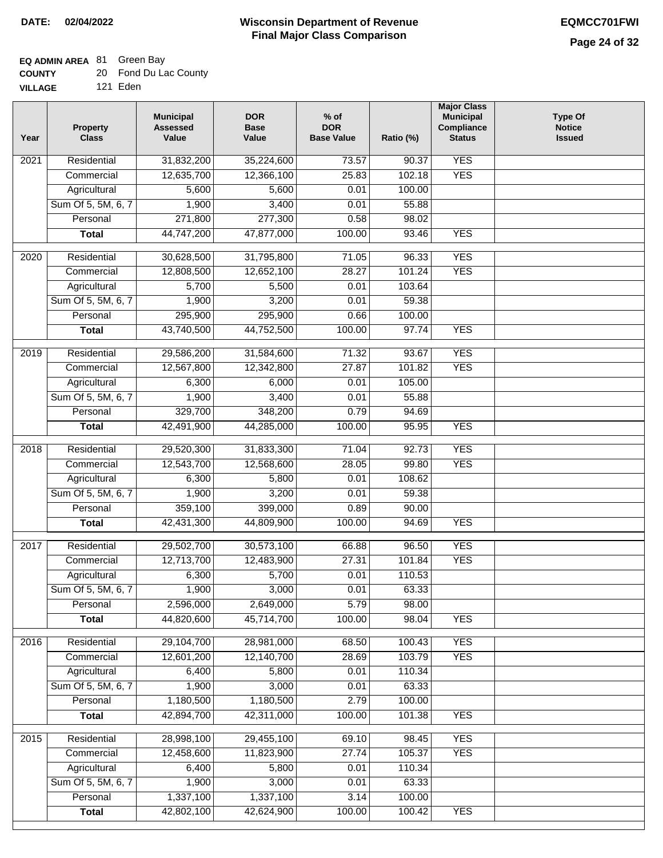# **EQ ADMIN AREA** 81 Green Bay

| <b>COUNTY</b> | 20 Fond Du Lac County |
|---------------|-----------------------|
|               |                       |

**VILLAGE** 121 Eden

| Year              | <b>Property</b><br><b>Class</b> | <b>Municipal</b><br><b>Assessed</b><br>Value | <b>DOR</b><br><b>Base</b><br>Value | % of<br><b>DOR</b><br><b>Base Value</b> | Ratio (%) | <b>Major Class</b><br><b>Municipal</b><br>Compliance<br><b>Status</b> | <b>Type Of</b><br><b>Notice</b><br><b>Issued</b> |
|-------------------|---------------------------------|----------------------------------------------|------------------------------------|-----------------------------------------|-----------|-----------------------------------------------------------------------|--------------------------------------------------|
| 2021              | Residential                     | 31,832,200                                   | 35,224,600                         | 73.57                                   | 90.37     | <b>YES</b>                                                            |                                                  |
|                   | Commercial                      | 12,635,700                                   | 12,366,100                         | 25.83                                   | 102.18    | <b>YES</b>                                                            |                                                  |
|                   | Agricultural                    | 5,600                                        | 5,600                              | 0.01                                    | 100.00    |                                                                       |                                                  |
|                   | Sum Of 5, 5M, 6, 7              | 1,900                                        | 3,400                              | 0.01                                    | 55.88     |                                                                       |                                                  |
|                   | Personal                        | 271,800                                      | 277,300                            | 0.58                                    | 98.02     |                                                                       |                                                  |
|                   | <b>Total</b>                    | 44,747,200                                   | 47,877,000                         | 100.00                                  | 93.46     | <b>YES</b>                                                            |                                                  |
| $\overline{2020}$ | Residential                     | 30,628,500                                   | 31,795,800                         | 71.05                                   | 96.33     | <b>YES</b>                                                            |                                                  |
|                   | Commercial                      | 12,808,500                                   | 12,652,100                         | 28.27                                   | 101.24    | <b>YES</b>                                                            |                                                  |
|                   | Agricultural                    | 5,700                                        | 5,500                              | 0.01                                    | 103.64    |                                                                       |                                                  |
|                   | Sum Of 5, 5M, 6, 7              | 1,900                                        | 3,200                              | 0.01                                    | 59.38     |                                                                       |                                                  |
|                   | Personal                        | 295,900                                      | 295,900                            | 0.66                                    | 100.00    |                                                                       |                                                  |
|                   | <b>Total</b>                    | 43,740,500                                   | 44,752,500                         | 100.00                                  | 97.74     | <b>YES</b>                                                            |                                                  |
| 2019              | Residential                     | 29,586,200                                   | 31,584,600                         | 71.32                                   | 93.67     | <b>YES</b>                                                            |                                                  |
|                   | Commercial                      | 12,567,800                                   | 12,342,800                         | 27.87                                   | 101.82    | <b>YES</b>                                                            |                                                  |
|                   | Agricultural                    | 6,300                                        | 6,000                              | 0.01                                    | 105.00    |                                                                       |                                                  |
|                   | Sum Of 5, 5M, 6, 7              | 1,900                                        | 3,400                              | 0.01                                    | 55.88     |                                                                       |                                                  |
|                   | Personal                        | 329,700                                      | 348,200                            | 0.79                                    | 94.69     |                                                                       |                                                  |
|                   | <b>Total</b>                    | 42,491,900                                   | 44,285,000                         | 100.00                                  | 95.95     | <b>YES</b>                                                            |                                                  |
| 2018              | Residential                     | 29,520,300                                   | 31,833,300                         | 71.04                                   | 92.73     | <b>YES</b>                                                            |                                                  |
|                   | Commercial                      | 12,543,700                                   | 12,568,600                         | 28.05                                   | 99.80     | <b>YES</b>                                                            |                                                  |
|                   | Agricultural                    | 6,300                                        | 5,800                              | 0.01                                    | 108.62    |                                                                       |                                                  |
|                   | Sum Of 5, 5M, 6, 7              | 1,900                                        | 3,200                              | 0.01                                    | 59.38     |                                                                       |                                                  |
|                   | Personal                        | 359,100                                      | 399,000                            | 0.89                                    | 90.00     |                                                                       |                                                  |
|                   | <b>Total</b>                    | 42,431,300                                   | 44,809,900                         | 100.00                                  | 94.69     | <b>YES</b>                                                            |                                                  |
|                   |                                 |                                              |                                    |                                         |           |                                                                       |                                                  |
| 2017              | Residential                     | 29,502,700                                   | 30,573,100                         | 66.88                                   | 96.50     | <b>YES</b>                                                            |                                                  |
|                   | Commercial                      | 12,713,700                                   | 12,483,900                         | 27.31                                   | 101.84    | <b>YES</b>                                                            |                                                  |
|                   | Agricultural                    | 6,300                                        | 5,700                              | 0.01                                    | 110.53    |                                                                       |                                                  |
|                   | Sum Of 5, 5M, 6, 7              | 1,900                                        | 3,000                              | 0.01                                    | 63.33     |                                                                       |                                                  |
|                   | Personal                        | 2,596,000                                    | 2,649,000                          | 5.79                                    | 98.00     |                                                                       |                                                  |
|                   | <b>Total</b>                    | 44,820,600                                   | 45,714,700                         | 100.00                                  | 98.04     | <b>YES</b>                                                            |                                                  |
| 2016              | Residential                     | 29,104,700                                   | 28,981,000                         | 68.50                                   | 100.43    | <b>YES</b>                                                            |                                                  |
|                   | Commercial                      | 12,601,200                                   | 12,140,700                         | 28.69                                   | 103.79    | <b>YES</b>                                                            |                                                  |
|                   | Agricultural                    | 6,400                                        | 5,800                              | 0.01                                    | 110.34    |                                                                       |                                                  |
|                   | Sum Of 5, 5M, 6, 7              | 1,900                                        | 3,000                              | 0.01                                    | 63.33     |                                                                       |                                                  |
|                   | Personal                        | 1,180,500                                    | 1,180,500                          | 2.79                                    | 100.00    |                                                                       |                                                  |
|                   | <b>Total</b>                    | 42,894,700                                   | 42,311,000                         | 100.00                                  | 101.38    | <b>YES</b>                                                            |                                                  |
| 2015              | Residential                     | 28,998,100                                   | 29,455,100                         | 69.10                                   | 98.45     | <b>YES</b>                                                            |                                                  |
|                   | Commercial                      | 12,458,600                                   | 11,823,900                         | 27.74                                   | 105.37    | <b>YES</b>                                                            |                                                  |
|                   | Agricultural                    | 6,400                                        | 5,800                              | 0.01                                    | 110.34    |                                                                       |                                                  |
|                   | Sum Of 5, 5M, 6, 7              | 1,900                                        | 3,000                              | 0.01                                    | 63.33     |                                                                       |                                                  |
|                   | Personal                        | 1,337,100                                    | 1,337,100                          | 3.14                                    | 100.00    |                                                                       |                                                  |
|                   | <b>Total</b>                    | 42,802,100                                   | 42,624,900                         | 100.00                                  | 100.42    | <b>YES</b>                                                            |                                                  |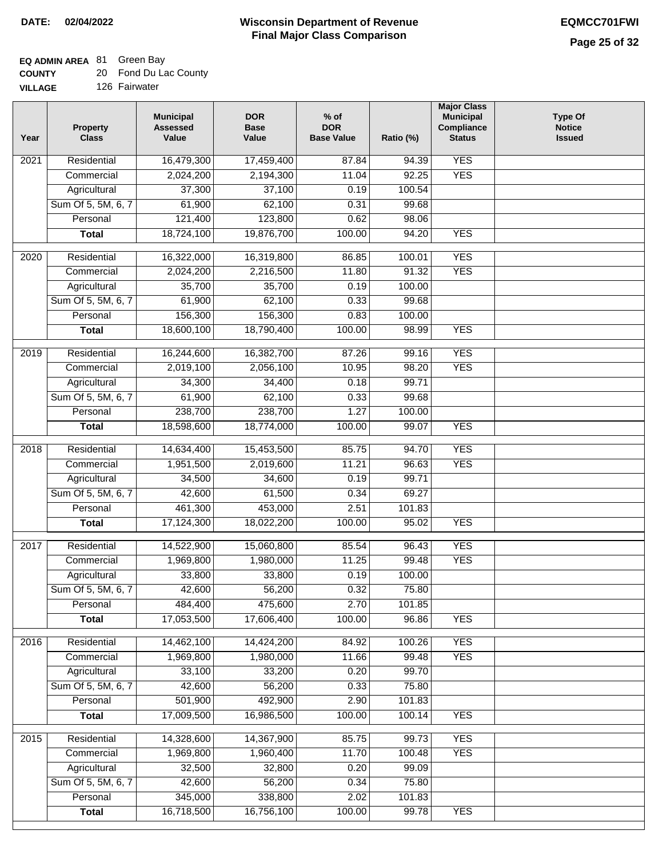### **EQ ADMIN AREA** 81 Green Bay

| <b>COUNTY</b> |  | 20 Fond Du Lac County |
|---------------|--|-----------------------|
|---------------|--|-----------------------|

**VILLAGE** 126 Fairwater

| Year | <b>Property</b><br><b>Class</b> | <b>Municipal</b><br><b>Assessed</b><br>Value | <b>DOR</b><br><b>Base</b><br>Value | $%$ of<br><b>DOR</b><br><b>Base Value</b> | Ratio (%) | <b>Major Class</b><br><b>Municipal</b><br>Compliance<br><b>Status</b> | <b>Type Of</b><br><b>Notice</b><br><b>Issued</b> |
|------|---------------------------------|----------------------------------------------|------------------------------------|-------------------------------------------|-----------|-----------------------------------------------------------------------|--------------------------------------------------|
| 2021 | Residential                     | 16,479,300                                   | 17,459,400                         | 87.84                                     | 94.39     | <b>YES</b>                                                            |                                                  |
|      | Commercial                      | 2,024,200                                    | 2,194,300                          | 11.04                                     | 92.25     | <b>YES</b>                                                            |                                                  |
|      | Agricultural                    | 37,300                                       | 37,100                             | 0.19                                      | 100.54    |                                                                       |                                                  |
|      | Sum Of 5, 5M, 6, 7              | 61,900                                       | 62,100                             | 0.31                                      | 99.68     |                                                                       |                                                  |
|      | Personal                        | 121,400                                      | 123,800                            | 0.62                                      | 98.06     |                                                                       |                                                  |
|      | <b>Total</b>                    | 18,724,100                                   | 19,876,700                         | 100.00                                    | 94.20     | <b>YES</b>                                                            |                                                  |
| 2020 | Residential                     | 16,322,000                                   | 16,319,800                         | 86.85                                     | 100.01    | <b>YES</b>                                                            |                                                  |
|      | Commercial                      | 2,024,200                                    | 2,216,500                          | 11.80                                     | 91.32     | <b>YES</b>                                                            |                                                  |
|      | Agricultural                    | 35,700                                       | 35,700                             | 0.19                                      | 100.00    |                                                                       |                                                  |
|      | Sum Of 5, 5M, 6, 7              | 61,900                                       | 62,100                             | 0.33                                      | 99.68     |                                                                       |                                                  |
|      | Personal                        | 156,300                                      | 156,300                            | 0.83                                      | 100.00    |                                                                       |                                                  |
|      | <b>Total</b>                    | 18,600,100                                   | 18,790,400                         | 100.00                                    | 98.99     | <b>YES</b>                                                            |                                                  |
|      |                                 |                                              |                                    |                                           |           |                                                                       |                                                  |
| 2019 | Residential                     | 16,244,600                                   | 16,382,700                         | 87.26                                     | 99.16     | <b>YES</b>                                                            |                                                  |
|      | Commercial                      | 2,019,100                                    | 2,056,100                          | 10.95                                     | 98.20     | <b>YES</b>                                                            |                                                  |
|      | Agricultural                    | 34,300                                       | 34,400                             | 0.18                                      | 99.71     |                                                                       |                                                  |
|      | Sum Of 5, 5M, 6, 7              | 61,900                                       | 62,100                             | 0.33                                      | 99.68     |                                                                       |                                                  |
|      | Personal                        | 238,700                                      | 238,700                            | 1.27                                      | 100.00    |                                                                       |                                                  |
|      | <b>Total</b>                    | 18,598,600                                   | 18,774,000                         | 100.00                                    | 99.07     | <b>YES</b>                                                            |                                                  |
| 2018 | Residential                     | 14,634,400                                   | 15,453,500                         | 85.75                                     | 94.70     | <b>YES</b>                                                            |                                                  |
|      | Commercial                      | 1,951,500                                    | 2,019,600                          | 11.21                                     | 96.63     | <b>YES</b>                                                            |                                                  |
|      | Agricultural                    | 34,500                                       | 34,600                             | 0.19                                      | 99.71     |                                                                       |                                                  |
|      | Sum Of 5, 5M, 6, 7              | 42,600                                       | 61,500                             | 0.34                                      | 69.27     |                                                                       |                                                  |
|      | Personal                        | 461,300                                      | 453,000                            | 2.51                                      | 101.83    |                                                                       |                                                  |
|      | <b>Total</b>                    | 17,124,300                                   | 18,022,200                         | 100.00                                    | 95.02     | <b>YES</b>                                                            |                                                  |
|      |                                 |                                              |                                    |                                           |           |                                                                       |                                                  |
| 2017 | Residential                     | 14,522,900                                   | 15,060,800                         | 85.54                                     | 96.43     | <b>YES</b>                                                            |                                                  |
|      | Commercial                      | 1,969,800                                    | 1,980,000                          | 11.25                                     | 99.48     | <b>YES</b>                                                            |                                                  |
|      | Agricultural                    | 33,800                                       | 33,800                             | 0.19                                      | 100.00    |                                                                       |                                                  |
|      | Sum Of 5, 5M, 6, 7              | 42,600                                       | 56,200                             | 0.32                                      | 75.80     |                                                                       |                                                  |
|      | Personal                        | 484,400                                      | 475,600                            | 2.70                                      | 101.85    |                                                                       |                                                  |
|      | <b>Total</b>                    | 17,053,500                                   | 17,606,400                         | 100.00                                    | 96.86     | <b>YES</b>                                                            |                                                  |
| 2016 | Residential                     | 14,462,100                                   | 14,424,200                         | 84.92                                     | 100.26    | <b>YES</b>                                                            |                                                  |
|      | Commercial                      | 1,969,800                                    | 1,980,000                          | 11.66                                     | 99.48     | <b>YES</b>                                                            |                                                  |
|      | Agricultural                    | 33,100                                       | 33,200                             | 0.20                                      | 99.70     |                                                                       |                                                  |
|      | Sum Of 5, 5M, 6, 7              | 42,600                                       | 56,200                             | 0.33                                      | 75.80     |                                                                       |                                                  |
|      | Personal                        | 501,900                                      | 492,900                            | 2.90                                      | 101.83    |                                                                       |                                                  |
|      | <b>Total</b>                    | 17,009,500                                   | 16,986,500                         | 100.00                                    | 100.14    | <b>YES</b>                                                            |                                                  |
| 2015 | Residential                     | 14,328,600                                   | 14,367,900                         | 85.75                                     | 99.73     | <b>YES</b>                                                            |                                                  |
|      | Commercial                      | 1,969,800                                    | 1,960,400                          | 11.70                                     | 100.48    | <b>YES</b>                                                            |                                                  |
|      | Agricultural                    | 32,500                                       | 32,800                             | 0.20                                      | 99.09     |                                                                       |                                                  |
|      | Sum Of 5, 5M, 6, 7              | 42,600                                       | 56,200                             | 0.34                                      | 75.80     |                                                                       |                                                  |
|      | Personal                        | 345,000                                      | 338,800                            | 2.02                                      | 101.83    |                                                                       |                                                  |
|      | <b>Total</b>                    | 16,718,500                                   | 16,756,100                         | 100.00                                    | 99.78     | <b>YES</b>                                                            |                                                  |
|      |                                 |                                              |                                    |                                           |           |                                                                       |                                                  |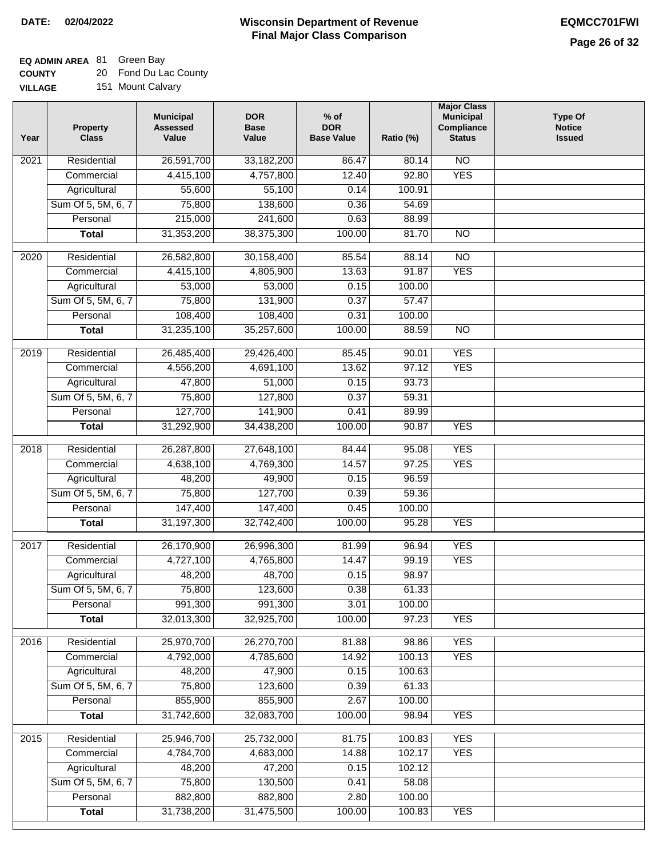### **EQ ADMIN AREA** 81 Green Bay

**COUNTY** 20 Fond Du Lac County

| <b>VILLAGE</b> |  | 151 Mount Calvary |
|----------------|--|-------------------|
|----------------|--|-------------------|

| Year | <b>Property</b><br><b>Class</b> | <b>Municipal</b><br><b>Assessed</b><br>Value | <b>DOR</b><br><b>Base</b><br>Value | $%$ of<br><b>DOR</b><br><b>Base Value</b> | Ratio (%) | <b>Major Class</b><br><b>Municipal</b><br>Compliance<br><b>Status</b> | <b>Type Of</b><br><b>Notice</b><br><b>Issued</b> |
|------|---------------------------------|----------------------------------------------|------------------------------------|-------------------------------------------|-----------|-----------------------------------------------------------------------|--------------------------------------------------|
| 2021 | Residential                     | 26,591,700                                   | 33,182,200                         | 86.47                                     | 80.14     | N <sub>O</sub>                                                        |                                                  |
|      | Commercial                      | 4,415,100                                    | 4,757,800                          | 12.40                                     | 92.80     | <b>YES</b>                                                            |                                                  |
|      | Agricultural                    | 55,600                                       | 55,100                             | 0.14                                      | 100.91    |                                                                       |                                                  |
|      | Sum Of 5, 5M, 6, 7              | 75,800                                       | 138,600                            | 0.36                                      | 54.69     |                                                                       |                                                  |
|      | Personal                        | 215,000                                      | 241,600                            | 0.63                                      | 88.99     |                                                                       |                                                  |
|      | <b>Total</b>                    | 31,353,200                                   | 38,375,300                         | 100.00                                    | 81.70     | $\overline{NO}$                                                       |                                                  |
| 2020 | Residential                     | 26,582,800                                   | 30,158,400                         | 85.54                                     | 88.14     | $\overline{NO}$                                                       |                                                  |
|      | Commercial                      | 4,415,100                                    | 4,805,900                          | 13.63                                     | 91.87     | <b>YES</b>                                                            |                                                  |
|      | Agricultural                    | 53,000                                       | 53,000                             | 0.15                                      | 100.00    |                                                                       |                                                  |
|      | Sum Of 5, 5M, 6, 7              | 75,800                                       | 131,900                            | 0.37                                      | 57.47     |                                                                       |                                                  |
|      | Personal                        | 108,400                                      | 108,400                            | 0.31                                      | 100.00    |                                                                       |                                                  |
|      | <b>Total</b>                    | 31,235,100                                   | 35,257,600                         | 100.00                                    | 88.59     | $\overline{NO}$                                                       |                                                  |
| 2019 | Residential                     | 26,485,400                                   | 29,426,400                         | 85.45                                     | 90.01     | <b>YES</b>                                                            |                                                  |
|      | Commercial                      | 4,556,200                                    | 4,691,100                          | 13.62                                     | 97.12     | <b>YES</b>                                                            |                                                  |
|      | Agricultural                    | 47,800                                       | 51,000                             | 0.15                                      | 93.73     |                                                                       |                                                  |
|      | Sum Of 5, 5M, 6, 7              | 75,800                                       | 127,800                            | 0.37                                      | 59.31     |                                                                       |                                                  |
|      | Personal                        | 127,700                                      | 141,900                            | 0.41                                      | 89.99     |                                                                       |                                                  |
|      | <b>Total</b>                    | 31,292,900                                   | 34,438,200                         | 100.00                                    | 90.87     | <b>YES</b>                                                            |                                                  |
| 2018 | Residential                     | 26,287,800                                   | 27,648,100                         | 84.44                                     | 95.08     | <b>YES</b>                                                            |                                                  |
|      | Commercial                      | 4,638,100                                    | 4,769,300                          | 14.57                                     | 97.25     | <b>YES</b>                                                            |                                                  |
|      | Agricultural                    | 48,200                                       | 49,900                             | 0.15                                      | 96.59     |                                                                       |                                                  |
|      | Sum Of 5, 5M, 6, 7              | 75,800                                       | 127,700                            | 0.39                                      | 59.36     |                                                                       |                                                  |
|      | Personal                        | 147,400                                      | 147,400                            | 0.45                                      | 100.00    |                                                                       |                                                  |
|      | <b>Total</b>                    | 31,197,300                                   | 32,742,400                         | 100.00                                    | 95.28     | <b>YES</b>                                                            |                                                  |
| 2017 | Residential                     | 26,170,900                                   | 26,996,300                         | 81.99                                     | 96.94     | <b>YES</b>                                                            |                                                  |
|      | Commercial                      | 4,727,100                                    | 4,765,800                          | 14.47                                     | 99.19     | <b>YES</b>                                                            |                                                  |
|      | Agricultural                    | 48,200                                       | 48,700                             | 0.15                                      | 98.97     |                                                                       |                                                  |
|      | Sum Of 5, 5M, 6, 7              | 75,800                                       | 123,600                            | 0.38                                      | 61.33     |                                                                       |                                                  |
|      | Personal                        | 991,300                                      | 991,300                            | 3.01                                      | 100.00    |                                                                       |                                                  |
|      | <b>Total</b>                    | 32,013,300                                   | 32,925,700                         | 100.00                                    | 97.23     | <b>YES</b>                                                            |                                                  |
| 2016 | Residential                     | 25,970,700                                   | 26,270,700                         | 81.88                                     | 98.86     | <b>YES</b>                                                            |                                                  |
|      | Commercial                      | 4,792,000                                    | 4,785,600                          | 14.92                                     | 100.13    | <b>YES</b>                                                            |                                                  |
|      | Agricultural                    | 48,200                                       | 47,900                             | 0.15                                      | 100.63    |                                                                       |                                                  |
|      | Sum Of 5, 5M, 6, 7              | 75,800                                       | 123,600                            | 0.39                                      | 61.33     |                                                                       |                                                  |
|      | Personal                        | 855,900                                      | 855,900                            | 2.67                                      | 100.00    |                                                                       |                                                  |
|      | <b>Total</b>                    | 31,742,600                                   | 32,083,700                         | 100.00                                    | 98.94     | <b>YES</b>                                                            |                                                  |
| 2015 | Residential                     | 25,946,700                                   | 25,732,000                         | 81.75                                     | 100.83    | <b>YES</b>                                                            |                                                  |
|      | Commercial                      | 4,784,700                                    | 4,683,000                          | 14.88                                     | 102.17    | <b>YES</b>                                                            |                                                  |
|      | Agricultural                    | 48,200                                       | 47,200                             | 0.15                                      | 102.12    |                                                                       |                                                  |
|      | Sum Of 5, 5M, 6, 7              | 75,800                                       | 130,500                            | 0.41                                      | 58.08     |                                                                       |                                                  |
|      | Personal                        | 882,800                                      | 882,800                            | 2.80                                      | 100.00    |                                                                       |                                                  |
|      | <b>Total</b>                    | 31,738,200                                   | 31,475,500                         | 100.00                                    | 100.83    | <b>YES</b>                                                            |                                                  |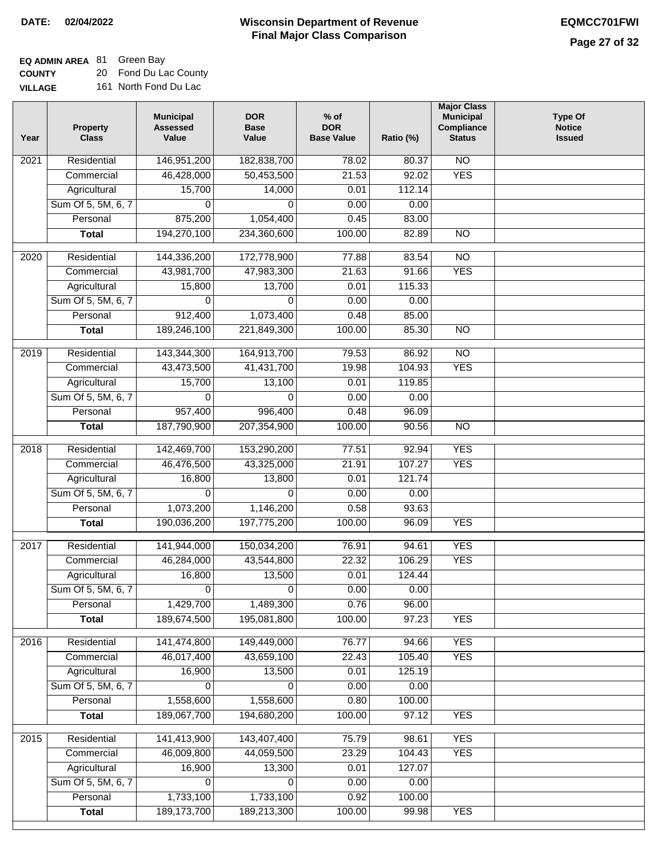#### **Wisconsin Department of Revenue Final Major Class Comparison DATE: 02/04/2022 EQMCC701FWI**

**EQ ADMIN AREA** 81 Green Bay

**COUNTY** 20 Fond Du Lac County

| <b>VILLAGE</b> | 161 North Fond Du Lac |  |
|----------------|-----------------------|--|
|----------------|-----------------------|--|

| Year | <b>Property</b><br><b>Class</b> | <b>Municipal</b><br><b>Assessed</b><br>Value | <b>DOR</b><br><b>Base</b><br>Value | $%$ of<br><b>DOR</b><br><b>Base Value</b> | Ratio (%) | <b>Major Class</b><br><b>Municipal</b><br>Compliance<br><b>Status</b> | <b>Type Of</b><br><b>Notice</b><br><b>Issued</b> |
|------|---------------------------------|----------------------------------------------|------------------------------------|-------------------------------------------|-----------|-----------------------------------------------------------------------|--------------------------------------------------|
| 2021 | Residential                     | 146,951,200                                  | 182,838,700                        | 78.02                                     | 80.37     | <b>NO</b>                                                             |                                                  |
|      | Commercial                      | 46,428,000                                   | 50,453,500                         | 21.53                                     | 92.02     | <b>YES</b>                                                            |                                                  |
|      | Agricultural                    | 15,700                                       | 14,000                             | 0.01                                      | 112.14    |                                                                       |                                                  |
|      | Sum Of 5, 5M, 6, 7              | 0                                            | $\Omega$                           | 0.00                                      | 0.00      |                                                                       |                                                  |
|      | Personal                        | 875,200                                      | 1,054,400                          | 0.45                                      | 83.00     |                                                                       |                                                  |
|      | <b>Total</b>                    | 194,270,100                                  | 234,360,600                        | 100.00                                    | 82.89     | $\overline{NO}$                                                       |                                                  |
| 2020 | Residential                     | 144,336,200                                  | 172,778,900                        | 77.88                                     | 83.54     | $\overline{NO}$                                                       |                                                  |
|      | Commercial                      | 43,981,700                                   | 47,983,300                         | 21.63                                     | 91.66     | <b>YES</b>                                                            |                                                  |
|      | Agricultural                    | 15,800                                       | 13,700                             | 0.01                                      | 115.33    |                                                                       |                                                  |
|      | Sum Of 5, 5M, 6, 7              | 0                                            | $\Omega$                           | 0.00                                      | 0.00      |                                                                       |                                                  |
|      | Personal                        | 912,400                                      | 1,073,400                          | 0.48                                      | 85.00     |                                                                       |                                                  |
|      | <b>Total</b>                    | 189,246,100                                  | 221,849,300                        | 100.00                                    | 85.30     | $\overline{NO}$                                                       |                                                  |
|      |                                 |                                              |                                    |                                           |           |                                                                       |                                                  |
| 2019 | Residential                     | 143,344,300                                  | 164,913,700                        | 79.53                                     | 86.92     | $\overline{NO}$                                                       |                                                  |
|      | Commercial                      | 43,473,500                                   | 41,431,700                         | 19.98                                     | 104.93    | <b>YES</b>                                                            |                                                  |
|      | Agricultural                    | 15,700                                       | 13,100                             | 0.01                                      | 119.85    |                                                                       |                                                  |
|      | Sum Of 5, 5M, 6, 7              | 0                                            | 0                                  | 0.00                                      | 0.00      |                                                                       |                                                  |
|      | Personal                        | 957,400                                      | 996,400                            | 0.48                                      | 96.09     |                                                                       |                                                  |
|      | <b>Total</b>                    | 187,790,900                                  | 207,354,900                        | 100.00                                    | 90.56     | $\overline{NO}$                                                       |                                                  |
| 2018 | Residential                     | 142,469,700                                  | 153,290,200                        | 77.51                                     | 92.94     | <b>YES</b>                                                            |                                                  |
|      | Commercial                      | 46,476,500                                   | 43,325,000                         | 21.91                                     | 107.27    | <b>YES</b>                                                            |                                                  |
|      | Agricultural                    | 16,800                                       | 13,800                             | 0.01                                      | 121.74    |                                                                       |                                                  |
|      | Sum Of 5, 5M, 6, 7              | 0                                            | $\Omega$                           | 0.00                                      | 0.00      |                                                                       |                                                  |
|      | Personal                        | 1,073,200                                    | 1,146,200                          | 0.58                                      | 93.63     |                                                                       |                                                  |
|      | <b>Total</b>                    | 190,036,200                                  | 197,775,200                        | 100.00                                    | 96.09     | <b>YES</b>                                                            |                                                  |
|      |                                 |                                              |                                    |                                           |           |                                                                       |                                                  |
| 2017 | Residential                     | 141,944,000                                  | 150,034,200                        | 76.91                                     | 94.61     | <b>YES</b>                                                            |                                                  |
|      | Commercial                      | 46,284,000                                   | 43,544,800                         | 22.32                                     | 106.29    | <b>YES</b>                                                            |                                                  |
|      | Agricultural                    | 16,800                                       | 13,500                             | 0.01                                      | 124.44    |                                                                       |                                                  |
|      | Sum Of 5, 5M, 6, 7              | 0                                            | 0                                  | 0.00                                      | 0.00      |                                                                       |                                                  |
|      | Personal                        | 1,429,700                                    | 1,489,300                          | 0.76                                      | 96.00     |                                                                       |                                                  |
|      | <b>Total</b>                    | 189,674,500                                  | 195,081,800                        | 100.00                                    | 97.23     | <b>YES</b>                                                            |                                                  |
| 2016 | Residential                     | 141,474,800                                  | 149,449,000                        | 76.77                                     | 94.66     | <b>YES</b>                                                            |                                                  |
|      | Commercial                      | 46,017,400                                   | 43,659,100                         | 22.43                                     | 105.40    | <b>YES</b>                                                            |                                                  |
|      | Agricultural                    | 16,900                                       | 13,500                             | 0.01                                      | 125.19    |                                                                       |                                                  |
|      | Sum Of 5, 5M, 6, 7              | 0                                            | $\Omega$                           | 0.00                                      | 0.00      |                                                                       |                                                  |
|      | Personal                        | 1,558,600                                    | 1,558,600                          | 0.80                                      | 100.00    |                                                                       |                                                  |
|      | <b>Total</b>                    | 189,067,700                                  | 194,680,200                        | 100.00                                    | 97.12     | <b>YES</b>                                                            |                                                  |
| 2015 | Residential                     | 141,413,900                                  | 143,407,400                        | 75.79                                     | 98.61     | <b>YES</b>                                                            |                                                  |
|      | Commercial                      | 46,009,800                                   | 44,059,500                         | 23.29                                     | 104.43    | <b>YES</b>                                                            |                                                  |
|      | Agricultural                    | 16,900                                       | 13,300                             | 0.01                                      | 127.07    |                                                                       |                                                  |
|      | Sum Of 5, 5M, 6, 7              | 0                                            | 0                                  | 0.00                                      | 0.00      |                                                                       |                                                  |
|      | Personal                        | 1,733,100                                    | 1,733,100                          | 0.92                                      | 100.00    |                                                                       |                                                  |
|      | <b>Total</b>                    | 189, 173, 700                                | 189,213,300                        | 100.00                                    | 99.98     | <b>YES</b>                                                            |                                                  |
|      |                                 |                                              |                                    |                                           |           |                                                                       |                                                  |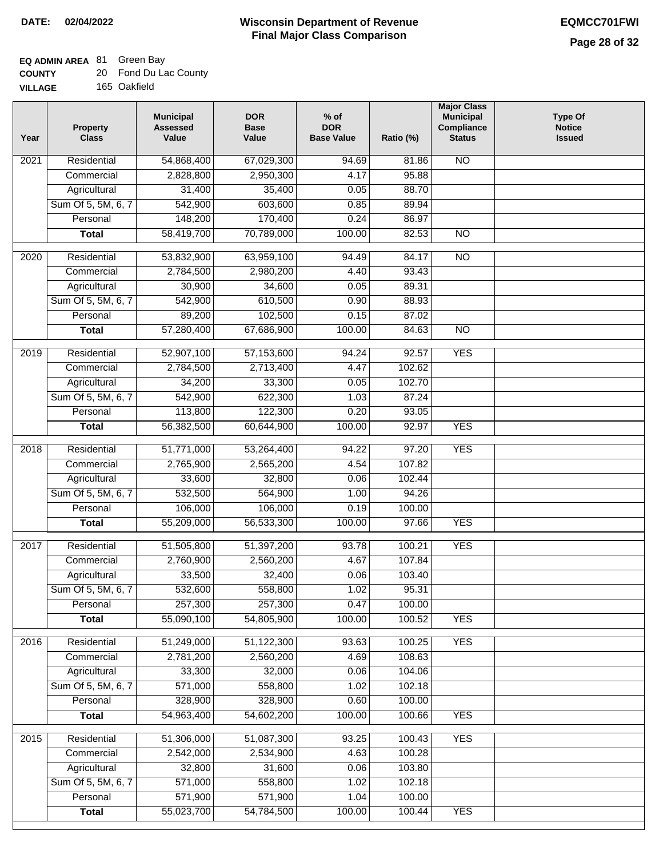### **EQ ADMIN AREA** 81 Green Bay

| <b>COUNTY</b> |  | Fond Du Lac County |
|---------------|--|--------------------|
|---------------|--|--------------------|

**VILLAGE** 165 Oakfield

| Year              | <b>Property</b><br><b>Class</b> | <b>Municipal</b><br><b>Assessed</b><br>Value | <b>DOR</b><br><b>Base</b><br>Value | % of<br><b>DOR</b><br><b>Base Value</b> | Ratio (%) | <b>Major Class</b><br><b>Municipal</b><br>Compliance<br><b>Status</b> | <b>Type Of</b><br><b>Notice</b><br><b>Issued</b> |
|-------------------|---------------------------------|----------------------------------------------|------------------------------------|-----------------------------------------|-----------|-----------------------------------------------------------------------|--------------------------------------------------|
| $\overline{202}1$ | Residential                     | 54,868,400                                   | 67,029,300                         | 94.69                                   | 81.86     | <b>NO</b>                                                             |                                                  |
|                   | Commercial                      | 2,828,800                                    | 2,950,300                          | 4.17                                    | 95.88     |                                                                       |                                                  |
|                   | Agricultural                    | 31,400                                       | 35,400                             | 0.05                                    | 88.70     |                                                                       |                                                  |
|                   | Sum Of 5, 5M, 6, 7              | 542,900                                      | 603,600                            | 0.85                                    | 89.94     |                                                                       |                                                  |
|                   | Personal                        | 148,200                                      | 170,400                            | 0.24                                    | 86.97     |                                                                       |                                                  |
|                   | <b>Total</b>                    | 58,419,700                                   | 70,789,000                         | 100.00                                  | 82.53     | $\overline{NO}$                                                       |                                                  |
| $\overline{2020}$ | Residential                     | 53,832,900                                   | 63,959,100                         | $\frac{1}{94.49}$                       | 84.17     | $\overline{NO}$                                                       |                                                  |
|                   | Commercial                      | 2,784,500                                    | 2,980,200                          | 4.40                                    | 93.43     |                                                                       |                                                  |
|                   | Agricultural                    | 30,900                                       | 34,600                             | 0.05                                    | 89.31     |                                                                       |                                                  |
|                   | Sum Of 5, 5M, 6, 7              | 542,900                                      | 610,500                            | 0.90                                    | 88.93     |                                                                       |                                                  |
|                   | Personal                        | 89,200                                       | 102,500                            | 0.15                                    | 87.02     |                                                                       |                                                  |
|                   | <b>Total</b>                    | 57,280,400                                   | 67,686,900                         | 100.00                                  | 84.63     | $\overline{NO}$                                                       |                                                  |
| 2019              | Residential                     | 52,907,100                                   | 57,153,600                         | 94.24                                   | 92.57     | <b>YES</b>                                                            |                                                  |
|                   | Commercial                      | 2,784,500                                    | 2,713,400                          | 4.47                                    | 102.62    |                                                                       |                                                  |
|                   | Agricultural                    | 34,200                                       | 33,300                             | 0.05                                    | 102.70    |                                                                       |                                                  |
|                   | Sum Of 5, 5M, 6, 7              | 542,900                                      | 622,300                            | 1.03                                    | 87.24     |                                                                       |                                                  |
|                   | Personal                        | 113,800                                      | 122,300                            | 0.20                                    | 93.05     |                                                                       |                                                  |
|                   | <b>Total</b>                    | 56,382,500                                   | 60,644,900                         | 100.00                                  | 92.97     | <b>YES</b>                                                            |                                                  |
| 2018              | Residential                     | 51,771,000                                   | 53,264,400                         | 94.22                                   | 97.20     | <b>YES</b>                                                            |                                                  |
|                   | Commercial                      | 2,765,900                                    | 2,565,200                          | 4.54                                    | 107.82    |                                                                       |                                                  |
|                   | Agricultural                    | 33,600                                       | 32,800                             | 0.06                                    | 102.44    |                                                                       |                                                  |
|                   | Sum Of 5, 5M, 6, 7              | 532,500                                      | 564,900                            | 1.00                                    | 94.26     |                                                                       |                                                  |
|                   | Personal                        | 106,000                                      | 106,000                            | 0.19                                    | 100.00    |                                                                       |                                                  |
|                   | <b>Total</b>                    | 55,209,000                                   | 56,533,300                         | 100.00                                  | 97.66     | <b>YES</b>                                                            |                                                  |
| 2017              | Residential                     | 51,505,800                                   | 51,397,200                         | 93.78                                   | 100.21    | <b>YES</b>                                                            |                                                  |
|                   | Commercial                      | 2,760,900                                    | 2,560,200                          | 4.67                                    | 107.84    |                                                                       |                                                  |
|                   | Agricultural                    | 33,500                                       | 32,400                             | 0.06                                    | 103.40    |                                                                       |                                                  |
|                   | Sum Of 5, 5M, 6, 7              | 532,600                                      | 558,800                            | 1.02                                    | 95.31     |                                                                       |                                                  |
|                   | Personal                        | 257,300                                      | 257,300                            | 0.47                                    | 100.00    |                                                                       |                                                  |
|                   | <b>Total</b>                    | 55,090,100                                   | 54,805,900                         | 100.00                                  | 100.52    | <b>YES</b>                                                            |                                                  |
| 2016              | Residential                     | 51,249,000                                   | 51,122,300                         | 93.63                                   | 100.25    | <b>YES</b>                                                            |                                                  |
|                   | Commercial                      | 2,781,200                                    | 2,560,200                          | 4.69                                    | 108.63    |                                                                       |                                                  |
|                   | Agricultural                    | 33,300                                       | 32,000                             | 0.06                                    | 104.06    |                                                                       |                                                  |
|                   | Sum Of 5, 5M, 6, 7              | 571,000                                      | 558,800                            | 1.02                                    | 102.18    |                                                                       |                                                  |
|                   | Personal                        | 328,900                                      | 328,900                            | 0.60                                    | 100.00    |                                                                       |                                                  |
|                   | <b>Total</b>                    | 54,963,400                                   | 54,602,200                         | 100.00                                  | 100.66    | <b>YES</b>                                                            |                                                  |
| 2015              | Residential                     | 51,306,000                                   | 51,087,300                         | 93.25                                   | 100.43    | <b>YES</b>                                                            |                                                  |
|                   | Commercial                      | 2,542,000                                    | 2,534,900                          | 4.63                                    | 100.28    |                                                                       |                                                  |
|                   | Agricultural                    | 32,800                                       | 31,600                             | 0.06                                    | 103.80    |                                                                       |                                                  |
|                   | Sum Of 5, 5M, 6, 7              | 571,000                                      | 558,800                            | 1.02                                    | 102.18    |                                                                       |                                                  |
|                   | Personal                        | 571,900                                      | 571,900                            | 1.04                                    | 100.00    |                                                                       |                                                  |
|                   | <b>Total</b>                    | 55,023,700                                   | 54,784,500                         | 100.00                                  | 100.44    | <b>YES</b>                                                            |                                                  |
|                   |                                 |                                              |                                    |                                         |           |                                                                       |                                                  |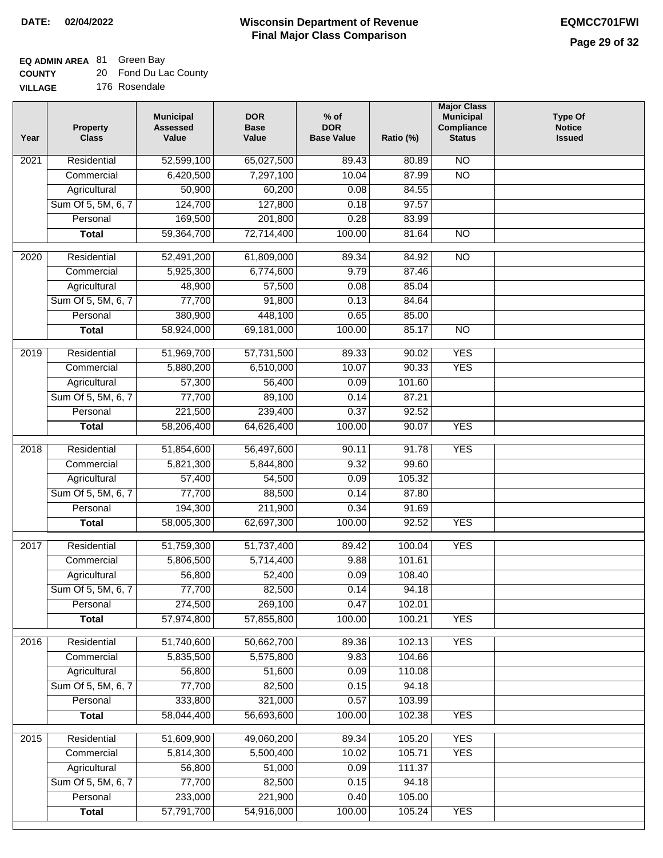### **EQ ADMIN AREA** 81 Green Bay

| <b>COUNTY</b> |  | 20 Fond Du Lac County |
|---------------|--|-----------------------|
|---------------|--|-----------------------|

**VILLAGE** 176 Rosendale

| Year | <b>Property</b><br><b>Class</b> | <b>Municipal</b><br><b>Assessed</b><br>Value | <b>DOR</b><br><b>Base</b><br>Value | $%$ of<br><b>DOR</b><br><b>Base Value</b> | Ratio (%) | <b>Major Class</b><br><b>Municipal</b><br>Compliance<br><b>Status</b> | <b>Type Of</b><br><b>Notice</b><br><b>Issued</b> |
|------|---------------------------------|----------------------------------------------|------------------------------------|-------------------------------------------|-----------|-----------------------------------------------------------------------|--------------------------------------------------|
| 2021 | Residential                     | 52,599,100                                   | 65,027,500                         | 89.43                                     | 80.89     | $\overline{NO}$                                                       |                                                  |
|      | Commercial                      | 6,420,500                                    | 7,297,100                          | 10.04                                     | 87.99     | $\overline{NO}$                                                       |                                                  |
|      | Agricultural                    | 50,900                                       | 60,200                             | 0.08                                      | 84.55     |                                                                       |                                                  |
|      | Sum Of 5, 5M, 6, 7              | 124,700                                      | 127,800                            | 0.18                                      | 97.57     |                                                                       |                                                  |
|      | Personal                        | 169,500                                      | 201,800                            | 0.28                                      | 83.99     |                                                                       |                                                  |
|      | <b>Total</b>                    | 59,364,700                                   | 72,714,400                         | 100.00                                    | 81.64     | $\overline{NO}$                                                       |                                                  |
| 2020 | Residential                     | 52,491,200                                   | 61,809,000                         | 89.34                                     | 84.92     | $\overline{NO}$                                                       |                                                  |
|      | Commercial                      | 5,925,300                                    | 6,774,600                          | 9.79                                      | 87.46     |                                                                       |                                                  |
|      | Agricultural                    | 48,900                                       | 57,500                             | 0.08                                      | 85.04     |                                                                       |                                                  |
|      | Sum Of 5, 5M, 6, 7              | 77,700                                       | 91,800                             | 0.13                                      | 84.64     |                                                                       |                                                  |
|      | Personal                        | 380,900                                      | 448,100                            | 0.65                                      | 85.00     |                                                                       |                                                  |
|      | <b>Total</b>                    | 58,924,000                                   | 69,181,000                         | 100.00                                    | 85.17     | $\overline{NO}$                                                       |                                                  |
| 2019 | Residential                     | 51,969,700                                   | 57,731,500                         | 89.33                                     | 90.02     | <b>YES</b>                                                            |                                                  |
|      | Commercial                      | 5,880,200                                    | 6,510,000                          | 10.07                                     | 90.33     | <b>YES</b>                                                            |                                                  |
|      | Agricultural                    | 57,300                                       | 56,400                             | 0.09                                      | 101.60    |                                                                       |                                                  |
|      | Sum Of 5, 5M, 6, 7              | 77,700                                       | 89,100                             | 0.14                                      | 87.21     |                                                                       |                                                  |
|      | Personal                        | 221,500                                      | 239,400                            | 0.37                                      | 92.52     |                                                                       |                                                  |
|      | <b>Total</b>                    | 58,206,400                                   | 64,626,400                         | 100.00                                    | 90.07     | <b>YES</b>                                                            |                                                  |
|      |                                 |                                              |                                    |                                           |           |                                                                       |                                                  |
| 2018 | Residential                     | 51,854,600                                   | 56,497,600                         | 90.11                                     | 91.78     | <b>YES</b>                                                            |                                                  |
|      | Commercial                      | 5,821,300                                    | 5,844,800                          | 9.32                                      | 99.60     |                                                                       |                                                  |
|      | Agricultural                    | 57,400                                       | 54,500                             | 0.09                                      | 105.32    |                                                                       |                                                  |
|      | Sum Of 5, 5M, 6, 7              | 77,700                                       | 88,500                             | 0.14                                      | 87.80     |                                                                       |                                                  |
|      | Personal                        | 194,300                                      | 211,900                            | 0.34                                      | 91.69     |                                                                       |                                                  |
|      | <b>Total</b>                    | 58,005,300                                   | 62,697,300                         | 100.00                                    | 92.52     | <b>YES</b>                                                            |                                                  |
| 2017 | Residential                     | 51,759,300                                   | 51,737,400                         | 89.42                                     | 100.04    | <b>YES</b>                                                            |                                                  |
|      | Commercial                      | 5,806,500                                    | 5,714,400                          | 9.88                                      | 101.61    |                                                                       |                                                  |
|      | Agricultural                    | 56,800                                       | 52,400                             | 0.09                                      | 108.40    |                                                                       |                                                  |
|      | Sum Of 5, 5M, 6, 7              | 77,700                                       | 82,500                             | 0.14                                      | 94.18     |                                                                       |                                                  |
|      | Personal                        | 274,500                                      | 269,100                            | 0.47                                      | 102.01    |                                                                       |                                                  |
|      | <b>Total</b>                    | 57,974,800                                   | 57,855,800                         | 100.00                                    | 100.21    | <b>YES</b>                                                            |                                                  |
| 2016 | Residential                     | 51,740,600                                   | 50,662,700                         | 89.36                                     | 102.13    | <b>YES</b>                                                            |                                                  |
|      | Commercial                      | 5,835,500                                    | 5,575,800                          | 9.83                                      | 104.66    |                                                                       |                                                  |
|      | Agricultural                    | 56,800                                       | 51,600                             | 0.09                                      | 110.08    |                                                                       |                                                  |
|      | Sum Of 5, 5M, 6, 7              | 77,700                                       | 82,500                             | 0.15                                      | 94.18     |                                                                       |                                                  |
|      | Personal                        | 333,800                                      | 321,000                            | 0.57                                      | 103.99    |                                                                       |                                                  |
|      | <b>Total</b>                    | 58,044,400                                   | 56,693,600                         | 100.00                                    | 102.38    | <b>YES</b>                                                            |                                                  |
| 2015 | Residential                     | 51,609,900                                   | 49,060,200                         | 89.34                                     | 105.20    | <b>YES</b>                                                            |                                                  |
|      | Commercial                      | 5,814,300                                    | 5,500,400                          | 10.02                                     | 105.71    | <b>YES</b>                                                            |                                                  |
|      | Agricultural                    | 56,800                                       | 51,000                             | 0.09                                      | 111.37    |                                                                       |                                                  |
|      | Sum Of 5, 5M, 6, 7              | 77,700                                       | 82,500                             | 0.15                                      | 94.18     |                                                                       |                                                  |
|      | Personal                        | 233,000                                      | 221,900                            | 0.40                                      | 105.00    |                                                                       |                                                  |
|      | <b>Total</b>                    | 57,791,700                                   | 54,916,000                         | 100.00                                    | 105.24    | <b>YES</b>                                                            |                                                  |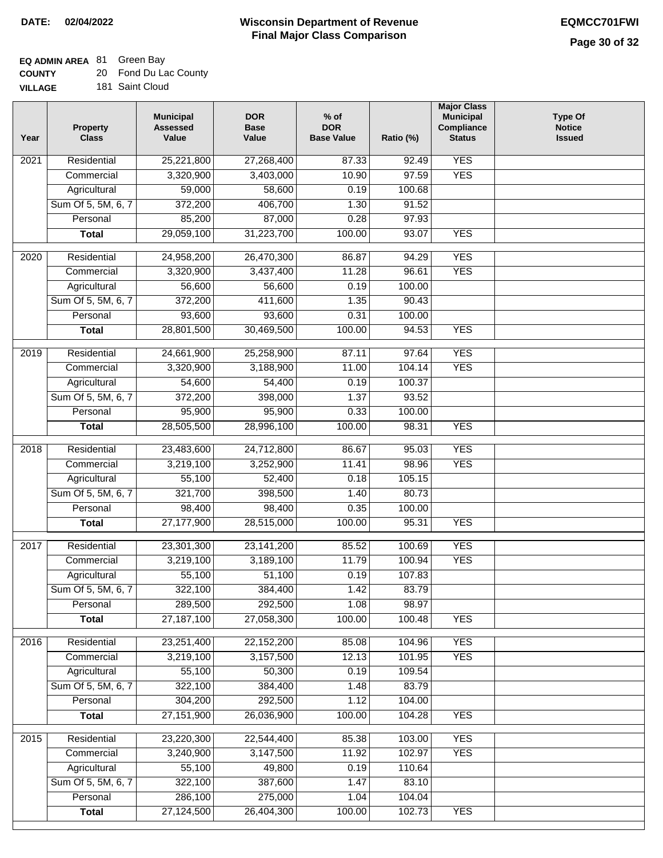**VILLAGE**

#### **Wisconsin Department of Revenue Final Major Class Comparison DATE: 02/04/2022 EQMCC701FWI**

### **EQ ADMIN AREA** 81 Green Bay

| <b>COUNTY</b> |  | 20 Fond Du Lac County |
|---------------|--|-----------------------|
|---------------|--|-----------------------|

181 Saint Cloud

| Year | <b>Property</b><br><b>Class</b> | <b>Municipal</b><br><b>Assessed</b><br>Value | <b>DOR</b><br><b>Base</b><br>Value | $%$ of<br><b>DOR</b><br><b>Base Value</b> | Ratio (%) | <b>Major Class</b><br><b>Municipal</b><br>Compliance<br><b>Status</b> | <b>Type Of</b><br><b>Notice</b><br><b>Issued</b> |
|------|---------------------------------|----------------------------------------------|------------------------------------|-------------------------------------------|-----------|-----------------------------------------------------------------------|--------------------------------------------------|
| 2021 | Residential                     | 25,221,800                                   | 27,268,400                         | 87.33                                     | 92.49     | <b>YES</b>                                                            |                                                  |
|      | Commercial                      | 3,320,900                                    | 3,403,000                          | 10.90                                     | 97.59     | <b>YES</b>                                                            |                                                  |
|      | Agricultural                    | 59,000                                       | 58,600                             | 0.19                                      | 100.68    |                                                                       |                                                  |
|      | Sum Of 5, 5M, 6, 7              | 372,200                                      | 406,700                            | 1.30                                      | 91.52     |                                                                       |                                                  |
|      | Personal                        | 85,200                                       | 87,000                             | 0.28                                      | 97.93     |                                                                       |                                                  |
|      | <b>Total</b>                    | 29,059,100                                   | 31,223,700                         | 100.00                                    | 93.07     | <b>YES</b>                                                            |                                                  |
| 2020 | Residential                     | 24,958,200                                   | 26,470,300                         | 86.87                                     | 94.29     | <b>YES</b>                                                            |                                                  |
|      | Commercial                      | 3,320,900                                    | 3,437,400                          | 11.28                                     | 96.61     | <b>YES</b>                                                            |                                                  |
|      | Agricultural                    | 56,600                                       | 56,600                             | 0.19                                      | 100.00    |                                                                       |                                                  |
|      | Sum Of 5, 5M, 6, 7              | 372,200                                      | 411,600                            | 1.35                                      | 90.43     |                                                                       |                                                  |
|      | Personal                        | 93,600                                       | 93,600                             | 0.31                                      | 100.00    |                                                                       |                                                  |
|      | <b>Total</b>                    | 28,801,500                                   | 30,469,500                         | 100.00                                    | 94.53     | <b>YES</b>                                                            |                                                  |
|      |                                 |                                              |                                    |                                           |           |                                                                       |                                                  |
| 2019 | Residential                     | 24,661,900                                   | 25,258,900                         | 87.11                                     | 97.64     | <b>YES</b>                                                            |                                                  |
|      | Commercial                      | 3,320,900                                    | 3,188,900                          | 11.00                                     | 104.14    | <b>YES</b>                                                            |                                                  |
|      | Agricultural                    | 54,600                                       | 54,400                             | 0.19                                      | 100.37    |                                                                       |                                                  |
|      | Sum Of 5, 5M, 6, 7              | 372,200                                      | 398,000                            | 1.37                                      | 93.52     |                                                                       |                                                  |
|      | Personal                        | 95,900                                       | 95,900                             | 0.33                                      | 100.00    |                                                                       |                                                  |
|      | <b>Total</b>                    | 28,505,500                                   | 28,996,100                         | 100.00                                    | 98.31     | <b>YES</b>                                                            |                                                  |
| 2018 | Residential                     | 23,483,600                                   | 24,712,800                         | 86.67                                     | 95.03     | <b>YES</b>                                                            |                                                  |
|      | Commercial                      | 3,219,100                                    | 3,252,900                          | 11.41                                     | 98.96     | <b>YES</b>                                                            |                                                  |
|      | Agricultural                    | 55,100                                       | 52,400                             | 0.18                                      | 105.15    |                                                                       |                                                  |
|      | Sum Of 5, 5M, 6, 7              | 321,700                                      | 398,500                            | 1.40                                      | 80.73     |                                                                       |                                                  |
|      | Personal                        | 98,400                                       | 98,400                             | 0.35                                      | 100.00    |                                                                       |                                                  |
|      | <b>Total</b>                    | 27,177,900                                   | 28,515,000                         | 100.00                                    | 95.31     | <b>YES</b>                                                            |                                                  |
| 2017 | Residential                     | 23,301,300                                   | 23, 141, 200                       | 85.52                                     | 100.69    | <b>YES</b>                                                            |                                                  |
|      | Commercial                      | 3,219,100                                    | 3,189,100                          | 11.79                                     | 100.94    | <b>YES</b>                                                            |                                                  |
|      | Agricultural                    | 55,100                                       | 51,100                             | 0.19                                      | 107.83    |                                                                       |                                                  |
|      | Sum Of 5, 5M, 6, 7              | 322,100                                      | 384,400                            | 1.42                                      | 83.79     |                                                                       |                                                  |
|      | Personal                        | 289,500                                      | 292,500                            | 1.08                                      | 98.97     |                                                                       |                                                  |
|      | <b>Total</b>                    | 27, 187, 100                                 | 27,058,300                         | 100.00                                    | 100.48    | <b>YES</b>                                                            |                                                  |
|      |                                 |                                              |                                    |                                           |           |                                                                       |                                                  |
| 2016 | Residential                     | 23,251,400                                   | 22,152,200                         | 85.08                                     | 104.96    | <b>YES</b>                                                            |                                                  |
|      | Commercial                      | 3,219,100                                    | 3,157,500                          | 12.13                                     | 101.95    | <b>YES</b>                                                            |                                                  |
|      | Agricultural                    | 55,100                                       | 50,300                             | 0.19                                      | 109.54    |                                                                       |                                                  |
|      | Sum Of 5, 5M, 6, 7              | 322,100                                      | 384,400                            | 1.48                                      | 83.79     |                                                                       |                                                  |
|      | Personal                        | 304,200                                      | 292,500                            | 1.12                                      | 104.00    |                                                                       |                                                  |
|      | <b>Total</b>                    | 27, 151, 900                                 | 26,036,900                         | 100.00                                    | 104.28    | <b>YES</b>                                                            |                                                  |
| 2015 | Residential                     | 23,220,300                                   | 22,544,400                         | 85.38                                     | 103.00    | <b>YES</b>                                                            |                                                  |
|      | Commercial                      | 3,240,900                                    | 3,147,500                          | 11.92                                     | 102.97    | <b>YES</b>                                                            |                                                  |
|      | Agricultural                    | 55,100                                       | 49,800                             | 0.19                                      | 110.64    |                                                                       |                                                  |
|      | Sum Of 5, 5M, 6, 7              | 322,100                                      | 387,600                            | 1.47                                      | 83.10     |                                                                       |                                                  |
|      | Personal                        | 286,100                                      | 275,000                            | 1.04                                      | 104.04    |                                                                       |                                                  |
|      | <b>Total</b>                    | 27,124,500                                   | 26,404,300                         | 100.00                                    | 102.73    | <b>YES</b>                                                            |                                                  |
|      |                                 |                                              |                                    |                                           |           |                                                                       |                                                  |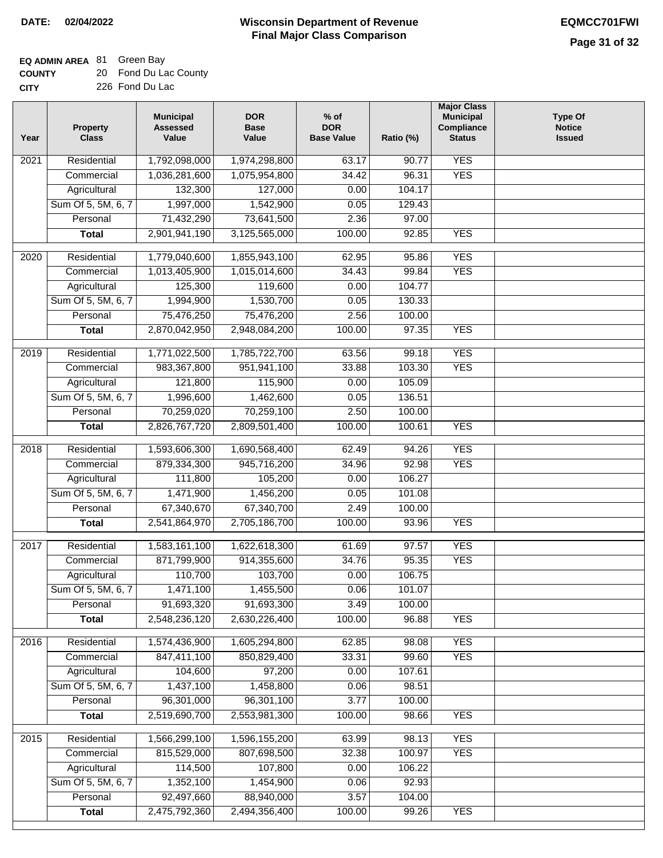### **EQ ADMIN AREA** 81 Green Bay

| <b>COUNTY</b> | 20 Fond Du Lac County |
|---------------|-----------------------|
| <b>CITY</b>   | 226 Fond Du Lac       |

| Year              | <b>Property</b><br><b>Class</b> | <b>Municipal</b><br><b>Assessed</b><br>Value | <b>DOR</b><br><b>Base</b><br>Value | % of<br><b>DOR</b><br><b>Base Value</b> | Ratio (%) | <b>Major Class</b><br><b>Municipal</b><br>Compliance<br><b>Status</b> | <b>Type Of</b><br><b>Notice</b><br><b>Issued</b> |
|-------------------|---------------------------------|----------------------------------------------|------------------------------------|-----------------------------------------|-----------|-----------------------------------------------------------------------|--------------------------------------------------|
| 2021              | Residential                     | 1,792,098,000                                | 1,974,298,800                      | 63.17                                   | 90.77     | <b>YES</b>                                                            |                                                  |
|                   | Commercial                      | 1,036,281,600                                | 1,075,954,800                      | 34.42                                   | 96.31     | <b>YES</b>                                                            |                                                  |
|                   | Agricultural                    | 132,300                                      | 127,000                            | 0.00                                    | 104.17    |                                                                       |                                                  |
|                   | Sum Of 5, 5M, 6, 7              | 1,997,000                                    | 1,542,900                          | 0.05                                    | 129.43    |                                                                       |                                                  |
|                   | Personal                        | 71,432,290                                   | 73,641,500                         | 2.36                                    | 97.00     |                                                                       |                                                  |
|                   | <b>Total</b>                    | 2,901,941,190                                | 3,125,565,000                      | 100.00                                  | 92.85     | <b>YES</b>                                                            |                                                  |
| 2020              | Residential                     | 1,779,040,600                                | 1,855,943,100                      | 62.95                                   | 95.86     | <b>YES</b>                                                            |                                                  |
|                   | Commercial                      | 1,013,405,900                                | 1,015,014,600                      | 34.43                                   | 99.84     | <b>YES</b>                                                            |                                                  |
|                   | Agricultural                    | 125,300                                      | 119,600                            | 0.00                                    | 104.77    |                                                                       |                                                  |
|                   | Sum Of 5, 5M, 6, 7              | 1,994,900                                    | 1,530,700                          | 0.05                                    | 130.33    |                                                                       |                                                  |
|                   | Personal                        | 75,476,250                                   | 75,476,200                         | 2.56                                    | 100.00    |                                                                       |                                                  |
|                   | <b>Total</b>                    | 2,870,042,950                                | 2,948,084,200                      | 100.00                                  | 97.35     | <b>YES</b>                                                            |                                                  |
|                   |                                 |                                              |                                    |                                         |           |                                                                       |                                                  |
| 2019              | Residential                     | 1,771,022,500                                | 1,785,722,700                      | 63.56                                   | 99.18     | <b>YES</b>                                                            |                                                  |
|                   | Commercial                      | 983,367,800                                  | 951,941,100                        | 33.88                                   | 103.30    | <b>YES</b>                                                            |                                                  |
|                   | Agricultural                    | 121,800                                      | 115,900                            | 0.00                                    | 105.09    |                                                                       |                                                  |
|                   | Sum Of 5, 5M, 6, 7              | 1,996,600                                    | 1,462,600                          | 0.05                                    | 136.51    |                                                                       |                                                  |
|                   | Personal                        | 70,259,020                                   | 70,259,100                         | 2.50                                    | 100.00    |                                                                       |                                                  |
|                   | <b>Total</b>                    | 2,826,767,720                                | 2,809,501,400                      | 100.00                                  | 100.61    | <b>YES</b>                                                            |                                                  |
| $\overline{2018}$ | Residential                     | 1,593,606,300                                | 1,690,568,400                      | 62.49                                   | 94.26     | <b>YES</b>                                                            |                                                  |
|                   | Commercial                      | 879,334,300                                  | 945,716,200                        | 34.96                                   | 92.98     | <b>YES</b>                                                            |                                                  |
|                   | Agricultural                    | 111,800                                      | 105,200                            | 0.00                                    | 106.27    |                                                                       |                                                  |
|                   | Sum Of 5, 5M, 6, 7              | 1,471,900                                    | 1,456,200                          | 0.05                                    | 101.08    |                                                                       |                                                  |
|                   | Personal                        | 67,340,670                                   | 67,340,700                         | 2.49                                    | 100.00    |                                                                       |                                                  |
|                   | <b>Total</b>                    | 2,541,864,970                                | 2,705,186,700                      | 100.00                                  | 93.96     | <b>YES</b>                                                            |                                                  |
| 2017              | Residential                     | 1,583,161,100                                | 1,622,618,300                      | 61.69                                   | 97.57     | <b>YES</b>                                                            |                                                  |
|                   | Commercial                      | 871,799,900                                  | 914,355,600                        | 34.76                                   | 95.35     | <b>YES</b>                                                            |                                                  |
|                   | Agricultural                    | 110,700                                      | 103,700                            | 0.00                                    | 106.75    |                                                                       |                                                  |
|                   | Sum Of 5, 5M, 6, 7              | 1,471,100                                    | 1,455,500                          | 0.06                                    | 101.07    |                                                                       |                                                  |
|                   | Personal                        | 91,693,320                                   | 91,693,300                         | 3.49                                    | 100.00    |                                                                       |                                                  |
|                   | <b>Total</b>                    | 2,548,236,120                                | 2,630,226,400                      | 100.00                                  | 96.88     | <b>YES</b>                                                            |                                                  |
|                   |                                 |                                              |                                    |                                         |           |                                                                       |                                                  |
| 2016              | Residential                     | 1,574,436,900                                | 1,605,294,800                      | 62.85                                   | 98.08     | <b>YES</b>                                                            |                                                  |
|                   | Commercial                      | 847,411,100                                  | 850,829,400                        | 33.31                                   | 99.60     | <b>YES</b>                                                            |                                                  |
|                   | Agricultural                    | 104,600                                      | 97,200                             | 0.00                                    | 107.61    |                                                                       |                                                  |
|                   | Sum Of 5, 5M, 6, 7              | 1,437,100                                    | 1,458,800                          | 0.06                                    | 98.51     |                                                                       |                                                  |
|                   | Personal                        | 96,301,000                                   | 96,301,100                         | 3.77                                    | 100.00    |                                                                       |                                                  |
|                   | <b>Total</b>                    | 2,519,690,700                                | 2,553,981,300                      | 100.00                                  | 98.66     | <b>YES</b>                                                            |                                                  |
| 2015              | Residential                     | 1,566,299,100                                | 1,596,155,200                      | 63.99                                   | 98.13     | <b>YES</b>                                                            |                                                  |
|                   | Commercial                      | 815,529,000                                  | 807,698,500                        | 32.38                                   | 100.97    | <b>YES</b>                                                            |                                                  |
|                   | Agricultural                    | 114,500                                      | 107,800                            | 0.00                                    | 106.22    |                                                                       |                                                  |
|                   | Sum Of 5, 5M, 6, 7              | 1,352,100                                    | 1,454,900                          | 0.06                                    | 92.93     |                                                                       |                                                  |
|                   | Personal                        | 92,497,660                                   | 88,940,000                         | 3.57                                    | 104.00    |                                                                       |                                                  |
|                   | <b>Total</b>                    | 2,475,792,360                                | 2,494,356,400                      | 100.00                                  | 99.26     | <b>YES</b>                                                            |                                                  |
|                   |                                 |                                              |                                    |                                         |           |                                                                       |                                                  |